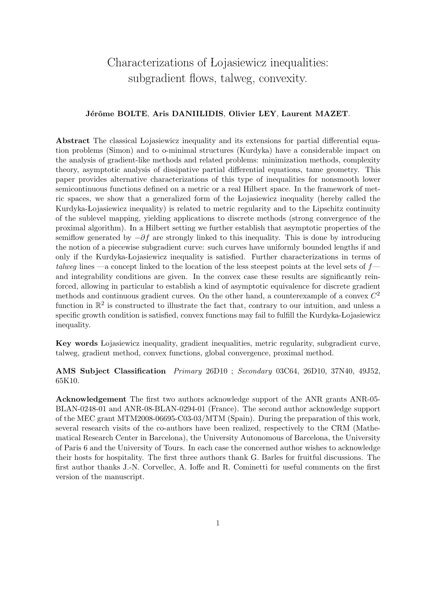# Characterizations of Lojasiewicz inequalities: subgradient flows, talweg, convexity.

### Jérôme BOLTE, Aris DANIILIDIS, Olivier LEY, Laurent MAZET.

Abstract The classical Lojasiewicz inequality and its extensions for partial differential equation problems (Simon) and to o-minimal structures (Kurdyka) have a considerable impact on the analysis of gradient-like methods and related problems: minimization methods, complexity theory, asymptotic analysis of dissipative partial differential equations, tame geometry. This paper provides alternative characterizations of this type of inequalities for nonsmooth lower semicontinuous functions defined on a metric or a real Hilbert space. In the framework of metric spaces, we show that a generalized form of the Lojasiewicz inequality (hereby called the Kurdyka-Łojasiewicz inequality) is related to metric regularity and to the Lipschitz continuity of the sublevel mapping, yielding applications to discrete methods (strong convergence of the proximal algorithm). In a Hilbert setting we further establish that asymptotic properties of the semiflow generated by  $-\partial f$  are strongly linked to this inequality. This is done by introducing the notion of a piecewise subgradient curve: such curves have uniformly bounded lengths if and only if the Kurdyka-Lojasiewicz inequality is satisfied. Further characterizations in terms of talweg lines —a concept linked to the location of the less steepest points at the level sets of  $f$  and integrability conditions are given. In the convex case these results are significantly reinforced, allowing in particular to establish a kind of asymptotic equivalence for discrete gradient methods and continuous gradient curves. On the other hand, a counterexample of a convex  $C^2$ function in  $\mathbb{R}^2$  is constructed to illustrate the fact that, contrary to our intuition, and unless a specific growth condition is satisfied, convex functions may fail to fulfill the Kurdyka-Łojasiewicz inequality.

Key words Lojasiewicz inequality, gradient inequalities, metric regularity, subgradient curve, talweg, gradient method, convex functions, global convergence, proximal method.

AMS Subject Classification Primary 26D10 ; Secondary 03C64, 26D10, 37N40, 49J52, 65K10.

Acknowledgement The first two authors acknowledge support of the ANR grants ANR-05- BLAN-0248-01 and ANR-08-BLAN-0294-01 (France). The second author acknowledge support of the MEC grant MTM2008-06695-C03-03/MTM (Spain). During the preparation of this work, several research visits of the co-authors have been realized, respectively to the CRM (Mathematical Research Center in Barcelona), the University Autonomous of Barcelona, the University of Paris 6 and the University of Tours. In each case the concerned author wishes to acknowledge their hosts for hospitality. The first three authors thank G. Barles for fruitful discussions. The first author thanks J.-N. Corvellec, A. Ioffe and R. Cominetti for useful comments on the first version of the manuscript.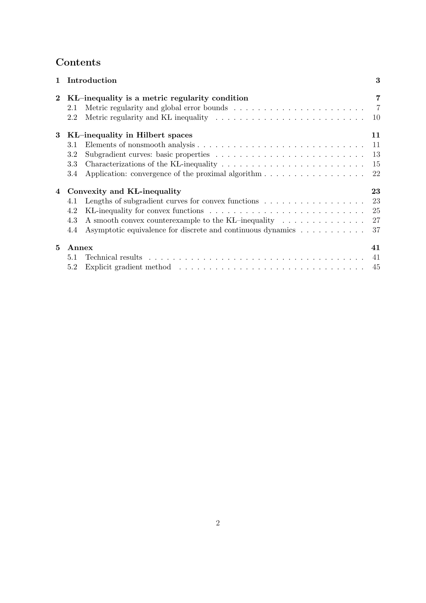# Contents

| 1              | Introduction                                                                                                                                                                                                                                         | 3                          |
|----------------|------------------------------------------------------------------------------------------------------------------------------------------------------------------------------------------------------------------------------------------------------|----------------------------|
| $\bf{2}$       | KL-inequality is a metric regularity condition<br>2.1<br>Metric regularity and KL inequality $\dots \dots \dots \dots \dots \dots \dots \dots \dots$<br>2.2                                                                                          | 7<br>$\overline{7}$<br>10  |
| 3              | KL-inequality in Hilbert spaces<br>3.1<br>3.2<br>3.3<br>Application: convergence of the proximal algorithm $\dots \dots \dots \dots \dots \dots$<br>3.4                                                                                              | 11<br>11<br>13<br>15<br>22 |
| $\overline{4}$ | Convexity and KL-inequality<br>4.1<br>4.2<br>A smooth convex counterexample to the KL-inequality<br>4.3<br>Asymptotic equivalence for discrete and continuous dynamics<br>4.4                                                                        | 23<br>23<br>25<br>27<br>37 |
| 5              | Annex<br>5.1<br>Explicit gradient method (a) respectively and the set of the set of the set of the set of the set of the set of the set of the set of the set of the set of the set of the set of the set of the set of the set of the set of<br>5.2 | 41<br>41<br>-45            |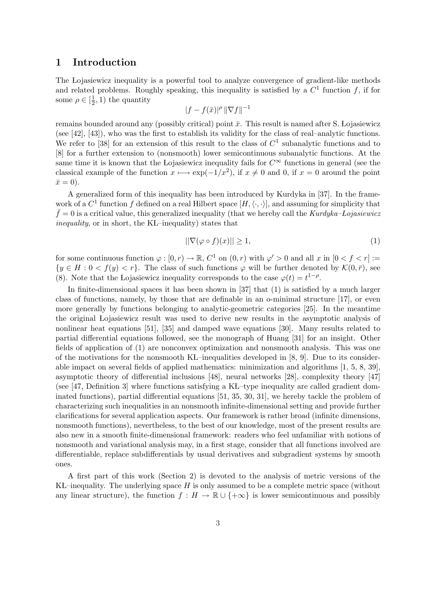### 1 Introduction

The Lojasiewicz inequality is a powerful tool to analyze convergence of gradient-like methods and related problems. Roughly speaking, this inequality is satisfied by a  $C<sup>1</sup>$  function f, if for some  $\rho \in [\frac{1}{2}]$  $(\frac{1}{2}, 1)$  the quantity

$$
|f - f(\bar{x})|^{\rho} \, \|\nabla f\|^{-1}
$$

remains bounded around any (possibly critical) point  $\bar{x}$ . This result is named after S. Lojasiewicz (see [42], [43]), who was the first to establish its validity for the class of real–analytic functions. We refer to [38] for an extension of this result to the class of  $C<sup>1</sup>$  subanalytic functions and to [8] for a further extension to (nonsmooth) lower semicontinuous subanalytic functions. At the same time it is known that the Lojasiewicz inequality fails for  $C^{\infty}$  functions in general (see the classical example of the function  $x \mapsto \exp(-1/x^2)$ , if  $x \neq 0$  and 0, if  $x = 0$  around the point  $\bar{x}=0$ ).

A generalized form of this inequality has been introduced by Kurdyka in [37]. In the framework of a  $C^1$  function f defined on a real Hilbert space  $[H,\langle \cdot,\cdot \rangle]$ , and assuming for simplicity that  $\bar{f} = 0$  is a critical value, this generalized inequality (that we hereby call the Kurdyka–Łojasiewicz inequality, or in short, the KL–inequality) states that

$$
\|\nabla(\varphi \circ f)(x)\| \ge 1,\tag{1}
$$

for some continuous function  $\varphi : [0, r) \to \mathbb{R}$ ,  $C^1$  on  $(0, r)$  with  $\varphi' > 0$  and all x in  $[0 < f < r] :=$  $\{y \in H : 0 < f(y) < r\}.$  The class of such functions  $\varphi$  will be further denoted by  $\mathcal{K}(0,\bar{r})$ , see (8). Note that the Lojasiewicz inequality corresponds to the case  $\varphi(t) = t^{1-\rho}$ .

In finite-dimensional spaces it has been shown in [37] that (1) is satisfied by a much larger class of functions, namely, by those that are definable in an o-minimal structure [17], or even more generally by functions belonging to analytic-geometric categories [25]. In the meantime the original Lojasiewicz result was used to derive new results in the asymptotic analysis of nonlinear heat equations [51], [35] and damped wave equations [30]. Many results related to partial differential equations followed, see the monograph of Huang [31] for an insight. Other fields of application of (1) are nonconvex optimization and nonsmooth analysis. This was one of the motivations for the nonsmooth KL–inequalities developed in  $[8, 9]$ . Due to its considerable impact on several fields of applied mathematics: minimization and algorithms [1, 5, 8, 39], asymptotic theory of differential inclusions [48], neural networks [28], complexity theory [47] (see  $[47,$  Definition 3) where functions satisfying a KL–type inequality are called gradient dominated functions), partial differential equations [51, 35, 30, 31], we hereby tackle the problem of characterizing such inequalities in an nonsmooth infinite-dimensional setting and provide further clarifications for several application aspects. Our framework is rather broad (infinite dimensions, nonsmooth functions), nevertheless, to the best of our knowledge, most of the present results are also new in a smooth finite-dimensional framework: readers who feel unfamiliar with notions of nonsmooth and variational analysis may, in a first stage, consider that all functions involved are differentiable, replace subdifferentials by usual derivatives and subgradient systems by smooth ones.

A first part of this work (Section 2) is devoted to the analysis of metric versions of the KL–inequality. The underlying space  $H$  is only assumed to be a complete metric space (without any linear structure), the function  $f : H \to \mathbb{R} \cup \{+\infty\}$  is lower semicontinuous and possibly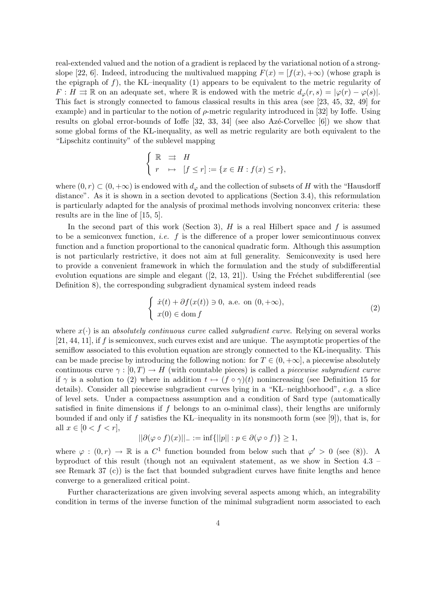real-extended valued and the notion of a gradient is replaced by the variational notion of a strongslope [22, 6]. Indeed, introducing the multivalued mapping  $F(x) = [f(x), +\infty)$  (whose graph is the epigraph of f), the KL–inequality (1) appears to be equivalent to the metric regularity of  $F: H \rightrightarrows \mathbb{R}$  on an adequate set, where  $\mathbb{R}$  is endowed with the metric  $d_{\varphi}(r, s) = |\varphi(r) - \varphi(s)|$ . This fact is strongly connected to famous classical results in this area (see [23, 45, 32, 49] for example) and in particular to the notion of  $\rho$ -metric regularity introduced in [32] by Ioffe. Using results on global error-bounds of Ioffe  $[32, 33, 34]$  (see also Az $\acute{e}$ -Corvellec  $[6]$ ) we show that some global forms of the KŁ-inequality, as well as metric regularity are both equivalent to the "Lipschitz continuity" of the sublevel mapping

$$
\begin{cases} \mathbb{R} & \Rightarrow H \\ r & \mapsto [f \le r] := \{x \in H : f(x) \le r\}, \end{cases}
$$

where  $(0, r) \subset (0, +\infty)$  is endowed with  $d_{\varphi}$  and the collection of subsets of H with the "Hausdorff" distance". As it is shown in a section devoted to applications (Section 3.4), this reformulation is particularly adapted for the analysis of proximal methods involving nonconvex criteria: these results are in the line of [15, 5].

In the second part of this work (Section 3),  $H$  is a real Hilbert space and f is assumed to be a semiconvex function, *i.e.* f is the difference of a proper lower semicontinuous convex function and a function proportional to the canonical quadratic form. Although this assumption is not particularly restrictive, it does not aim at full generality. Semiconvexity is used here to provide a convenient framework in which the formulation and the study of subdifferential evolution equations are simple and elegant  $([2, 13, 21])$ . Using the Fréchet subdifferential (see Definition 8), the corresponding subgradient dynamical system indeed reads

$$
\begin{cases}\n\dot{x}(t) + \partial f(x(t)) \ni 0, \text{ a.e. on } (0, +\infty), \\
x(0) \in \text{dom } f\n\end{cases}
$$
\n(2)

where  $x(\cdot)$  is an *absolutely continuous curve* called *subgradient curve.* Relying on several works [21, 44, 11], if f is semiconvex, such curves exist and are unique. The asymptotic properties of the semiflow associated to this evolution equation are strongly connected to the KL-inequality. This can be made precise by introducing the following notion: for  $T \in (0, +\infty]$ , a piecewise absolutely continuous curve  $\gamma : [0, T) \to H$  (with countable pieces) is called a *piecewise subgradient curve* if  $\gamma$  is a solution to (2) where in addition  $t \mapsto (f \circ \gamma)(t)$  nonincreasing (see Definition 15 for details). Consider all piecewise subgradient curves lying in a "KŁ–neighborhood",  $e.q.$  a slice of level sets. Under a compactness assumption and a condition of Sard type (automatically satisfied in finite dimensions if  $f$  belongs to an o-minimal class), their lengths are uniformly bounded if and only if f satisfies the KL–inequality in its nonsmooth form (see [9]), that is, for all  $x \in [0 < f < r],$ 

$$
||\partial(\varphi \circ f)(x)||_{-} := \inf\{||p|| : p \in \partial(\varphi \circ f)\} \ge 1,
$$

where  $\varphi : (0,r) \to \mathbb{R}$  is a  $C^1$  function bounded from below such that  $\varphi' > 0$  (see (8)). A byproduct of this result (though not an equivalent statement, as we show in Section 4.3 – see Remark 37 (c)) is the fact that bounded subgradient curves have finite lengths and hence converge to a generalized critical point.

Further characterizations are given involving several aspects among which, an integrability condition in terms of the inverse function of the minimal subgradient norm associated to each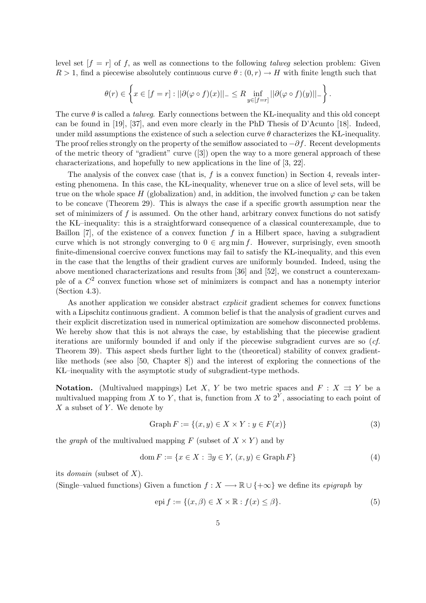level set  $[f = r]$  of f, as well as connections to the following talweg selection problem: Given  $R > 1$ , find a piecewise absolutely continuous curve  $\theta : (0, r) \to H$  with finite length such that

$$
\theta(r) \in \left\{ x \in [f=r] : ||\partial(\varphi \circ f)(x)||_{-} \leq R \inf_{y \in [f=r]} ||\partial(\varphi \circ f)(y)||_{-} \right\}.
$$

The curve  $\theta$  is called a *talweg*. Early connections between the KL-inequality and this old concept can be found in [19], [37], and even more clearly in the PhD Thesis of D'Acunto [18]. Indeed, under mild assumptions the existence of such a selection curve  $\theta$  characterizes the KL-inequality. The proof relies strongly on the property of the semiflow associated to  $-\partial f$ . Recent developments of the metric theory of "gradient" curve ([3]) open the way to a more general approach of these characterizations, and hopefully to new applications in the line of [3, 22].

The analysis of the convex case (that is,  $f$  is a convex function) in Section 4, reveals interesting phenomena. In this case, the KL-inequality, whenever true on a slice of level sets, will be true on the whole space H (globalization) and, in addition, the involved function  $\varphi$  can be taken to be concave (Theorem 29). This is always the case if a specific growth assumption near the set of minimizers of  $f$  is assumed. On the other hand, arbitrary convex functions do not satisfy the KÃL–inequality: this is a straightforward consequence of a classical counterexample, due to Baillon  $[7]$ , of the existence of a convex function f in a Hilbert space, having a subgradient curve which is not strongly converging to  $0 \in \arg \min f$ . However, surprisingly, even smooth finite-dimensional coercive convex functions may fail to satisfy the KL-inequality, and this even in the case that the lengths of their gradient curves are uniformly bounded. Indeed, using the above mentioned characterizations and results from [36] and [52], we construct a counterexample of a  $\mathbb{C}^2$  convex function whose set of minimizers is compact and has a nonempty interior (Section 4.3).

As another application we consider abstract explicit gradient schemes for convex functions with a Lipschitz continuous gradient. A common belief is that the analysis of gradient curves and their explicit discretization used in numerical optimization are somehow disconnected problems. We hereby show that this is not always the case, by establishing that the piecewise gradient iterations are uniformly bounded if and only if the piecewise subgradient curves are so  $(cf.$ Theorem 39). This aspect sheds further light to the (theoretical) stability of convex gradientlike methods (see also [50, Chapter 8]) and the interest of exploring the connections of the KL–inequality with the asymptotic study of subgradient-type methods.

**Notation.** (Multivalued mappings) Let X, Y be two metric spaces and  $F: X \rightrightarrows Y$  be a multivalued mapping from X to Y, that is, function from X to  $2<sup>Y</sup>$ , associating to each point of  $X$  a subset of Y. We denote by

$$
\text{Graph } F := \{ (x, y) \in X \times Y : y \in F(x) \}
$$
\n
$$
(3)
$$

the *graph* of the multivalued mapping F (subset of  $X \times Y$ ) and by

$$
\text{dom}\,F := \{x \in X : \exists y \in Y, \,(x, y) \in \text{Graph}\,F\}\tag{4}
$$

its *domain* (subset of  $X$ ).

(Single–valued functions) Given a function  $f: X \longrightarrow \mathbb{R} \cup \{+\infty\}$  we define its *epigraph* by

$$
epi f := \{(x, \beta) \in X \times \mathbb{R} : f(x) \le \beta\}.
$$
\n<sup>(5)</sup>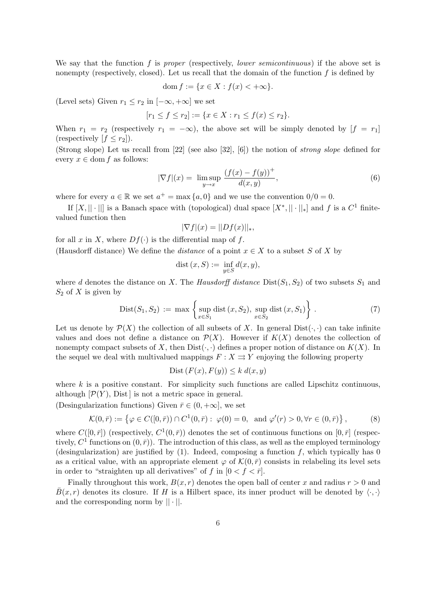We say that the function f is proper (respectively, lower semicontinuous) if the above set is nonempty (respectively, closed). Let us recall that the domain of the function  $f$  is defined by

$$
\operatorname{dom} f := \{ x \in X : f(x) < +\infty \}.
$$

(Level sets) Given  $r_1 \leq r_2$  in  $[-\infty, +\infty]$  we set

$$
[r_1 \le f \le r_2] := \{ x \in X : r_1 \le f(x) \le r_2 \}.
$$

When  $r_1 = r_2$  (respectively  $r_1 = -\infty$ ), the above set will be simply denoted by  $[f = r_1]$ (respectively  $[f \leq r_2]$ ).

(Strong slope) Let us recall from [22] (see also [32], [6]) the notion of strong slope defined for every  $x \in \text{dom } f$  as follows:

$$
|\nabla f|(x) = \limsup_{y \to x} \frac{(f(x) - f(y))^+}{d(x, y)},
$$
\n(6)

where for every  $a \in \mathbb{R}$  we set  $a^+ = \max\{a, 0\}$  and we use the convention  $0/0 = 0$ .

If  $[X, || \cdot ||]$  is a Banach space with (topological) dual space  $[X^*, || \cdot ||_*]$  and f is a  $C^1$  finitevalued function then

$$
|\nabla f|(x) = ||Df(x)||_*,
$$

for all x in X, where  $Df(\cdot)$  is the differential map of f.

(Hausdorff distance) We define the *distance* of a point  $x \in X$  to a subset S of X by

$$
dist(x, S) := \inf_{y \in S} d(x, y),
$$

where d denotes the distance on X. The Hausdorff distance  $Dist(S_1, S_2)$  of two subsets  $S_1$  and  $S_2$  of X is given by  $\mathbf{A}$ 

$$
Dist(S_1, S_2) := \max \left\{ \sup_{x \in S_1} \text{dist}(x, S_2), \sup_{x \in S_2} \text{dist}(x, S_1) \right\}.
$$
 (7)

Let us denote by  $\mathcal{P}(X)$  the collection of all subsets of X. In general  $Dist(\cdot, \cdot)$  can take infinite values and does not define a distance on  $\mathcal{P}(X)$ . However if  $K(X)$  denotes the collection of nonempty compact subsets of X, then  $Dist(\cdot, \cdot)$  defines a proper notion of distance on  $K(X)$ . In the sequel we deal with multivalued mappings  $F : X \rightrightarrows Y$  enjoying the following property

$$
Dist(F(x), F(y)) \le k d(x, y)
$$

where  $k$  is a positive constant. For simplicity such functions are called Lipschitz continuous, although  $[\mathcal{P}(Y), \text{Dist}]$  is not a metric space in general.

(Desingularization functions) Given  $\bar{r} \in (0, +\infty]$ , we set

$$
\mathcal{K}(0,\bar{r}) := \left\{ \varphi \in C([0,\bar{r})) \cap C^{1}(0,\bar{r}) : \ \varphi(0) = 0, \ \text{ and } \varphi'(r) > 0, \forall r \in (0,\bar{r}) \right\},\tag{8}
$$

where  $C([0, \bar{r}])$  (respectively,  $C^1(0, \bar{r})$ ) denotes the set of continuous functions on  $[0, \bar{r}]$  (respectively,  $C^1$  functions on  $(0, \bar{r})$ ). The introduction of this class, as well as the employed terminology (desingularization) are justified by  $(1)$ . Indeed, composing a function f, which typically has 0 as a critical value, with an appropriate element  $\varphi$  of  $\mathcal{K}(0, \bar{r})$  consists in relabeling its level sets in order to "straighten up all derivatives" of f in  $[0 < f < \overline{r}]$ .

Finally throughout this work,  $B(x, r)$  denotes the open ball of center x and radius  $r > 0$  and  $\bar{B}(x, r)$  denotes its closure. If H is a Hilbert space, its inner product will be denoted by  $\langle \cdot, \cdot \rangle$ and the corresponding norm by  $|| \cdot ||$ .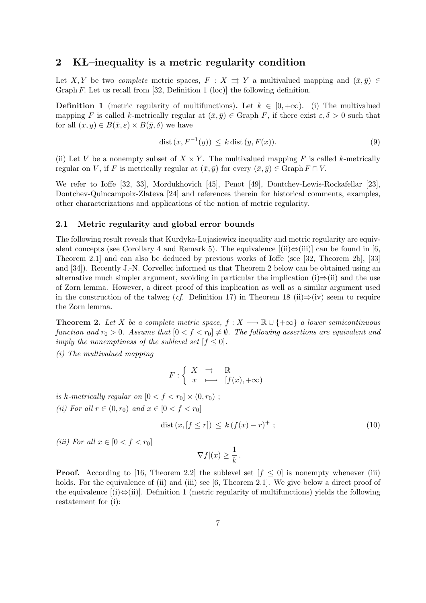### 2 KL-inequality is a metric regularity condition

Let X, Y be two *complete* metric spaces,  $F : X \rightrightarrows Y$  a multivalued mapping and  $(\bar{x}, \bar{y}) \in$ Graph F. Let us recall from [32, Definition 1 (loc)] the following definition.

**Definition 1** (metric regularity of multifunctions). Let  $k \in [0, +\infty)$ . (i) The multivalued mapping F is called k-metrically regular at  $(\bar{x}, \bar{y}) \in \text{Graph } F$ , if there exist  $\varepsilon, \delta > 0$  such that for all  $(x, y) \in B(\bar{x}, \varepsilon) \times B(\bar{y}, \delta)$  we have

$$
dist(x, F^{-1}(y)) \le k dist(y, F(x)).
$$
\n(9)

(ii) Let V be a nonempty subset of  $X \times Y$ . The multivalued mapping F is called k-metrically regular on V, if F is metrically regular at  $(\bar{x}, \bar{y})$  for every  $(\bar{x}, \bar{y}) \in \text{Graph } F \cap V$ .

We refer to Ioffe [32, 33], Mordukhovich [45], Penot [49], Dontchev-Lewis-Rockafellar [23], Dontchev-Quincampoix-Zlateva [24] and references therein for historical comments, examples, other characterizations and applications of the notion of metric regularity.

### 2.1 Metric regularity and global error bounds

The following result reveals that Kurdyka-Łojasiewicz inequality and metric regularity are equivalent concepts (see Corollary 4 and Remark 5). The equivalence  $[(ii) \Leftrightarrow (iii)]$  can be found in [6, Theorem 2.1] and can also be deduced by previous works of Ioffe (see [32, Theorem 2b], [33] and [34]). Recently J.-N. Corvellec informed us that Theorem 2 below can be obtained using an alternative much simpler argument, avoiding in particular the implication (i) $\Rightarrow$ (ii) and the use of Zorn lemma. However, a direct proof of this implication as well as a similar argument used in the construction of the talweg (cf. Definition 17) in Theorem 18 (ii) $\Rightarrow$ (iv) seem to require the Zorn lemma.

**Theorem 2.** Let X be a complete metric space,  $f : X \longrightarrow \mathbb{R} \cup \{+\infty\}$  a lower semicontinuous function and  $r_0 > 0$ . Assume that  $[0 < f < r_0] \neq \emptyset$ . The following assertions are equivalent and imply the nonemptiness of the sublevel set  $[f \leq 0]$ .

(i) The multivalued mapping

$$
F: \left\{ \begin{array}{ccc} X & \rightrightarrows & \mathbb{R} \\ x & \longmapsto & [f(x), +\infty) \end{array} \right.
$$

is k-metrically regular on  $[0 < f < r_0] \times (0, r_0)$ ; (*ii*) For all  $r \in (0, r_0)$  and  $x \in [0 < f < r_0]$ 

$$
\operatorname{dist}\left(x,\left[f\leq r\right]\right)\leq k\left(f(x)-r\right)^{+};\tag{10}
$$

(iii) For all  $x \in [0 < f < r_0]$ 

$$
|\nabla f|(x) \ge \frac{1}{k} \, .
$$

**Proof.** According to [16, Theorem 2.2] the sublevel set  $[f \leq 0]$  is nonempty whenever (iii) holds. For the equivalence of (ii) and (iii) see [6, Theorem 2.1]. We give below a direct proof of the equivalence  $[(i) \Leftrightarrow (ii)]$ . Definition 1 (metric regularity of multifunctions) yields the following restatement for (i):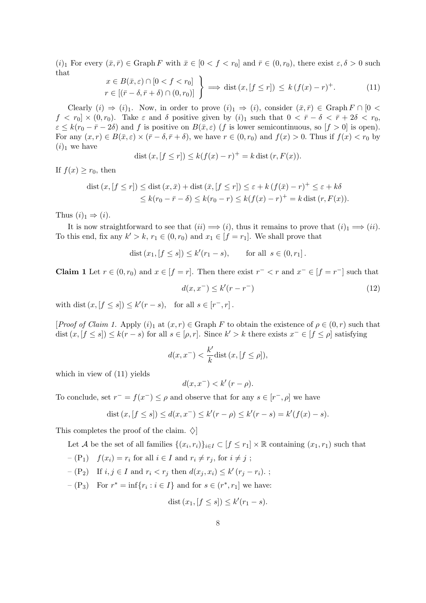$(i)_1$  For every  $(\bar{x}, \bar{r}) \in \text{Graph } F$  with  $\bar{x} \in [0 < f < r_0]$  and  $\bar{r} \in (0, r_0)$ , there exist  $\varepsilon, \delta > 0$  such that

$$
x \in B(\bar{x}, \varepsilon) \cap [0 < f < r_0]
$$
  
\n
$$
r \in [(\bar{r} - \delta, \bar{r} + \delta) \cap (0, r_0)] \longrightarrow \text{dist}(x, [f \le r]) \le k (f(x) - r)^+.
$$
 (11)

Clearly  $(i) \Rightarrow (i)_1$ . Now, in order to prove  $(i)_1 \Rightarrow (i)$ , consider  $(\bar{x}, \bar{r}) \in \text{Graph } F \cap [0 \lt \bar{F}]$  $f < r_0 \propto (0, r_0)$ . Take  $\varepsilon$  and  $\delta$  positive given by  $(i)_1$  such that  $0 < \bar{r} - \delta < \bar{r} + 2\delta < r_0$ ,  $\varepsilon \leq k(r_0 - \bar{r} - 2\delta)$  and f is positive on  $B(\bar{x}, \varepsilon)$  (f is lower semicontinuous, so  $|f > 0|$  is open). For any  $(x, r) \in B(\bar{x}, \varepsilon) \times (\bar{r} - \delta, \bar{r} + \delta)$ , we have  $r \in (0, r_0)$  and  $f(x) > 0$ . Thus if  $f(x) < r_0$  by  $(i)_1$  we have

dist 
$$
(x, [f \le r]) \le k(f(x) - r)^+ = k
$$
 dist  $(r, F(x))$ .

If  $f(x) > r_0$ , then

$$
\text{dist}\left(x,\left[f \leq r\right]\right) \leq \text{dist}\left(x,\bar{x}\right) + \text{dist}\left(\bar{x},\left[f \leq r\right]\right) \leq \varepsilon + k\left(f(\bar{x}) - r\right)^{+} \leq \varepsilon + k\delta
$$
\n
$$
\leq k(r_0 - \bar{r} - \delta) \leq k(r_0 - r) \leq k(f(x) - r)^{+} = k\,\text{dist}\left(r, F(x)\right).
$$

Thus  $(i)_1 \Rightarrow (i)$ .

It is now straightforward to see that  $(ii) \implies (i)$ , thus it remains to prove that  $(i)$ <sub>1</sub>  $\implies (ii)$ . To this end, fix any  $k' > k$ ,  $r_1 \in (0, r_0)$  and  $x_1 \in [f = r_1]$ . We shall prove that

dist 
$$
(x_1, [f \le s]) \le k'(r_1 - s)
$$
, for all  $s \in (0, r_1]$ .

**Claim 1** Let  $r \in (0, r_0)$  and  $x \in [f = r]$ . Then there exist  $r^- < r$  and  $x^- \in [f = r^-]$  such that

$$
d(x, x^-) \le k'(r - r^-) \tag{12}
$$

with dist  $(x, [f \le s]) \le k'(r - s)$ , for all  $s \in [r^-, r]$ .

[*Proof of Claim 1.* Apply  $(i)$ <sub>1</sub> at  $(x, r) \in \text{Graph } F$  to obtain the existence of  $\rho \in (0, r)$  such that  $dist(x, [f \le s]) \le k(r - s)$  for all  $s \in [\rho, r]$ . Since  $k' > k$  there exists  $x^- \in [f \le \rho]$  satisfying

$$
d(x, x^{-}) < \frac{k'}{k} \text{dist}\left(x, [f \le \rho]\right),
$$

which in view of (11) yields

$$
d(x, x^{-}) < k'(r - \rho).
$$

To conclude, set  $r^- = f(x^-) \leq \rho$  and observe that for any  $s \in [r^-,\rho]$  we have

dist 
$$
(x, [f \le s]) \le d(x, x^{-}) \le k'(r - \rho) \le k'(r - s) = k'(f(x) - s)
$$
.

This completes the proof of the claim.  $\Diamond$ 

Let A be the set of all families  $\{(x_i, r_i)\}_{i \in I} \subset [f \leq r_1] \times \mathbb{R}$  containing  $(x_1, r_1)$  such that

$$
-(P_1) \t f(x_i) = r_i \t for all  $i \in I$  and  $r_i \neq r_j$ , for  $i \neq j$ ;
$$

$$
-(P_2) \quad \text{If } i, j \in I \text{ and } r_i < r_j \text{ then } d(x_j, x_i) \leq k'(r_j - r_i) \, ;
$$

 $-(P_3)$  For  $r^* = \inf\{r_i : i \in I\}$  and for  $s \in (r^*, r_1]$  we have:

$$
dist(x_1, [f \le s]) \le k'(r_1 - s).
$$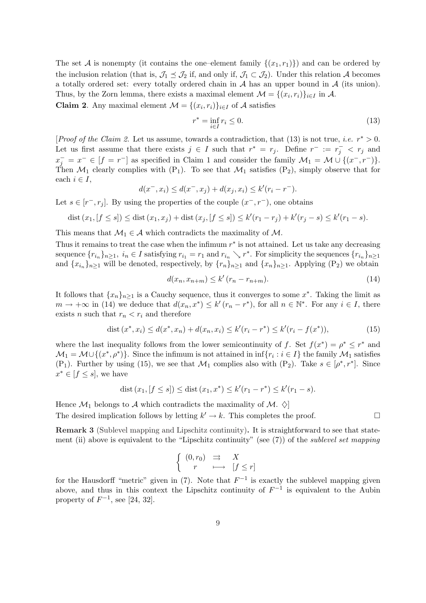The set A is nonempty (it contains the one–element family  $\{(x_1, r_1)\}\$ ) and can be ordered by the inclusion relation (that is,  $\mathcal{J}_1 \preceq \mathcal{J}_2$  if, and only if,  $\mathcal{J}_1 \subset \mathcal{J}_2$ ). Under this relation A becomes a totally ordered set: every totally ordered chain in  $A$  has an upper bound in  $A$  (its union). Thus, by the Zorn lemma, there exists a maximal element  $\mathcal{M} = \{(x_i, r_i)\}_{i \in I}$  in A.

**Claim 2.** Any maximal element  $\mathcal{M} = \{(x_i, r_i)\}_{i \in I}$  of A satisfies

$$
r^* = \inf_{i \in I} r_i \le 0. \tag{13}
$$

[*Proof of the Claim 2.* Let us assume, towards a contradiction, that (13) is not true, *i.e.*  $r^* > 0$ . Let us first assume that there exists  $j \in I$  such that  $r^* = r_j$ . Define  $r^- := r_j^- < r_j$  and  $x_j^- = x^- \in [f = r^-]$  as specified in Claim 1 and consider the family  $\mathcal{M}_1 = \mathcal{M} \cup \{(x^-, r^-)\}.$ Then  $\mathcal{M}_1$  clearly complies with  $(P_1)$ . To see that  $\mathcal{M}_1$  satisfies  $(P_2)$ , simply observe that for each  $i \in I$ ,

$$
d(x^-, x_i) \le d(x^-, x_j) + d(x_j, x_i) \le k'(r_i - r^-).
$$

Let  $s \in [r^-, r_j]$ . By using the properties of the couple  $(x^-, r^-)$ , one obtains

dist 
$$
(x_1, [f \le s]) \le
$$
 dist  $(x_1, x_j)$  + dist  $(x_j, [f \le s]) \le k'(r_1 - r_j) + k'(r_j - s) \le k'(r_1 - s)$ .

This means that  $\mathcal{M}_1 \in \mathcal{A}$  which contradicts the maximality of  $\mathcal{M}$ .

Thus it remains to treat the case when the infimum  $r^*$  is not attained. Let us take any decreasing sequence  $\{r_{i_n}\}_{n\geq 1}$ ,  $i_n \in I$  satisfying  $r_{i_1} = r_1$  and  $r_{i_n} \searrow r^*$ . For simplicity the sequences  $\{r_{i_n}\}_{n\geq 1}$ and  ${x_{i_n}}_{n>1}$  will be denoted, respectively, by  ${r_n}_{n>1}$  and  ${x_n}_{n>1}$ . Applying  $(P_2)$  we obtain

$$
d(x_n, x_{n+m}) \le k' (r_n - r_{n+m}).
$$
\n(14)

It follows that  $\{x_n\}_{n\geq 1}$  is a Cauchy sequence, thus it converges to some  $x^*$ . Taking the limit as  $m \to +\infty$  in (14) we deduce that  $d(x_n, x^*) \leq k'(r_n - r^*)$ , for all  $n \in \mathbb{N}^*$ . For any  $i \in I$ , there exists *n* such that  $r_n < r_i$  and therefore

$$
dist(x^*, x_i) \le d(x^*, x_n) + d(x_n, x_i) \le k'(r_i - r^*) \le k'(r_i - f(x^*)),
$$
\n(15)

where the last inequality follows from the lower semicontinuity of f. Set  $f(x^*) = \rho^* \leq r^*$  and  $\mathcal{M}_1 = \mathcal{M} \cup \{(x^*, \rho^*)\}.$  Since the infimum is not attained in  $\inf\{r_i : i \in I\}$  the family  $\mathcal{M}_1$  satisfies  $(P_1)$ . Further by using (15), we see that  $\mathcal{M}_1$  complies also with  $(P_2)$ . Take  $s \in [\rho^*, r^*]$ . Since  $x^* \in [f \leq s]$ , we have

$$
dist (x_1, [f \le s]) \le dist (x_1, x^*) \le k'(r_1 - r^*) \le k'(r_1 - s).
$$

Hence  $\mathcal{M}_1$  belongs to A which contradicts the maximality of  $\mathcal{M}_1$ . The desired implication follows by letting  $k' \to k$ . This completes the proof.  $\square$ 

Remark 3 (Sublevel mapping and Lipschitz continuity). It is straightforward to see that statement (ii) above is equivalent to the "Lipschitz continuity" (see  $(7)$ ) of the *sublevel set mapping* 

$$
\begin{cases} (0,r_0) & \Rightarrow & X \\ r & \longmapsto & [f \le r] \end{cases}
$$

for the Hausdorff "metric" given in (7). Note that  $F^{-1}$  is exactly the sublevel mapping given above, and thus in this context the Lipschitz continuity of  $F^{-1}$  is equivalent to the Aubin property of  $F^{-1}$ , see [24, 32].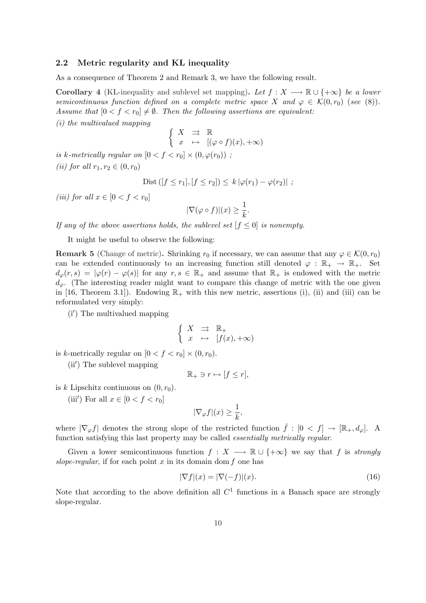### 2.2 Metric regularity and KL inequality

As a consequence of Theorem 2 and Remark 3, we have the following result.

Corollary 4 (KŁ-inequality and sublevel set mapping). Let  $f : X \longrightarrow \mathbb{R} \cup \{+\infty\}$  be a lower semicontinuous function defined on a complete metric space X and  $\varphi \in \mathcal{K}(0,r_0)$  (see (8)). Assume that  $[0 < f < r_0] \neq \emptyset$ . Then the following assertions are equivalent: (i) the multivalued mapping

$$
\left\{ \begin{array}{ccc} X & \rightrightarrows & \mathbb{R} \\ x & \mapsto & [(\varphi \circ f)(x), +\infty) \end{array} \right.
$$

is k-metrically regular on  $[0 < f < r_0] \times (0, \varphi(r_0))$ ; (*ii*) for all  $r_1, r_2 \in (0, r_0)$ 

Dist 
$$
([f \le r_1], [f \le r_2]) \le k |\varphi(r_1) - \varphi(r_2)|
$$
;

(iii) for all  $x \in [0 < f < r_0]$ 

$$
|\nabla(\varphi\circ f)|(x)\geq \frac{1}{k}.
$$

If any of the above assertions holds, the sublevel set  $f \leq 0$  is nonempty.

It might be useful to observe the following:

**Remark 5** (Change of metric). Shrinking  $r_0$  if necessary, we can assume that any  $\varphi \in \mathcal{K}(0, r_0)$ can be extended continuously to an increasing function still denoted  $\varphi : \mathbb{R}_+ \to \mathbb{R}_+$ . Set  $d_{\varphi}(r,s) = |\varphi(r) - \varphi(s)|$  for any  $r, s \in \mathbb{R}_{+}$  and assume that  $\mathbb{R}_{+}$  is endowed with the metric  $d_{\varphi}$ . (The interesting reader might want to compare this change of metric with the one given in [16, Theorem 3.1]). Endowing  $\mathbb{R}_+$  with this new metric, assertions (i), (ii) and (iii) can be reformulated very simply:

(i') The multivalued mapping

$$
\left\{ \begin{array}{ccc} X & \rightrightarrows & \mathbb{R}_+ \\ x & \mapsto & [f(x), +\infty) \end{array} \right.
$$

is k-metrically regular on  $[0 < f < r_0] \times (0, r_0)$ .

(ii') The sublevel mapping

$$
\mathbb{R}_+ \ni r \mapsto [f \le r],
$$

is k Lipschitz continuous on  $(0, r_0)$ .

(iii') For all  $x \in [0 < f < r_0]$ 

$$
|\nabla_{\varphi} f|(x) \ge \frac{1}{k},
$$

where  $|\nabla_{\varphi} f|$  denotes the strong slope of the restricted function  $\bar{f}: [0 \lt f] \to [\mathbb{R}_+, d_{\varphi}]$ . A function satisfying this last property may be called essentially metrically regular.

Given a lower semicontinuous function  $f : X \longrightarrow \mathbb{R} \cup \{+\infty\}$  we say that f is strongly slope-regular, if for each point  $x$  in its domain dom  $f$  one has

$$
|\nabla f|(x) = |\nabla(-f)|(x). \tag{16}
$$

Note that according to the above definition all  $C<sup>1</sup>$  functions in a Banach space are strongly slope-regular.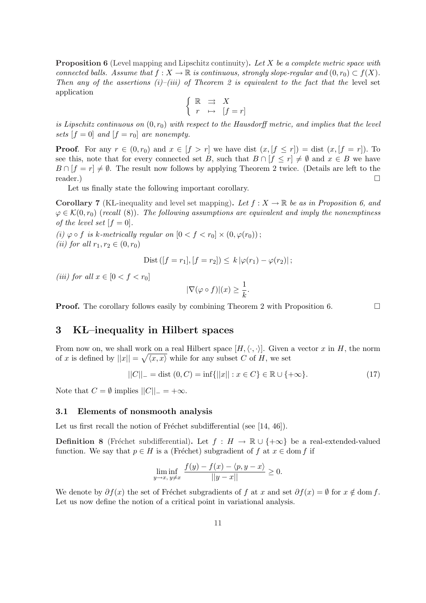**Proposition 6** (Level mapping and Lipschitz continuity). Let X be a complete metric space with connected balls. Assume that  $f: X \to \mathbb{R}$  is continuous, strongly slope-regular and  $(0,r_0) \subset f(X)$ . Then any of the assertions (i)–(iii) of Theorem 2 is equivalent to the fact that the level set application ½

$$
\left\{ \begin{array}{ccc} \mathbb{R} & \rightrightarrows & X \\ r & \mapsto & [f=r] \end{array} \right.
$$

is Lipschitz continuous on  $(0, r_0)$  with respect to the Hausdorff metric, and implies that the level sets  $[f = 0]$  and  $[f = r_0]$  are nonempty.

**Proof.** For any  $r \in (0, r_0)$  and  $x \in [f > r]$  we have dist  $(x, [f \le r]) =$  dist  $(x, [f = r])$ . To see this, note that for every connected set B, such that  $B \cap [f \le r] \neq \emptyset$  and  $x \in B$  we have  $B \cap [f = r] \neq \emptyset$ . The result now follows by applying Theorem 2 twice. (Details are left to the reader.)  $\Box$ 

Let us finally state the following important corollary.

Corollary 7 (KŁ-inequality and level set mapping). Let  $f: X \to \mathbb{R}$  be as in Proposition 6, and  $\varphi \in \mathcal{K}(0, r_0)$  (recall (8)). The following assumptions are equivalent and imply the nonemptiness of the level set  $[f = 0]$ .

(i)  $\varphi \circ f$  is k-metrically regular on  $[0 < f < r_0] \times (0, \varphi(r_0))$ ; (*ii*) for all  $r_1, r_2 \in (0, r_0)$ 

Dist 
$$
([f = r_1], [f = r_2]) \le k |\varphi(r_1) - \varphi(r_2)|
$$
;

(iii) for all  $x \in [0 < f < r_0]$ 

$$
|\nabla(\varphi\circ f)|(x)\geq\frac{1}{k}.
$$

**Proof.** The corollary follows easily by combining Theorem 2 with Proposition 6.  $\Box$ 

# 3 KL–inequality in Hilbert spaces

From now on, we shall work on a real Hilbert space  $[H, \langle \cdot, \cdot \rangle]$ . Given a vector x in H, the norm of x is defined by  $||x|| = \sqrt{\langle x, x \rangle}$  while for any subset C of H, we set

$$
||C||_{-} = \text{dist}(0, C) = \inf\{||x|| : x \in C\} \in \mathbb{R} \cup \{+\infty\}.
$$
 (17)

Note that  $C = \emptyset$  implies  $||C||_- = +\infty$ .

### 3.1 Elements of nonsmooth analysis

Let us first recall the notion of Fréchet subdifferential (see  $[14, 46]$ ).

**Definition 8** (Fréchet subdifferential). Let  $f : H \to \mathbb{R} \cup \{+\infty\}$  be a real-extended-valued function. We say that  $p \in H$  is a (Fréchet) subgradient of f at  $x \in \text{dom } f$  if

$$
\liminf_{y \to x, y \neq x} \frac{f(y) - f(x) - \langle p, y - x \rangle}{||y - x||} \ge 0.
$$

We denote by  $\partial f(x)$  the set of Fréchet subgradients of f at x and set  $\partial f(x) = \emptyset$  for  $x \notin \text{dom } f$ . Let us now define the notion of a critical point in variational analysis.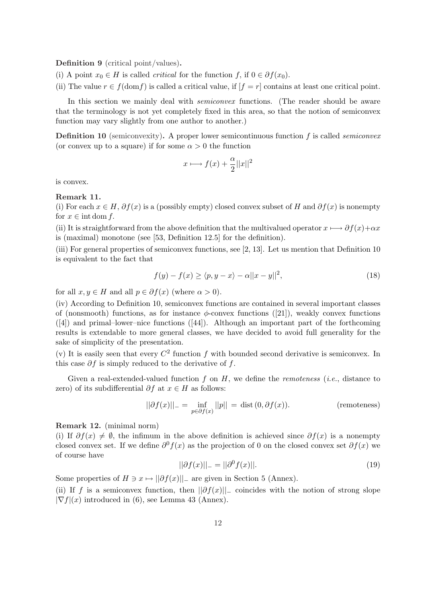Definition 9 (critical point/values).

(i) A point  $x_0 \in H$  is called *critical* for the function f, if  $0 \in \partial f(x_0)$ .

(ii) The value  $r \in f(\text{dom} f)$  is called a critical value, if  $|f = r|$  contains at least one critical point.

In this section we mainly deal with *semiconvex* functions. (The reader should be aware that the terminology is not yet completely fixed in this area, so that the notion of semiconvex function may vary slightly from one author to another.)

**Definition 10** (semiconvexity). A proper lower semicontinuous function  $f$  is called *semiconvex* (or convex up to a square) if for some  $\alpha > 0$  the function

$$
x \longmapsto f(x) + \frac{\alpha}{2}||x||^2
$$

is convex.

Remark 11.

(i) For each  $x \in H$ ,  $\partial f(x)$  is a (possibly empty) closed convex subset of H and  $\partial f(x)$  is nonempty for  $x \in \text{int dom } f$ .

(ii) It is straightforward from the above definition that the multivalued operator  $x \mapsto \partial f(x)+\alpha x$ is (maximal) monotone (see [53, Definition 12.5] for the definition).

(iii) For general properties of semiconvex functions, see [2, 13]. Let us mention that Definition 10 is equivalent to the fact that

$$
f(y) - f(x) \ge \langle p, y - x \rangle - \alpha ||x - y||^2,
$$
\n(18)

for all  $x, y \in H$  and all  $p \in \partial f(x)$  (where  $\alpha > 0$ ).

(iv) According to Definition 10, semiconvex functions are contained in several important classes of (nonsmooth) functions, as for instance  $\phi$ -convex functions ([21]), weakly convex functions  $([4])$  and primal–lower–nice functions  $([44])$ . Although an important part of the forthcoming results is extendable to more general classes, we have decided to avoid full generality for the sake of simplicity of the presentation.

(v) It is easily seen that every  $C^2$  function f with bounded second derivative is semiconvex. In this case  $\partial f$  is simply reduced to the derivative of f.

Given a real-extended-valued function f on  $H$ , we define the *remoteness* (*i.e.*, distance to zero) of its subdifferential  $\partial f$  at  $x \in H$  as follows:

$$
||\partial f(x)||_{-} = \inf_{p \in \partial f(x)} ||p|| = \text{dist}(0, \partial f(x)).
$$
 (remoteness)

Remark 12. (minimal norm)

(i) If  $\partial f(x) \neq \emptyset$ , the infimum in the above definition is achieved since  $\partial f(x)$  is a nonempty closed convex set. If we define  $\partial^0 f(x)$  as the projection of 0 on the closed convex set  $\partial f(x)$  we of course have

$$
||\partial f(x)||_{-} = ||\partial^{0} f(x)||. \tag{19}
$$

Some properties of  $H \ni x \mapsto ||\partial f(x)||_{-}$  are given in Section 5 (Annex).

(ii) If f is a semiconvex function, then  $||\partial f(x)||$  coincides with the notion of strong slope  $|\nabla f|(x)$  introduced in (6), see Lemma 43 (Annex).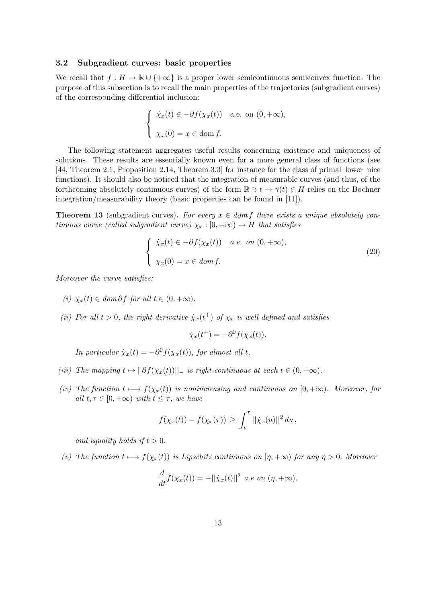### 3.2 Subgradient curves: basic properties

We recall that  $f : H \to \mathbb{R} \cup \{+\infty\}$  is a proper lower semicontinuous semiconvex function. The purpose of this subsection is to recall the main properties of the trajectories (subgradient curves) of the corresponding differential inclusion:

$$
\begin{cases} \n\dot{\chi}_x(t) \in -\partial f(\chi_x(t)) & \text{a.e. on } (0, +\infty), \\
\chi_x(0) = x \in \text{dom } f.\n\end{cases}
$$

The following statement aggregates useful results concerning existence and uniqueness of solutions. These results are essentially known even for a more general class of functions (see [44, Theorem 2.1, Proposition 2.14, Theorem 3.3] for instance for the class of primal–lower–nice functions). It should also be noticed that the integration of measurable curves (and thus, of the forthcoming absolutely continuous curves) of the form  $\mathbb{R} \ni t \to \gamma(t) \in H$  relies on the Bochner integration/measurability theory (basic properties can be found in [11]).

**Theorem 13** (subgradient curves). For every  $x \in dom f$  there exists a unique absolutely continuous curve (called subgradient curve)  $\chi_x : [0, +\infty) \to H$  that satisfies

$$
\begin{cases} \n\dot{\chi}_x(t) \in -\partial f(\chi_x(t)) & a.e. \text{ on } (0, +\infty), \\ \n\chi_x(0) = x \in \text{dom } f. \n\end{cases} \tag{20}
$$

Moreover the curve satisfies:

- (i)  $\chi_x(t) \in dom \partial f$  for all  $t \in (0, +\infty)$ .
- (ii) For all  $t > 0$ , the right derivative  $\dot{\chi}_x(t^+)$  of  $\chi_x$  is well defined and satisfies

$$
\dot{\chi}_x(t^+) = -\partial^0 f(\chi_x(t)).
$$

In particular  $\dot{\chi}_x(t) = -\partial^0 f(\chi_x(t))$ , for almost all t.

- (iii) The mapping  $t \mapsto ||\partial f(\chi_x(t))||_-\;$  is right-continuous at each  $t \in (0, +\infty)$ .
- (iv) The function  $t \mapsto f(\chi_x(t))$  is nonincreasing and continuous on  $[0, +\infty)$ . Moreover, for all  $t, \tau \in [0, +\infty)$  with  $t \leq \tau$ , we have

$$
f(\chi_x(t)) - f(\chi_x(\tau)) \ge \int_t^\tau ||\dot{\chi}_x(u)||^2 du,
$$

and equality holds if  $t > 0$ .

(v) The function  $t \mapsto f(\chi_x(t))$  is Lipschitz continuous on  $[\eta, +\infty)$  for any  $\eta > 0$ . Moreover

$$
\frac{d}{dt}f(\chi_x(t)) = -||\dot{\chi}_x(t)||^2 \ a.e \ on \ (\eta, +\infty).
$$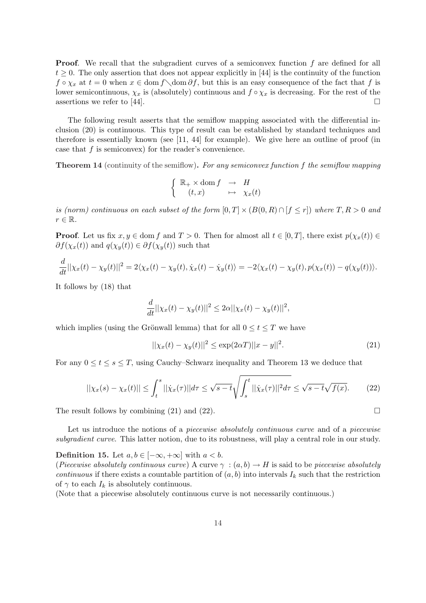**Proof.** We recall that the subgradient curves of a semiconvex function f are defined for all  $t \geq 0$ . The only assertion that does not appear explicitly in [44] is the continuity of the function  $f \circ \chi_x$  at  $t = 0$  when  $x \in \text{dom } \partial f$ , but this is an easy consequence of the fact that f is lower semicontinuous,  $\chi_x$  is (absolutely) continuous and  $f \circ \chi_x$  is decreasing. For the rest of the assertions we refer to [44].  $\Box$ 

The following result asserts that the semiflow mapping associated with the differential inclusion (20) is continuous. This type of result can be established by standard techniques and therefore is essentially known (see [11, 44] for example). We give here an outline of proof (in case that  $f$  is semiconvex) for the reader's convenience.

Theorem 14 (continuity of the semiflow). For any semiconvex function f the semiflow mapping

$$
\begin{cases} \mathbb{R}_+ \times \text{dom } f \rightarrow H \\ (t,x) \rightarrow \chi_x(t) \end{cases}
$$

is (norm) continuous on each subset of the form  $[0, T] \times (B(0, R) \cap [f \le r])$  where  $T, R > 0$  and  $r \in \mathbb{R}$ .

**Proof.** Let us fix  $x, y \in \text{dom } f$  and  $T > 0$ . Then for almost all  $t \in [0, T]$ , there exist  $p(\chi_x(t)) \in$  $\partial f(\chi_x(t))$  and  $q(\chi_y(t)) \in \partial f(\chi_y(t))$  such that

$$
\frac{d}{dt}||\chi_x(t) - \chi_y(t)||^2 = 2\langle \chi_x(t) - \chi_y(t), \dot{\chi}_x(t) - \dot{\chi}_y(t) \rangle = -2\langle \chi_x(t) - \chi_y(t), p(\chi_x(t)) - q(\chi_y(t)) \rangle.
$$

It follows by (18) that

$$
\frac{d}{dt}||\chi_x(t) - \chi_y(t)||^2 \le 2\alpha ||\chi_x(t) - \chi_y(t)||^2,
$$

which implies (using the Grönwall lemma) that for all  $0 \le t \le T$  we have

$$
||\chi_x(t) - \chi_y(t)||^2 \le \exp(2\alpha T) ||x - y||^2.
$$
 (21)

For any  $0 \le t \le s \le T$ , using Cauchy–Schwarz inequality and Theorem 13 we deduce that

$$
||\chi_x(s) - \chi_x(t)|| \le \int_t^s ||\dot{\chi}_x(\tau)||d\tau \le \sqrt{s-t} \sqrt{\int_s^t ||\dot{\chi}_x(\tau)||^2 d\tau} \le \sqrt{s-t} \sqrt{f(x)}.
$$
 (22)

The result follows by combining (21) and (22).  $\Box$ 

Let us introduce the notions of a *piecewise absolutely continuous curve* and of a *piecewise* subgradient curve. This latter notion, due to its robustness, will play a central role in our study.

Definition 15. Let  $a, b \in [-\infty, +\infty]$  with  $a < b$ .

(Piecewise absolutely continuous curve) A curve  $\gamma : (a, b) \to H$  is said to be piecewise absolutely continuous if there exists a countable partition of  $(a, b)$  into intervals  $I_k$  such that the restriction of  $\gamma$  to each  $I_k$  is absolutely continuous.

(Note that a piecewise absolutely continuous curve is not necessarily continuous.)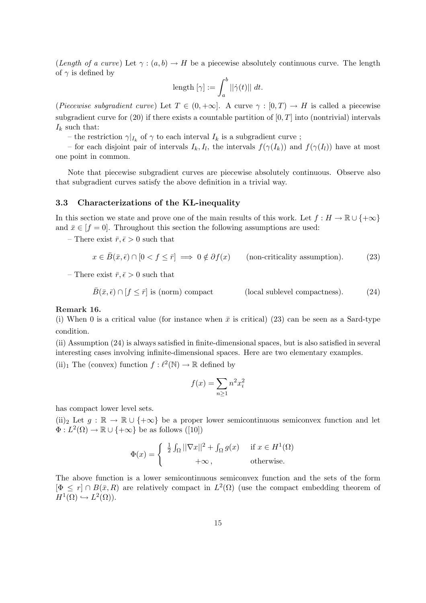(Length of a curve) Let  $\gamma : (a, b) \to H$  be a piecewise absolutely continuous curve. The length of  $\gamma$  is defined by

$$
\text{length }[\gamma]:=\int_a^b ||\dot\gamma(t)||\ dt.
$$

(Piecewise subgradient curve) Let  $T \in (0, +\infty]$ . A curve  $\gamma : [0, T) \to H$  is called a piecewise subgradient curve for  $(20)$  if there exists a countable partition of  $[0, T]$  into (nontrivial) intervals  $I_k$  such that:

– the restriction  $\gamma|_{I_k}$  of  $\gamma$  to each interval  $I_k$  is a subgradient curve;

– for each disjoint pair of intervals  $I_k, I_l$ , the intervals  $f(\gamma(I_k))$  and  $f(\gamma(I_l))$  have at most one point in common.

Note that piecewise subgradient curves are piecewise absolutely continuous. Observe also that subgradient curves satisfy the above definition in a trivial way.

### 3.3 Characterizations of the KL-inequality

In this section we state and prove one of the main results of this work. Let  $f : H \to \mathbb{R} \cup \{+\infty\}$ and  $\bar{x} \in [f = 0]$ . Throughout this section the following assumptions are used:

– There exist  $\bar{r}, \bar{\epsilon} > 0$  such that

$$
x \in \bar{B}(\bar{x}, \bar{\epsilon}) \cap [0 < f \le \bar{r}] \implies 0 \notin \partial f(x) \qquad \text{(non-criticality assumption)}.
$$
 (23)

– There exist  $\bar{r}, \bar{\epsilon} > 0$  such that

$$
\bar{B}(\bar{x}, \bar{\epsilon}) \cap [f \le \bar{r}] \text{ is (norm) compact} \qquad \qquad \text{(local sublevel compactness)}.
$$
 (24)

Remark 16.

(i) When 0 is a critical value (for instance when  $\bar{x}$  is critical) (23) can be seen as a Sard-type condition.

(ii) Assumption (24) is always satisfied in finite-dimensional spaces, but is also satisfied in several interesting cases involving infinite-dimensional spaces. Here are two elementary examples. (ii)<sub>1</sub> The (convex) function  $f : \ell^2(\mathbb{N}) \to \mathbb{R}$  defined by

$$
f(x) = \sum_{n \ge 1} n^2 x_i^2
$$

has compact lower level sets.

(ii)<sub>2</sub> Let  $q : \mathbb{R} \to \mathbb{R} \cup \{+\infty\}$  be a proper lower semicontinuous semiconvex function and let  $\Phi: L^2(\Omega) \to \mathbb{R} \cup \{+\infty\}$  be as follows ([10])

$$
\Phi(x) = \begin{cases} \frac{1}{2} \int_{\Omega} ||\nabla x||^2 + \int_{\Omega} g(x) & \text{if } x \in H^1(\Omega) \\ +\infty, & \text{otherwise.} \end{cases}
$$

The above function is a lower semicontinuous semiconvex function and the sets of the form  $[\Phi \leq r] \cap B(\bar{x}, R)$  are relatively compact in  $L^2(\Omega)$  (use the compact embedding theorem of  $H^1(\Omega) \hookrightarrow L^2(\Omega)$ .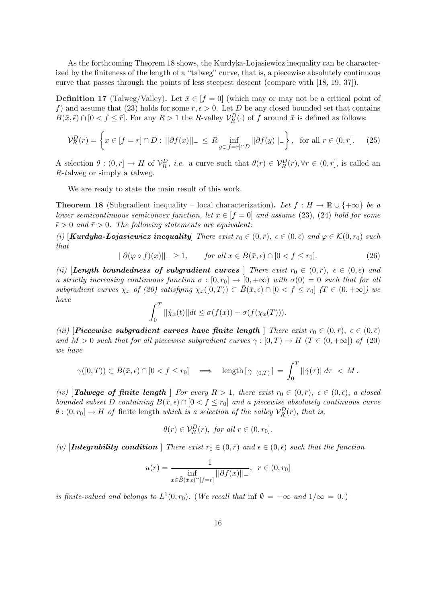As the forthcoming Theorem 18 shows, the Kurdyka-Łojasiewicz inequality can be characterized by the finiteness of the length of a "talweg" curve, that is, a piecewise absolutely continuous curve that passes through the points of less steepest descent (compare with [18, 19, 37]).

**Definition 17** (Talweg/Valley). Let  $\bar{x} \in [f = 0]$  (which may or may not be a critical point of f) and assume that (23) holds for some  $\bar{r}, \bar{\epsilon} > 0$ . Let D be any closed bounded set that contains  $B(\bar{x}, \bar{\epsilon}) \cap [0 \lt f \leq \bar{r}]$ . For any  $R > 1$  the R-valley  $\mathcal{V}_R^D(\cdot)$  of f around  $\bar{x}$  is defined as follows:

$$
\mathcal{V}_R^D(r) = \left\{ x \in [f = r] \cap D : ||\partial f(x)||_{-} \le R \inf_{y \in [f = r] \cap D} ||\partial f(y)||_{-} \right\}, \text{ for all } r \in (0, \bar{r}]. \tag{25}
$$

A selection  $\theta: (0, \bar{r}] \to H$  of  $\mathcal{V}_R^D$ , *i.e.* a curve such that  $\theta(r) \in \mathcal{V}_R^D(r)$ ,  $\forall r \in (0, \bar{r}]$ , is called an R-talweg or simply a talweg.

We are ready to state the main result of this work.

**Theorem 18** (Subgradient inequality – local characterization). Let  $f : H \to \mathbb{R} \cup \{+\infty\}$  be a lower semicontinuous semiconvex function, let  $\bar{x} \in [f = 0]$  and assume (23), (24) hold for some  $\bar{\epsilon} > 0$  and  $\bar{r} > 0$ . The following statements are equivalent:

(i) [**Kurdyka-Łojasiewicz inequality**] There exist  $r_0 \in (0, \bar{r})$ ,  $\epsilon \in (0, \bar{\epsilon})$  and  $\varphi \in \mathcal{K}(0, r_0)$  such that

$$
||\partial(\varphi \circ f)(x)||_{-} \ge 1, \qquad \text{for all } x \in \bar{B}(\bar{x}, \epsilon) \cap [0 < f \le r_0]. \tag{26}
$$

(ii) [Length boundedness of subgradient curves ] There exist  $r_0 \in (0, \bar{r})$ ,  $\epsilon \in (0, \bar{\epsilon})$  and a strictly increasing continuous function  $\sigma : [0, r_0] \to [0, +\infty)$  with  $\sigma(0) = 0$  such that for all subgradient curves  $\chi_x$  of (20) satisfying  $\chi_x([0,T)) \subset \overline{B}(\overline{x},\epsilon) \cap [0 < f \leq r_0]$  (T  $\in (0,+\infty]$ ) we have

$$
\int_0^T ||\dot{\chi}_x(t)|| dt \leq \sigma(f(x)) - \sigma(f(\chi_x(T))).
$$

(iii) [**Piecewise subgradient curves have finite length** ] There exist  $r_0 \in (0, \bar{r})$ ,  $\epsilon \in (0, \bar{\epsilon})$ and  $M > 0$  such that for all piecewise subgradient curves  $\gamma : [0, T) \to H$   $(T \in (0, +\infty])$  of (20) we have

$$
\gamma([0,T)) \subset \bar{B}(\bar{x},\epsilon) \cap [0 < f \leq r_0] \quad \Longrightarrow \quad \text{length}\left[\gamma\left|_{(0,T)}\right.\right] = \int_0^T ||\dot{\gamma}(\tau)||d\tau \, < \, M \, .
$$

(iv) [Talwege of finite length | For every  $R > 1$ , there exist  $r_0 \in (0, \bar{r})$ ,  $\epsilon \in (0, \bar{\epsilon})$ , a closed bounded subset D containing  $B(\bar{x}, \epsilon) \cap [0 \lt f \leq r_0]$  and a piecewise absolutely continuous curve  $\theta$ :  $(0, r_0] \rightarrow H$  of finite length which is a selection of the valley  $\mathcal{V}_R^D(r)$ , that is,

$$
\theta(r) \in \mathcal{V}_R^D(r), \text{ for all } r \in (0, r_0].
$$

(v) [Integrability condition ] There exist  $r_0 \in (0, \bar{r})$  and  $\epsilon \in (0, \bar{\epsilon})$  such that the function

$$
u(r) = \frac{1}{\inf_{x \in \bar{B}(\bar{x}, \epsilon) \cap [f=r]} ||\partial f(x)||_{-}}, \ \ r \in (0, r_0]
$$

is finite-valued and belongs to  $L^1(0,r_0)$ . (We recall that inf  $\emptyset = +\infty$  and  $1/\infty = 0$ .)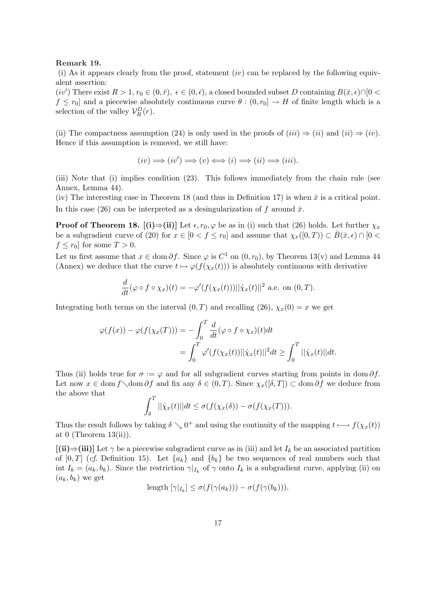#### Remark 19.

(i) As it appears clearly from the proof, statement  $(iv)$  can be replaced by the following equivalent assertion:

 $(iv')$  There exist  $R > 1$ ,  $r_0 \in (0, \bar{r})$ ,  $\epsilon \in (0, \bar{\epsilon})$ , a closed bounded subset D containing  $B(\bar{x}, \epsilon) \cap [0 \leq \epsilon]$  $f \leq r_0$  and a piecewise absolutely continuous curve  $\theta : (0, r_0] \to H$  of finite length which is a selection of the valley  $\mathcal{V}_R^D(r)$ .

(ii) The compactness assumption (24) is only used in the proofs of  $(iii) \Rightarrow (ii)$  and  $(ii) \Rightarrow (iv)$ . Hence if this assumption is removed, we still have:

$$
(iv) \Longrightarrow (iv') \Longrightarrow (v) \Longleftrightarrow (i) \Longrightarrow (ii) \Longrightarrow (iii).
$$

(iii) Note that (i) implies condition (23). This follows immediately from the chain rule (see Annex, Lemma 44).

(iv) The interesting case in Theorem 18 (and thus in Definition 17) is when  $\bar{x}$  is a critical point. In this case (26) can be interpreted as a desingularization of f around  $\bar{x}$ .

**Proof of Theorem 18.**  $[(i) \Rightarrow (ii)]$  Let  $\epsilon, r_0, \varphi$  be as in (i) such that (26) holds. Let further  $\chi_x$ be a subgradient curve of (20) for  $x \in [0 < f \le r_0]$  and assume that  $\chi_x([0, T)) \subset \overline{B}(\overline{x}, \epsilon) \cap [0 <$  $f \leq r_0$  for some  $T > 0$ .

Let us first assume that  $x \in \text{dom } \partial f$ . Since  $\varphi$  is  $C^1$  on  $(0, r_0)$ , by Theorem 13(v) and Lemma 44 (Annex) we deduce that the curve  $t \mapsto \varphi(f(\chi_x(t)))$  is absolutely continuous with derivative

$$
\frac{d}{dt}(\varphi \circ f \circ \chi_x)(t) = -\varphi'(f(\chi_x(t)))||\dot{\chi}_x(t)||^2
$$
 a.e. on  $(0, T)$ .

Integrating both terms on the interval  $(0, T)$  and recalling  $(26)$ ,  $\chi_x(0) = x$  we get

$$
\varphi(f(x)) - \varphi(f(\chi_x(T))) = -\int_0^T \frac{d}{dt} (\varphi \circ f \circ \chi_x)(t) dt
$$
  
= 
$$
\int_0^T \varphi'(f(\chi_x(t))||\dot{\chi}_x(t)||^2 dt \ge \int_0^T ||\dot{\chi}_x(t)||dt.
$$

Thus (ii) holds true for  $\sigma := \varphi$  and for all subgradient curves starting from points in dom  $\partial f$ . Let now  $x \in \text{dom } f \cdot \text{dom } \partial f$  and fix any  $\delta \in (0, T)$ . Since  $\chi_x([\delta, T]) \subset \text{dom } \partial f$  we deduce from the above that  $\mathbf{r}^T$ 

$$
\int_{\delta}^{T} ||\dot{\chi}_x(t)||dt \leq \sigma(f(\chi_x(\delta)) - \sigma(f(\chi_x(T))).
$$

Thus the result follows by taking  $\delta \searrow 0^+$  and using the continuity of the mapping  $t \mapsto f(\chi_x(t))$ at 0 (Theorem  $13(ii)$ ).

 $[(ii) \Rightarrow (iii)]$  Let  $\gamma$  be a piecewise subgradient curve as in (iii) and let  $I_k$  be an associated partition of  $[0, T]$  (cf. Definition 15). Let  $\{a_k\}$  and  $\{b_k\}$  be two sequences of real numbers such that int  $I_k = (a_k, b_k)$ . Since the restriction  $\gamma|_{I_k}$  of  $\gamma$  onto  $I_k$  is a subgradient curve, applying (ii) on  $(a_k, b_k)$  we get

length 
$$
[\gamma|_{I_k}] \leq \sigma(f(\gamma(a_k))) - \sigma(f(\gamma(b_k))).
$$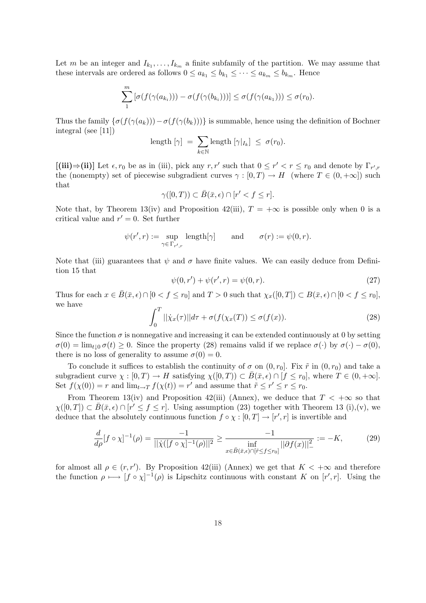Let m be an integer and  $I_{k_1}, \ldots, I_{k_m}$  a finite subfamily of the partition. We may assume that these intervals are ordered as follows  $0 \le a_{k_1} \le b_{k_1} \le \cdots \le a_{k_m} \le b_{k_m}$ . Hence

$$
\sum_{1}^{m} \left[ \sigma(f(\gamma(a_{k_i}))) - \sigma(f(\gamma(b_{k_i}))) \right] \leq \sigma(f(\gamma(a_{k_1}))) \leq \sigma(r_0).
$$

Thus the family  $\{\sigma(f(\gamma(a_k))) - \sigma(f(\gamma(b_k)))\}$  is summable, hence using the definition of Bochner integral (see [11])

length 
$$
[\gamma] = \sum_{k \in \mathbb{N}} \text{length } [\gamma|_{I_k}] \leq \sigma(r_0).
$$

[(iii)⇒(ii)] Let  $\epsilon, r_0$  be as in (iii), pick any  $r, r'$  such that  $0 \le r' < r \le r_0$  and denote by  $\Gamma_{r',r}$ the (nonempty) set of piecewise subgradient curves  $\gamma : [0, T) \to H$  (where  $T \in (0, +\infty)$ ) such that

$$
\gamma([0,T)) \subset \bar{B}(\bar{x},\epsilon) \cap [r' < f \le r].
$$

Note that, by Theorem 13(iv) and Proposition 42(iii),  $T = +\infty$  is possible only when 0 is a critical value and  $r' = 0$ . Set further

$$
\psi(r',r):=\sup_{\gamma\in\,\Gamma_{r',r}}\,\, \mathrm{length}[\gamma]\qquad\text{and}\qquad \sigma(r):=\psi(0,r).
$$

Note that (iii) guarantees that  $\psi$  and  $\sigma$  have finite values. We can easily deduce from Definition 15 that

$$
\psi(0, r') + \psi(r', r) = \psi(0, r). \tag{27}
$$

Thus for each  $x \in \overline{B}(\overline{x}, \epsilon) \cap [0 < f \leq r_0]$  and  $T > 0$  such that  $\chi_x([0, T]) \subset B(\overline{x}, \epsilon) \cap [0 < f \leq r_0]$ , we have  $\mathcal{L}$ 

$$
\int_0^T ||\dot{\chi}_x(\tau)||d\tau + \sigma(f(\chi_x(T))) \le \sigma(f(x)).\tag{28}
$$

Since the function  $\sigma$  is nonnegative and increasing it can be extended continuously at 0 by setting  $\sigma(0) = \lim_{t \to 0} \sigma(t) \geq 0$ . Since the property (28) remains valid if we replace  $\sigma(\cdot)$  by  $\sigma(\cdot) - \sigma(0)$ , there is no loss of generality to assume  $\sigma(0) = 0$ .

To conclude it suffices to establish the continuity of  $\sigma$  on  $(0, r_0]$ . Fix  $\tilde{r}$  in  $(0, r_0)$  and take a subgradient curve  $\chi : [0, T) \to H$  satisfying  $\chi([0, T)) \subset \overline{B}(\overline{x}, \epsilon) \cap [f \leq r_0]$ , where  $T \in (0, +\infty]$ . Set  $f(\chi(0)) = r$  and  $\lim_{t \to T} f(\chi(t)) = r'$  and assume that  $\tilde{r} \le r' \le r \le r_0$ .

From Theorem 13(iv) and Proposition 42(iii) (Annex), we deduce that  $T < +\infty$  so that  $\chi([0,T]) \subset \overline{B}(\overline{x}, \epsilon) \cap [r' \leq f \leq r]$ . Using assumption (23) together with Theorem 13 (i),(v), we deduce that the absolutely continuous function  $f \circ \chi : [0, T] \to [r', r]$  is invertible and

$$
\frac{d}{d\rho}[f \circ \chi]^{-1}(\rho) = \frac{-1}{||\dot{\chi}([f \circ \chi]^{-1}(\rho)||^2} \ge \frac{-1}{\inf_{x \in \bar{B}(\bar{x}, \epsilon) \cap [\tilde{r} \le f \le r_0]} ||\partial f(x)||^2_{-}} := -K,\tag{29}
$$

for almost all  $\rho \in (r, r')$ . By Proposition 42(iii) (Annex) we get that  $K < +\infty$  and therefore the function  $\rho \mapsto [f \circ \chi]^{-1}(\rho)$  is Lipschitz continuous with constant K on  $[r',r]$ . Using the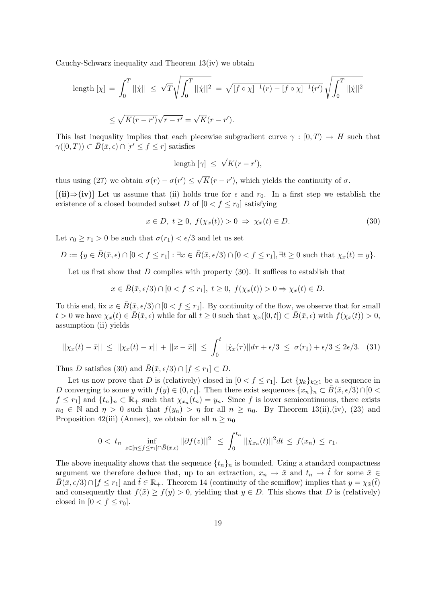Cauchy-Schwarz inequality and Theorem 13(iv) we obtain

length 
$$
[\chi] = \int_0^T ||\dot{\chi}|| \le \sqrt{T} \sqrt{\int_0^T ||\dot{\chi}||^2} = \sqrt{[f \circ \chi]^{-1}(r) - [f \circ \chi]^{-1}(r')} \sqrt{\int_0^T ||\dot{\chi}||^2}
$$
  

$$
\le \sqrt{K(r - r')} \sqrt{r - r'} = \sqrt{K}(r - r').
$$

This last inequality implies that each piecewise subgradient curve  $\gamma : [0, T) \to H$  such that  $\gamma([0,T)) \subset \overline{B}(\overline{x}, \epsilon) \cap [r' \leq f \leq r]$  satisfies

$$
length [\gamma] \leq \sqrt{K}(r - r'),
$$

thus using (27) we obtain  $\sigma(r) - \sigma(r') \leq$ √  $\overline{K}(r-r')$ , which yields the continuity of  $\sigma$ .

 $[(ii) \Rightarrow (iv)]$  Let us assume that (ii) holds true for  $\epsilon$  and  $r_0$ . In a first step we establish the existence of a closed bounded subset D of  $[0 < f \le r_0]$  satisfying

$$
x \in D, t \ge 0, f(\chi_x(t)) > 0 \Rightarrow \chi_x(t) \in D.
$$
\n
$$
(30)
$$

Let  $r_0 \ge r_1 > 0$  be such that  $\sigma(r_1) < \epsilon/3$  and let us set

$$
D := \{ y \in \overline{B}(\overline{x}, \epsilon) \cap [0 < f \le r_1] : \exists x \in \overline{B}(\overline{x}, \epsilon/3) \cap [0 < f \le r_1], \exists t \ge 0 \text{ such that } \chi_x(t) = y \}.
$$

Let us first show that  $D$  complies with property  $(30)$ . It suffices to establish that

$$
x\in \bar B(\bar x,\epsilon/3)\cap [00\Rightarrow \chi_x(t)\in D.
$$

To this end, fix  $x \in \overline{B}(\overline{x}, \epsilon/3) \cap [0 < f \leq r_1]$ . By continuity of the flow, we observe that for small  $t > 0$  we have  $\chi_x(t) \in \overline{B}(\overline{x}, \epsilon)$  while for all  $t \geq 0$  such that  $\chi_x([0, t]) \subset \overline{B}(\overline{x}, \epsilon)$  with  $f(\chi_x(t)) > 0$ , assumption (ii) yields

$$
||\chi_x(t) - \bar{x}|| \le ||\chi_x(t) - x|| + ||x - \bar{x}|| \le \int_0^t ||\dot{\chi}_x(\tau)||d\tau + \epsilon/3 \le \sigma(r_1) + \epsilon/3 \le 2\epsilon/3. \tag{31}
$$

Thus D satisfies (30) and  $\bar{B}(\bar{x}, \epsilon/3) \cap [f \leq r_1] \subset D$ .

Let us now prove that D is (relatively) closed in  $[0 < f \leq r_1]$ . Let  $\{y_k\}_{k>1}$  be a sequence in D converging to some y with  $f(y) \in (0, r_1]$ . Then there exist sequences  $\{x_n\}_n \subset \overline{B}(\overline{x}, \epsilon/3) \cap [0 \lt \overline{B}(\overline{x}, \epsilon/3)]$  $f \leq r_1$  and  $\{t_n\}_n \subset \mathbb{R}_+$  such that  $\chi_{x_n}(t_n) = y_n$ . Since f is lower semicontinuous, there exists  $n_0 \in \mathbb{N}$  and  $\eta > 0$  such that  $f(y_n) > \eta$  for all  $n \ge n_0$ . By Theorem 13(ii),(iv), (23) and Proposition 42(iii) (Annex), we obtain for all  $n \ge n_0$ 

$$
0 < t_n \inf_{z \in [\eta \le f \le r_1] \cap \bar{B}(\bar{x}, \epsilon)} ||\partial f(z)||^2 \le \int_0^{t_n} ||\dot{\chi}_{x_n}(t)||^2 dt \le f(x_n) \le r_1.
$$

The above inequality shows that the sequence  $\{t_n\}_n$  is bounded. Using a standard compactness argument we therefore deduce that, up to an extraction,  $x_n \to \tilde{x}$  and  $t_n \to \tilde{t}$  for some  $\tilde{x} \in$  $\bar{B}(\bar{x}, \epsilon/3) \cap [f \leq r_1]$  and  $\tilde{t} \in \mathbb{R}_+$ . Theorem 14 (continuity of the semiflow) implies that  $y = \chi_{\tilde{x}}(\tilde{t})$ and consequently that  $f(\tilde{x}) \ge f(y) > 0$ , yielding that  $y \in D$ . This shows that D is (relatively) closed in  $[0 < f \leq r_0]$ .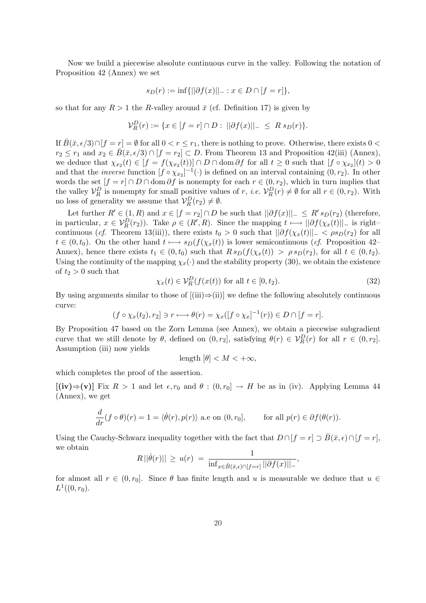Now we build a piecewise absolute continuous curve in the valley. Following the notation of Proposition 42 (Annex) we set

$$
s_D(r) := \inf \{ ||\partial f(x)||_- : x \in D \cap [f = r] \},\
$$

so that for any  $R > 1$  the R-valley around  $\bar{x}$  (cf. Definition 17) is given by

$$
\mathcal{V}_R^D(r) := \{ x \in [f=r] \cap D : ||\partial f(x)||_- \leq R s_D(r) \}.
$$

If  $\bar{B}(\bar{x}, \epsilon/3) \cap [f = r] = \emptyset$  for all  $0 < r \leq r_1$ , there is nothing to prove. Otherwise, there exists  $0 <$  $r_2 \leq r_1$  and  $x_2 \in \overline{B}(\overline{x}, \epsilon/3) \cap [f = r_2] \subset D$ . From Theorem 13 and Proposition 42(iii) (Annex), we deduce that  $\chi_{x_2}(t) \in [f = f(\chi_{x_2}(t))] \cap D \cap \text{dom} \partial f$  for all  $t \geq 0$  such that  $[f \circ \chi_{x_2}](t) > 0$ and that the *inverse* function  $[f \circ \chi_{x_2}]^{-1}(\cdot)$  is defined on an interval containing  $(0, r_2)$ . In other words the set  $[f = r] \cap D \cap \text{dom }\partial f$  is nonempty for each  $r \in (0, r_2)$ , which in turn implies that the valley  $\mathcal{V}_R^D$  is nonempty for small positive values of r, *i.e.*  $\mathcal{V}_R^D(r) \neq \emptyset$  for all  $r \in (0, r_2)$ . With no loss of generality we assume that  $\mathcal{V}_R^D(r_2) \neq \emptyset$ .

Let further  $R' \in (1, R)$  and  $x \in [f = r_2] \cap D$  be such that  $||\partial f(x)||_- \leq R' s_D(r_2)$  (therefore, in particular,  $x \in V_R^D(r_2)$ ). Take  $\rho \in (R', R)$ . Since the mapping  $t \mapsto ||\partial f(\chi_x(t)||)$  is right– continuous (cf. Theorem 13(iii)), there exists  $t_0 > 0$  such that  $||\partial f(\chi_x(t)||_-\leq \rho s_D(r_2)$  for all  $t \in (0, t_0)$ . On the other hand  $t \mapsto s_D(f(\chi_x(t))$  is lower semicontinuous (cf. Proposition 42– Annex), hence there exists  $t_1 \in (0, t_0)$  such that  $R s_D(f(\chi_x(t)) > \rho s_D(r_2))$ , for all  $t \in (0, t_2)$ . Using the continuity of the mapping  $\chi_x(\cdot)$  and the stability property (30), we obtain the existence of  $t_2 > 0$  such that

$$
\chi_x(t) \in \mathcal{V}_R^D(f(x(t)) \text{ for all } t \in [0, t_2). \tag{32}
$$

By using arguments similar to those of  $[(iii) \Rightarrow (ii)]$  we define the following absolutely continuous curve:

$$
(f \circ \chi_x(t_2), r_2] \ni r \longmapsto \theta(r) = \chi_x([f \circ \chi_x]^{-1}(r)) \in D \cap [f = r].
$$

By Proposition 47 based on the Zorn Lemma (see Annex), we obtain a piecewise subgradient curve that we still denote by  $\theta$ , defined on  $(0, r_2]$ , satisfying  $\theta(r) \in V_R^D(r)$  for all  $r \in (0, r_2]$ . Assumption (iii) now yields

$$
length [\theta] < M < +\infty,
$$

which completes the proof of the assertion.

 $[(iv) \Rightarrow (v)]$  Fix  $R > 1$  and let  $\epsilon, r_0$  and  $\theta : (0, r_0] \to H$  be as in (iv). Applying Lemma 44 (Annex), we get

$$
\frac{d}{dr}(f\circ\theta)(r) = 1 = \langle \dot{\theta}(r), p(r) \rangle \text{ a.e on } (0, r_0], \quad \text{for all } p(r) \in \partial f(\theta(r)).
$$

Using the Cauchy-Schwarz inequality together with the fact that  $D \cap [f = r] \supset \overline{B}(\overline{x}, \epsilon) \cap [f = r],$ we obtain

$$
R ||\dot{\theta}(r)|| \geq u(r) = \frac{1}{\inf_{x \in \bar{B}(\bar{x}, \epsilon) \cap [f=r]} ||\partial f(x)||_{-}},
$$

for almost all  $r \in (0, r_0]$ . Since  $\theta$  has finite length and u is measurable we deduce that  $u \in$  $L^1((0,r_0).$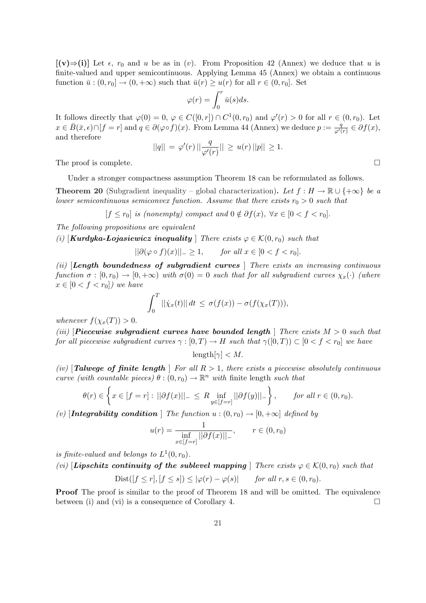$[(v) \Rightarrow (i)]$  Let  $\epsilon$ ,  $r_0$  and u be as in (v). From Proposition 42 (Annex) we deduce that u is finite-valued and upper semicontinuous. Applying Lemma 45 (Annex) we obtain a continuous function  $\bar{u}: (0, r_0] \to (0, +\infty)$  such that  $\bar{u}(r) \geq u(r)$  for all  $r \in (0, r_0]$ . Set

$$
\varphi(r) = \int_0^r \bar{u}(s)ds.
$$

It follows directly that  $\varphi(0) = 0, \varphi \in C([0,r]) \cap C^1(0,r_0)$  and  $\varphi'(r) > 0$  for all  $r \in (0,r_0)$ . Let  $x \in \overline{B}(\overline{x}, \epsilon) \cap [f = r]$  and  $q \in \partial (\varphi \circ f)(x)$ . From Lemma 44 (Annex) we deduce  $p := \frac{q}{\varphi'}$  $\frac{q}{\varphi'(r)} \in \partial f(x),$ and therefore

$$
||q|| = \varphi'(r) || \frac{q}{\varphi'(r)} || \ge u(r) ||p|| \ge 1.
$$

The proof is complete.  $\Box$ 

Under a stronger compactness assumption Theorem 18 can be reformulated as follows.

**Theorem 20** (Subgradient inequality – global characterization). Let  $f : H \to \mathbb{R} \cup \{+\infty\}$  be a lower semicontinuous semiconvex function. Assume that there exists  $r_0 > 0$  such that

 $[f \leq r_0]$  is (nonempty) compact and  $0 \notin \partial f(x)$ ,  $\forall x \in [0 < f < r_0]$ .

The following propositions are equivalent

(i)  $\left[\textit{Kurdyka-Lojasiewicz inequality}\right]$  There exists  $\varphi \in \mathcal{K}(0,r_0)$  such that

 $||\partial(\varphi \circ f)(x)||_-\geq 1, \quad \text{for all } x \in [0 < f < r_0].$ 

(ii) [Length boundedness of subgradient curves ] There exists an increasing continuous function  $\sigma : [0, r_0) \to [0, +\infty)$  with  $\sigma(0) = 0$  such that for all subgradient curves  $\chi_x(\cdot)$  (where  $x \in [0 \lt f \lt r_0]$ ) we have

$$
\int_0^T ||\dot{\chi}_x(t)|| \, dt \leq \sigma(f(x)) - \sigma(f(\chi_x(T))),
$$

whenever  $f(\chi_x(T)) > 0$ .

(iii) [Piecewise subgradient curves have bounded length ] There exists  $M > 0$  such that for all piecewise subgradient curves  $\gamma : [0, T) \to H$  such that  $\gamma([0, T)) \subset [0 < f < r_0]$  we have

$$
length[\gamma] < M.
$$

(iv) [Talwege of finite length | For all  $R > 1$ , there exists a piecewise absolutely continuous curve (with countable pieces)  $\theta$ :  $(0, r_0) \to \mathbb{R}^n$  with finite length such that  $\left( \begin{array}{cccc} 1 & 0 & 0 \\ 0 & 0 & 0 \\ 0 & 0 & 0 \\ 0 & 0 & 0 \\ 0 & 0 & 0 \\ 0 & 0 & 0 \\ 0 & 0 & 0 \\ 0 & 0 & 0 \\ 0 & 0 & 0 \\ 0 & 0 & 0 \\ 0 & 0 & 0 \\ 0 & 0 & 0 \\ 0 & 0 & 0 \\ 0 & 0 & 0 \\ 0 & 0 & 0 & 0 \\ 0 & 0 & 0 & 0 \\ 0 & 0 & 0 & 0 \\ 0 & 0 & 0 & 0 \\ 0 & 0 & 0 & 0 & 0 \\ 0 & 0 & 0 & 0 & 0 \\ 0 & 0 &$ 

$$
\theta(r) \in \left\{ x \in [f=r] : ||\partial f(x)||_{-} \le R \inf_{y \in [f=r]} ||\partial f(y)||_{-} \right\}, \quad \text{for all } r \in (0, r_0).
$$

(v) [Integrability condition ] The function  $u:(0,r_0)\to[0,+\infty]$  defined by

$$
u(r) = \frac{1}{\inf_{x \in [f=r]} ||\partial f(x)||_{-}}, \qquad r \in (0, r_0)
$$

is finite-valued and belongs to  $L^1(0,r_0)$ .

(vi) [Lipschitz continuity of the sublevel mapping ] There exists  $\varphi \in \mathcal{K}(0,r_0)$  such that

$$
Dist([f \le r], [f \le s]) \le |\varphi(r) - \varphi(s)| \quad \text{for all } r, s \in (0, r_0).
$$

Proof The proof is similar to the proof of Theorem 18 and will be omitted. The equivalence between (i) and (vi) is a consequence of Corollary 4.  $\Box$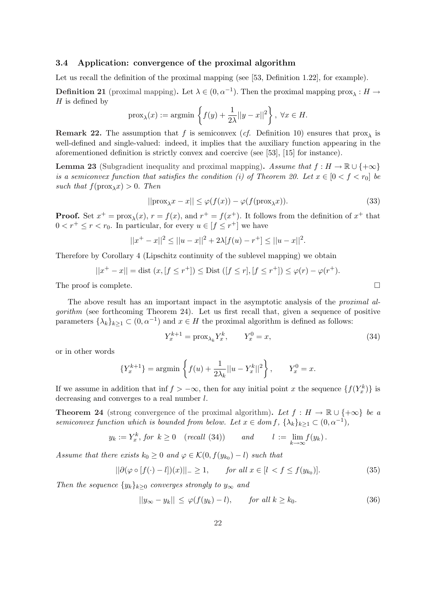### 3.4 Application: convergence of the proximal algorithm

Let us recall the definition of the proximal mapping (see [53, Definition 1.22], for example).

**Definition 21** (proximal mapping). Let  $\lambda \in (0, \alpha^{-1})$ . Then the proximal mapping  $prox_{\lambda}: H \to$  $H$  is defined by  $\mathbf{A}$ 

$$
\text{prox}_{\lambda}(x) := \text{argmin} \left\{ f(y) + \frac{1}{2\lambda} ||y - x||^2 \right\}, \ \forall x \in H.
$$

**Remark 22.** The assumption that f is semiconvex (cf. Definition 10) ensures that  $prox_{\lambda}$  is well-defined and single-valued: indeed, it implies that the auxiliary function appearing in the aforementioned definition is strictly convex and coercive (see [53], [15] for instance).

**Lemma 23** (Subgradient inequality and proximal mapping). Assume that  $f : H \to \mathbb{R} \cup \{+\infty\}$ is a semiconvex function that satisfies the condition (i) of Theorem 20. Let  $x \in [0 \lt f \lt r_0]$  be such that  $f(\text{prox}_{\lambda}x) > 0$ . Then

$$
||\text{prox}_{\lambda}x - x|| \le \varphi(f(x)) - \varphi(f(\text{prox}_{\lambda}x)).
$$
\n(33)

**Proof.** Set  $x^+ = \text{prox}_{\lambda}(x)$ ,  $r = f(x)$ , and  $r^+ = f(x^+)$ . It follows from the definition of  $x^+$  that  $0 < r^+ \le r < r_0$ . In particular, for every  $u \in [f \le r^+]$  we have

$$
||x^{+} - x||^{2} \le ||u - x||^{2} + 2\lambda[f(u) - r^{+}] \le ||u - x||^{2}.
$$

Therefore by Corollary 4 (Lipschitz continuity of the sublevel mapping) we obtain

$$
||x^{+} - x|| = \text{dist}(x, [f \le r^{+}]) \le \text{Dist}([f \le r], [f \le r^{+}]) \le \varphi(r) - \varphi(r^{+}).
$$

The proof is complete.  $\Box$ 

The above result has an important impact in the asymptotic analysis of the *proximal al*gorithm (see forthcoming Theorem 24). Let us first recall that, given a sequence of positive parameters  $\{\lambda_k\}_{k\geq 1} \subset (0, \alpha^{-1})$  and  $x \in H$  the proximal algorithm is defined as follows:

$$
Y_x^{k+1} = \text{prox}_{\lambda_k} Y_x^k, \qquad Y_x^0 = x,\tag{34}
$$

or in other words

$$
\{Y_x^{k+1}\} = \operatorname{argmin} \left\{ f(u) + \frac{1}{2\lambda_k} ||u - Y_x^k||^2 \right\}, \qquad Y_x^0 = x.
$$

If we assume in addition that inf  $f > -\infty$ , then for any initial point x the sequence  $\{f(Y_x^k)\}\$ is decreasing and converges to a real number l.

**Theorem 24** (strong convergence of the proximal algorithm). Let  $f : H \to \mathbb{R} \cup \{+\infty\}$  be a semiconvex function which is bounded from below. Let  $x \in dom f$ ,  $\{\lambda_k\}_{k\geq 1} \subset (0, \alpha^{-1})$ ,

$$
y_k := Y_x^k
$$
, for  $k \ge 0$  (recall (34)) and  $l := \lim_{k \to \infty} f(y_k)$ .

Assume that there exists  $k_0 \geq 0$  and  $\varphi \in \mathcal{K}(0, f(y_{k_0}) - l)$  such that

$$
||\partial(\varphi \circ [f(\cdot) - l])(x)||_{-} \ge 1, \qquad \text{for all } x \in [l < f \le f(y_{k_0})].\tag{35}
$$

Then the sequence  $\{y_k\}_{k\geq 0}$  converges strongly to  $y_\infty$  and

$$
||y_{\infty} - y_k|| \le \varphi(f(y_k) - l), \quad \text{for all } k \ge k_0.
$$
 (36)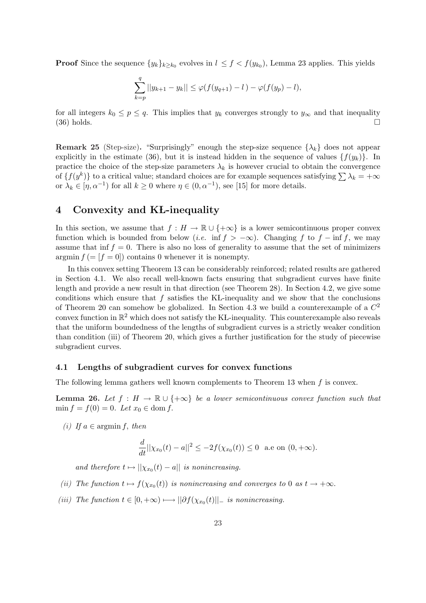**Proof** Since the sequence  $\{y_k\}_{k\geq k_0}$  evolves in  $l \leq f \leq f(y_{k_0})$ , Lemma 23 applies. This yields

$$
\sum_{k=p}^{q} ||y_{k+1} - y_k|| \leq \varphi(f(y_{q+1}) - l) - \varphi(f(y_p) - l),
$$

for all integers  $k_0 \leq p \leq q$ . This implies that  $y_k$  converges strongly to  $y_{\infty}$  and that inequality  $(36)$  holds.

**Remark 25** (Step-size). "Surprisingly" enough the step-size sequence  $\{\lambda_k\}$  does not appear explicitly in the estimate (36), but it is instead hidden in the sequence of values  $\{f(y_k)\}\$ . In practice the choice of the step-size parameters  $\lambda_k$  is however crucial to obtain the convergence practice the choice of the step-size parameters  $\lambda_k$  is nowever crucial to obtain the convergence of  $\{f(y^k)\}\)$  to a critical value; standard choices are for example sequences satisfying  $\sum \lambda_k = +\infty$ or  $\lambda_k \in [\eta, \alpha^{-1})$  for all  $k \ge 0$  where  $\eta \in (0, \alpha^{-1})$ , see [15] for more details.

## 4 Convexity and KL-inequality

In this section, we assume that  $f : H \to \mathbb{R} \cup \{+\infty\}$  is a lower semicontinuous proper convex function which is bounded from below (*i.e.* inf  $f > -\infty$ ). Changing f to  $f - \inf f$ , we may assume that inf  $f = 0$ . There is also no loss of generality to assume that the set of minimizers argmin  $f = [f = 0]$  contains 0 whenever it is nonempty.

In this convex setting Theorem 13 can be considerably reinforced; related results are gathered in Section 4.1. We also recall well-known facts ensuring that subgradient curves have finite length and provide a new result in that direction (see Theorem 28). In Section 4.2, we give some conditions which ensure that  $f$  satisfies the KL-inequality and we show that the conclusions of Theorem 20 can somehow be globalized. In Section 4.3 we build a counterexample of a  $C^2$ convex function in  $\mathbb{R}^2$  which does not satisfy the KL-inequality. This counterexample also reveals that the uniform boundedness of the lengths of subgradient curves is a strictly weaker condition than condition (iii) of Theorem 20, which gives a further justification for the study of piecewise subgradient curves.

### 4.1 Lengths of subgradient curves for convex functions

The following lemma gathers well known complements to Theorem 13 when  $f$  is convex.

**Lemma 26.** Let  $f : H \to \mathbb{R} \cup \{+\infty\}$  be a lower semicontinuous convex function such that  $\min f = f(0) = 0.$  Let  $x_0 \in \text{dom } f$ .

(i) If  $a \in \mathop{\mathrm{argmin}} f$ , then

$$
\frac{d}{dt}||\chi_{x_0}(t) - a||^2 \le -2f(\chi_{x_0}(t)) \le 0
$$
 a.e on  $(0, +\infty)$ .

and therefore  $t \mapsto ||\chi_{x_0}(t) - a||$  is nonincreasing.

- (ii) The function  $t \mapsto f(\chi_{x_0}(t))$  is nonincreasing and converges to 0 as  $t \to +\infty$ .
- (iii) The function  $t \in [0, +\infty) \longrightarrow ||\partial f(\chi_{x_0}(t)||_{-}$  is nonincreasing.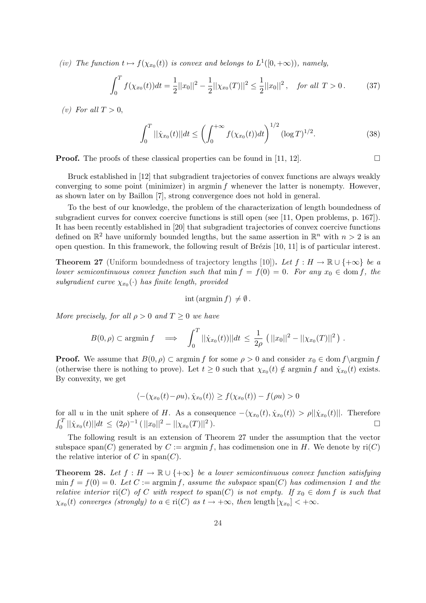(iv) The function  $t \mapsto f(\chi_{x_0}(t))$  is convex and belongs to  $L^1([0, +\infty))$ , namely,

$$
\int_0^T f(\chi_{x_0}(t))dt = \frac{1}{2}||x_0||^2 - \frac{1}{2}||\chi_{x_0}(T)||^2 \le \frac{1}{2}||x_0||^2, \text{ for all } T > 0.
$$
 (37)

(v) For all  $T > 0$ ,

$$
\int_0^T ||\dot{\chi}_{x_0}(t)||dt \le \left(\int_0^{+\infty} f(\chi_{x_0}(t))dt\right)^{1/2} (\log T)^{1/2}.
$$
 (38)

**Proof.** The proofs of these classical properties can be found in [11, 12].

Bruck established in [12] that subgradient trajectories of convex functions are always weakly converging to some point (minimizer) in argmin  $f$  whenever the latter is nonempty. However, as shown later on by Baillon [7], strong convergence does not hold in general.

To the best of our knowledge, the problem of the characterization of length boundedness of subgradient curves for convex coercive functions is still open (see [11, Open problems, p. 167]). It has been recently established in [20] that subgradient trajectories of convex coercive functions defined on  $\mathbb{R}^2$  have uniformly bounded lengths, but the same assertion in  $\mathbb{R}^n$  with  $n > 2$  is an open question. In this framework, the following result of Brézis  $[10, 11]$  is of particular interest.

**Theorem 27** (Uniform boundedness of trajectory lengths [10]). Let  $f : H \to \mathbb{R} \cup \{+\infty\}$  be a lower semicontinuous convex function such that  $\min f = f(0) = 0$ . For any  $x_0 \in \text{dom } f$ , the subgradient curve  $\chi_{x_0}(\cdot)$  has finite length, provided

$$
int (argmin f) \neq \emptyset.
$$

More precisely, for all  $\rho > 0$  and  $T \geq 0$  we have

$$
B(0,\rho) \subset \mathop{\rm argmin} f \quad \Longrightarrow \quad \int_0^T ||\dot{\chi}_{x_0}(t))||dt \leq \frac{1}{2\rho} \left( ||x_0||^2 - ||\chi_{x_0}(T)||^2 \right).
$$

**Proof.** We assume that  $B(0, \rho) \subset \text{argmin } f$  for some  $\rho > 0$  and consider  $x_0 \in \text{dom } f \rightarrow f$ (otherwise there is nothing to prove). Let  $t \geq 0$  such that  $\chi_{x_0}(t) \notin \mathop{\rm argmin} f$  and  $\dot{\chi}_{x_0}(t)$  exists. By convexity, we get

$$
\langle -(\chi_{x_0}(t) - \rho u), \dot{\chi}_{x_0}(t) \rangle \ge f(\chi_{x_0}(t)) - f(\rho u) > 0
$$

for all u in the unit sphere of H. As a consequence  $-\langle \chi_{x_0}(t), \dot{\chi}_{x_0}(t) \rangle > \rho ||\dot{\chi}_{x_0}(t)||$ . Therefore  $\int_0^T ||\dot{\chi}_{x_0}(t)||dt \leq (2\rho)^{-1} (||x_0||^2 - ||\chi_{x_0}(T)||^2).$ 

The following result is an extension of Theorem 27 under the assumption that the vector subspace span(C) generated by  $C := \operatorname{argmin} f$ , has codimension one in H. We denote by  $\operatorname{ri}(C)$ the relative interior of C in span(C).

**Theorem 28.** Let  $f : H \to \mathbb{R} \cup \{+\infty\}$  be a lower semicontinuous convex function satisfying  $\min f = f(0) = 0$ . Let  $C := \operatorname{argmin} f$ , assume the subspace  $\operatorname{span}(C)$  has codimension 1 and the relative interior ri(C) of C with respect to span(C) is not empty. If  $x_0 \in dom f$  is such that  $\chi_{x_0}(t)$  converges (strongly) to  $a \in \text{ri}(C)$  as  $t \to +\infty$ , then length  $[\chi_{x_0}] < +\infty$ .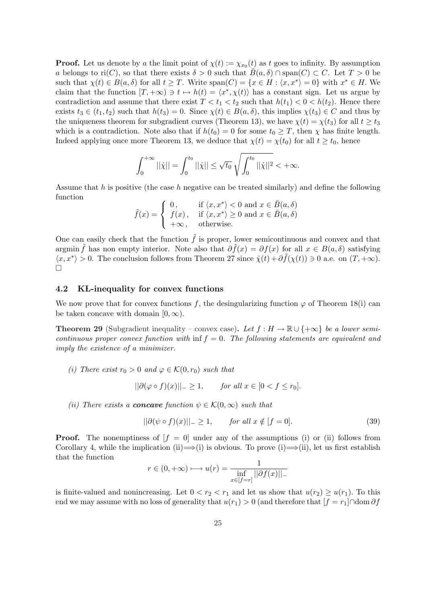**Proof.** Let us denote by a the limit point of  $\chi(t) := \chi_{x_0}(t)$  as t goes to infinity. By assumption a belongs to ri(C), so that there exists  $\delta > 0$  such that  $\bar{B}(a, \delta) \cap \text{span}(C) \subset C$ . Let  $T > 0$  be such that  $\chi(t) \in B(a, \delta)$  for all  $t \geq T$ . Write  $\text{span}(C) = \{x \in H : \langle x, x^* \rangle = 0\}$  with  $x^* \in H$ . We claim that the function  $[T, +\infty) \ni t \mapsto h(t) = \langle x^*, \chi(t) \rangle$  has a constant sign. Let us argue by contradiction and assume that there exist  $T < t_1 < t_2$  such that  $h(t_1) < 0 < h(t_2)$ . Hence there exists  $t_3 \in (t_1, t_2)$  such that  $h(t_3) = 0$ . Since  $\chi(t) \in B(a, \delta)$ , this implies  $\chi(t_3) \in C$  and thus by the uniqueness theorem for subgradient curves (Theorem 13), we have  $\chi(t) = \chi(t_3)$  for all  $t \ge t_3$ which is a contradiction. Note also that if  $h(t_0) = 0$  for some  $t_0 \geq T$ , then  $\chi$  has finite length. Indeed applying once more Theorem 13, we deduce that  $\chi(t) = \chi(t_0)$  for all  $t \geq t_0$ , hence

$$
\int_0^{+\infty} ||\dot{\chi}|| = \int_0^{t_0} ||\dot{\chi}|| \le \sqrt{t_0} \sqrt{\int_0^{t_0} ||\dot{\chi}||^2} < +\infty.
$$

Assume that h is positive (the case h negative can be treated similarly) and define the following function  $\overline{a}$ 

$$
\tilde{f}(x) = \begin{cases}\n0, & \text{if } \langle x, x^* \rangle < 0 \text{ and } x \in \bar{B}(a, \delta) \\
f(x), & \text{if } \langle x, x^* \rangle \ge 0 \text{ and } x \in \bar{B}(a, \delta) \\
+\infty, & \text{otherwise.} \n\end{cases}
$$

One can easily check that the function  $\tilde{f}$  is proper, lower semicontinuous and convex and that argmin  $\tilde{f}$  has non empty interior. Note also that  $\partial \tilde{f}(x) = \partial f(x)$  for all  $x \in B(a, \delta)$  satisfying  $\langle x, x^* \rangle > 0$ . The conclusion follows from Theorem 27 since  $\dot{\chi}(t) + \partial \tilde{f}(\chi(t)) \ni 0$  a.e. on  $(T, +\infty)$ .  $\Box$ 

### 4.2 KL-inequality for convex functions

We now prove that for convex functions f, the desingularizing function  $\varphi$  of Theorem 18(i) can be taken concave with domain  $[0, \infty)$ .

**Theorem 29** (Subgradient inequality – convex case). Let  $f : H \to \mathbb{R} \cup \{+\infty\}$  be a lower semicontinuous proper convex function with  $\inf f = 0$ . The following statements are equivalent and imply the existence of a minimizer.

(i) There exist  $r_0 > 0$  and  $\varphi \in \mathcal{K}(0,r_0)$  such that

$$
||\partial(\varphi \circ f)(x)||_{-} \ge 1, \qquad \text{for all } x \in [0 < f \le r_0].
$$

(ii) There exists a **concave** function  $\psi \in \mathcal{K}(0,\infty)$  such that

$$
||\partial(\psi \circ f)(x)||_{-} \ge 1, \qquad \text{for all } x \notin [f = 0]. \tag{39}
$$

**Proof.** The nonemptiness of  $f = 0$  under any of the assumptions (i) or (ii) follows from Corollary 4, while the implication (ii)  $\Longrightarrow$  (i) is obvious. To prove (i)  $\Longrightarrow$  (ii), let us first establish that the function

$$
r \in (0, +\infty) \longmapsto u(r) = \frac{1}{\inf_{x \in [f=r]} ||\partial f(x)||_{-}}
$$

is finite-valued and nonincreasing. Let  $0 < r_2 < r_1$  and let us show that  $u(r_2) > u(r_1)$ . To this end we may assume with no loss of generality that  $u(r_1) > 0$  (and therefore that  $[f = r_1] \cap \text{dom } \partial f$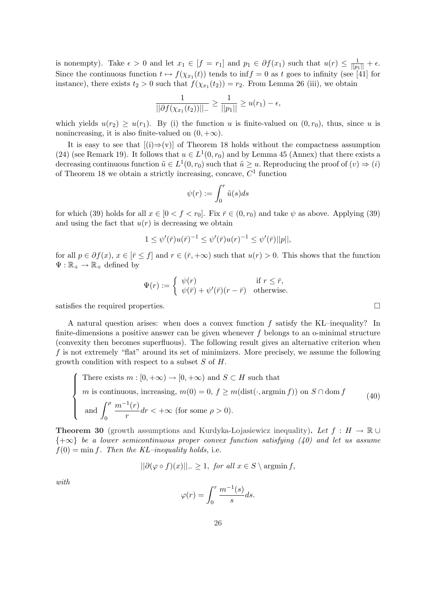is nonempty). Take  $\epsilon > 0$  and let  $x_1 \in [f = r_1]$  and  $p_1 \in \partial f(x_1)$  such that  $u(r) \leq \frac{1}{||p_1||} + \epsilon$ . Since the continuous function  $t \mapsto f(\chi_{x_1}(t))$  tends to inf $f = 0$  as t goes to infinity (see [41] for instance), there exists  $t_2 > 0$  such that  $f(\chi_{x_1}(t_2)) = r_2$ . From Lemma 26 (iii), we obtain

$$
\frac{1}{||\partial f(\chi_{x_1}(t_2))||_-} \ge \frac{1}{||p_1||} \ge u(r_1) - \epsilon,
$$

which yields  $u(r_2) \geq u(r_1)$ . By (i) the function u is finite-valued on  $(0, r_0)$ , thus, since u is nonincreasing, it is also finite-valued on  $(0, +\infty)$ .

It is easy to see that  $[(i) \Rightarrow (v)]$  of Theorem 18 holds without the compactness assumption (24) (see Remark 19). It follows that  $u \in L^1(0,r_0)$  and by Lemma 45 (Annex) that there exists a decreasing continuous function  $\tilde{u} \in L^1(0,r_0)$  such that  $\tilde{u} \geq u$ . Reproducing the proof of  $(v) \Rightarrow (i)$ of Theorem 18 we obtain a strictly increasing, concave,  $C<sup>1</sup>$  function

$$
\psi(r):=\int_0^r\tilde{u}(s)ds
$$

for which (39) holds for all  $x \in [0 \lt f \lt r_0]$ . Fix  $\bar{r} \in (0, r_0)$  and take  $\psi$  as above. Applying (39) and using the fact that  $u(r)$  is decreasing we obtain

$$
1 \le \psi'(\bar{r})u(\bar{r})^{-1} \le \psi'(\bar{r})u(r)^{-1} \le \psi'(\bar{r})||p||,
$$

for all  $p \in \partial f(x)$ ,  $x \in [\bar{r} \leq f]$  and  $r \in (\bar{r}, +\infty)$  such that  $u(r) > 0$ . This shows that the function  $\Psi : \mathbb{R}_+ \to \mathbb{R}_+$  defined by

$$
\Psi(r) := \begin{cases} \psi(r) & \text{if } r \leq \bar{r}, \\ \psi(\bar{r}) + \psi'(\bar{r})(r - \bar{r}) & \text{otherwise.} \end{cases}
$$

satisfies the required properties.  $\Box$ 

A natural question arises: when does a convex function  $f$  satisfy the KL–inequality? In finite-dimensions a positive answer can be given whenever  $f$  belongs to an o-minimal structure (convexity then becomes superfluous). The following result gives an alternative criterion when f is not extremely "flat" around its set of minimizers. More precisely, we assume the following growth condition with respect to a subset  $S$  of  $H$ .

There exists 
$$
m : [0, +\infty) \to [0, +\infty)
$$
 and  $S \subset H$  such that  
\n*m* is continuous, increasing,  $m(0) = 0$ ,  $f \ge m(\text{dist}(\cdot, \text{argmin } f))$  on  $S \cap \text{dom } f$   
\nand  $\int_0^{\rho} \frac{m^{-1}(r)}{r} dr < +\infty$  (for some  $\rho > 0$ ). (40)

**Theorem 30** (growth assumptions and Kurdyka-Łojasiewicz inequality). Let  $f : H \to \mathbb{R} \cup$  ${+\infty}$  be a lower semicontinuous proper convex function satisfying (40) and let us assume  $f(0) = \min f$ . Then the KL-inequality holds, i.e.

$$
||\partial(\varphi \circ f)(x)||_{-} \ge 1, \text{ for all } x \in S \setminus \text{argmin } f,
$$

with

$$
\varphi(r) = \int_0^r \frac{m^{-1}(s)}{s} ds.
$$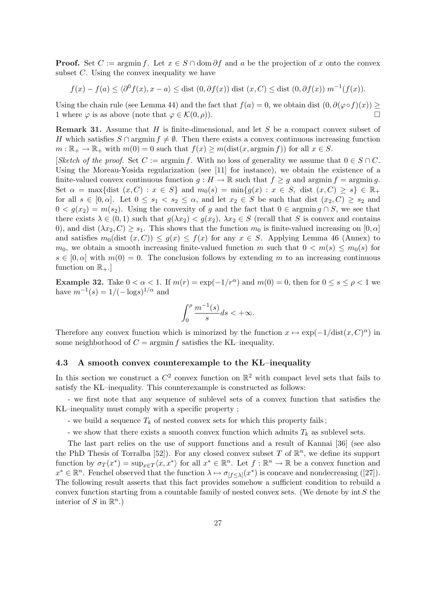**Proof.** Set  $C := \operatorname{argmin} f$ . Let  $x \in S \cap \text{dom} \partial f$  and a be the projection of x onto the convex subset  $C$ . Using the convex inequality we have

$$
f(x) - f(a) \le \langle \partial^0 f(x), x - a \rangle \le \text{dist}(0, \partial f(x)) \text{ dist}(x, C) \le \text{dist}(0, \partial f(x)) m^{-1}(f(x)).
$$

Using the chain rule (see Lemma 44) and the fact that  $f(a) = 0$ , we obtain dist  $(0, \partial(\varphi \circ f)(x)) \ge$ 1 where  $\varphi$  is as above (note that  $\varphi \in \mathcal{K}(0, \rho)$ ).

**Remark 31.** Assume that H is finite-dimensional, and let S be a compact convex subset of H which satisfies  $S \cap \text{argmin } f \neq \emptyset$ . Then there exists a convex continuous increasing function  $m : \mathbb{R}_+ \to \mathbb{R}_+$  with  $m(0) = 0$  such that  $f(x) \geq m(\text{dist}(x, \text{argmin} f))$  for all  $x \in S$ .

[Sketch of the proof. Set  $C := \text{argmin } f$ . With no loss of generality we assume that  $0 \in S \cap C$ . Using the Moreau-Yosida regularization (see [11] for instance), we obtain the existence of a finite-valued convex continuous function  $g : H \to \mathbb{R}$  such that  $f \ge g$  and argmin f = argmin g. Set  $\alpha = \max\{\text{dist}(x, C) : x \in S\}$  and  $m_0(s) = \min\{g(x) : x \in S, \text{dist}(x, C) \geq s\} \in \mathbb{R}_+$ for all  $s \in [0, \alpha]$ . Let  $0 \le s_1 < s_2 \le \alpha$ , and let  $x_2 \in S$  be such that dist  $(x_2, C) \ge s_2$  and  $0 < g(x_2) = m(s_2)$ . Using the convexity of g and the fact that  $0 \in \mathop{\rm argmin} g \cap S$ , we see that there exists  $\lambda \in (0,1)$  such that  $g(\lambda x_2) < g(x_2)$ ,  $\lambda x_2 \in S$  (recall that S is convex and contains 0), and dist  $(\lambda x_2, C) \geq s_1$ . This shows that the function  $m_0$  is finite-valued increasing on  $[0, \alpha]$ and satisfies  $m_0(\text{dist}(x, C)) \leq g(x) \leq f(x)$  for any  $x \in S$ . Applying Lemma 46 (Annex) to  $m_0$ , we obtain a smooth increasing finite-valued function m such that  $0 < m(s) \le m_0(s)$  for  $s \in [0, \alpha]$  with  $m(0) = 0$ . The conclusion follows by extending m to an increasing continuous function on  $\mathbb{R}_+$ .

Example 32. Take  $0 < \alpha < 1$ . If  $m(r) = \exp(-1/r^{\alpha})$  and  $m(0) = 0$ , then for  $0 \le s \le \rho < 1$  we have  $m^{-1}(s) = 1/(-\log s)^{1/\alpha}$  and

$$
\int_0^\rho \frac{m^{-1}(s)}{s} ds < +\infty.
$$

Therefore any convex function which is minorized by the function  $x \mapsto \exp(-1/\text{dist}(x, C)^{\alpha})$  in some neighborhood of  $C = \operatorname{argmin} f$  satisfies the KL–inequality.

### 4.3 A smooth convex counterexample to the KŁ–inequality

In this section we construct a  $C^2$  convex function on  $\mathbb{R}^2$  with compact level sets that fails to satisfy the KŁ–inequality. This counterexample is constructed as follows:

- we first note that any sequence of sublevel sets of a convex function that satisfies the KŁ–inequality must comply with a specific property ;

- we build a sequence  $T_k$  of nested convex sets for which this property fails;
- we show that there exists a smooth convex function which admits  $T_k$  as sublevel sets.

The last part relies on the use of support functions and a result of Kannai [36] (see also the PhD Thesis of Torralba [52]). For any closed convex subset T of  $\mathbb{R}^n$ , we define its support function by  $\sigma_T(x^*) = \sup_{x \in T} \langle x, x^* \rangle$  for all  $x^* \in \mathbb{R}^n$ . Let  $f : \mathbb{R}^n \to \mathbb{R}$  be a convex function and  $x^* \in \mathbb{R}^n$ . Fenchel observed that the function  $\lambda \mapsto \sigma_{[f \leq \lambda]}(x^*)$  is concave and nondecreasing ([27]). The following result asserts that this fact provides somehow a sufficient condition to rebuild a convex function starting from a countable family of nested convex sets. (We denote by  $int S$  the interior of S in  $\mathbb{R}^n$ .)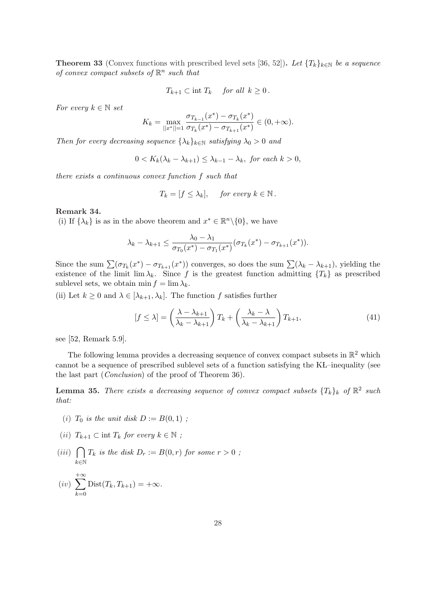**Theorem 33** (Convex functions with prescribed level sets [36, 52]). Let  $\{T_k\}_{k\in\mathbb{N}}$  be a sequence of convex compact subsets of  $\mathbb{R}^n$  such that

$$
T_{k+1} \subset \text{int } T_k \quad \text{ for all } k \ge 0 \, .
$$

For every  $k \in \mathbb{N}$  set

$$
K_{k} = \max_{||x^{*}||=1} \frac{\sigma_{T_{k-1}}(x^{*}) - \sigma_{T_{k}}(x^{*})}{\sigma_{T_{k}}(x^{*}) - \sigma_{T_{k+1}}(x^{*})} \in (0, +\infty).
$$

Then for every decreasing sequence  $\{\lambda_k\}_{k\in\mathbb{N}}$  satisfying  $\lambda_0 > 0$  and

 $0 < K_k(\lambda_k - \lambda_{k+1}) < \lambda_{k-1} - \lambda_k$ , for each  $k > 0$ ,

there exists a continuous convex function f such that

$$
T_k = [f \le \lambda_k], \quad \text{for every } k \in \mathbb{N}.
$$

### Remark 34.

(i) If  $\{\lambda_k\}$  is as in the above theorem and  $x^* \in \mathbb{R}^n \setminus \{0\}$ , we have

$$
\lambda_k - \lambda_{k+1} \leq \frac{\lambda_0 - \lambda_1}{\sigma_{T_0}(x^*) - \sigma_{T_1}(x^*)} (\sigma_{T_k}(x^*) - \sigma_{T_{k+1}}(x^*)).
$$

Since the sum  $\sum (\sigma_{T_k}(x^*) - \sigma_{T_{k+1}}(x^*))$  converges, so does the sum  $\sum (\lambda_k - \lambda_{k+1})$ , yielding the existence of the limit lim  $\lambda_k$ . Since f is the greatest function admitting  $\{T_k\}$  as prescribed sublevel sets, we obtain min  $f = \lim \lambda_k$ .

(ii) Let  $k \geq 0$  and  $\lambda \in [\lambda_{k+1}, \lambda_k]$ . The function f satisfies further

$$
[f \le \lambda] = \left(\frac{\lambda - \lambda_{k+1}}{\lambda_k - \lambda_{k+1}}\right) T_k + \left(\frac{\lambda_k - \lambda}{\lambda_k - \lambda_{k+1}}\right) T_{k+1},\tag{41}
$$

see [52, Remark 5.9].

The following lemma provides a decreasing sequence of convex compact subsets in  $\mathbb{R}^2$  which cannot be a sequence of prescribed sublevel sets of a function satisfying the KL–inequality (see the last part (Conclusion) of the proof of Theorem 36).

**Lemma 35.** There exists a decreasing sequence of convex compact subsets  $\{T_k\}_k$  of  $\mathbb{R}^2$  such that:

- (i)  $T_0$  is the unit disk  $D := B(0,1)$ ;
- (ii)  $T_{k+1} \subset \text{int } T_k$  for every  $k \in \mathbb{N}$ ;
- $(iii)$  $\sim$  $k \in \mathbb{N}$  $T_k$  is the disk  $D_r := B(0,r)$  for some  $r > 0$ ;
- $(iv)$  $+\infty$  $_{k=0}$ Dist $(T_k, T_{k+1}) = +\infty$ .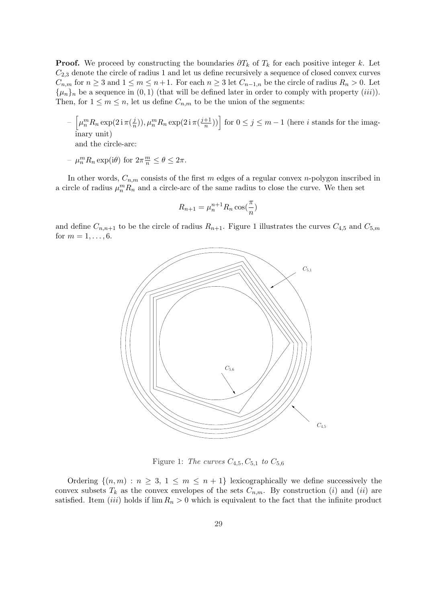**Proof.** We proceed by constructing the boundaries  $\partial T_k$  of  $T_k$  for each positive integer k. Let  $C_{2,3}$  denote the circle of radius 1 and let us define recursively a sequence of closed convex curves  $C_{n,m}$  for  $n \geq 3$  and  $1 \leq m \leq n+1$ . For each  $n \geq 3$  let  $C_{n-1,n}$  be the circle of radius  $R_n > 0$ . Let  $\{\mu_n\}_n$  be a sequence in  $(0, 1)$  (that will be defined later in order to comply with property *(iii)*). Then, for  $1 \leq m \leq n$ , let us define  $C_{n,m}$  to be the union of the segments:

- h  $\mu_n^m R_n \exp(2\operatorname{i}\pi(\frac{j}{n}))$  $(\frac{j}{n})$ ),  $\mu_n^m R_n \exp(2 \operatorname{i} \pi (\frac{j+1}{n}))$  $\left(\frac{n+1}{n}\right)$ ) for  $0 \leq j \leq m-1$  (here *i* stands for the imaginary unit) and the circle-arc:
- $\mu_n^m R_n \exp(i\theta)$  for  $2\pi \frac{m}{n} \le \theta \le 2\pi$ .

In other words,  $C_{n,m}$  consists of the first m edges of a regular convex n-polygon inscribed in a circle of radius  $\mu_n^m R_n$  and a circle-arc of the same radius to close the curve. We then set

$$
R_{n+1} = \mu_n^{n+1} R_n \cos(\frac{\pi}{n})
$$

and define  $C_{n,n+1}$  to be the circle of radius  $R_{n+1}$ . Figure 1 illustrates the curves  $C_{4,5}$  and  $C_{5,m}$ for  $m = 1, ..., 6$ .



Figure 1: The curves  $C_{4,5}, C_{5,1}$  to  $C_{5,6}$ 

Ordering  $\{(n,m): n \geq 3, 1 \leq m \leq n+1\}$  lexicographically we define successively the convex subsets  $T_k$  as the convex envelopes of the sets  $C_{n,m}$ . By construction (i) and (ii) are satisfied. Item *(iii)* holds if  $\lim R_n > 0$  which is equivalent to the fact that the infinite product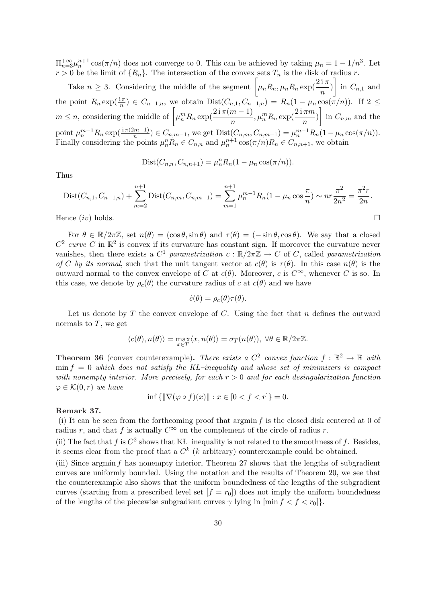$\Pi_{n=3}^{+\infty} \mu_n^{n+1} \cos(\pi/n)$  does not converge to 0. This can be achieved by taking  $\mu_n = 1 - 1/n^3$ . Let  $r > 0$  be the limit of  $\{R_n\}$ . The intersection of the convex sets  $T_n$  is the disk of radius r.

U be the limit of  $\{K_n\}$ . The intersection of the convex sets  $I_n$  is the disk of radius r.<br>Take  $n \geq 3$ . Considering the middle of the segment  $\left[\mu_n R_n, \mu_n R_n \exp\left(\frac{2i\pi}{n}\right)\right]$  in  $C_{n,1}$  and the point  $R_n \exp(\frac{i\pi}{n}) \in C_{n-1,n}$ , we obtain  $Dist(C_{n,1}, C_{n-1,n}) = R_n(1 - \mu_n \cos(\pi/n))$ . If  $2 \leq$ <br>  $m \leq n$ , considering the middle of  $\left[\mu_n^m R_n \exp(\frac{2i\pi(m-1)}{n}, \mu_n^m R_n \exp(\frac{2i\pi m}{n})\right]$  in  $C_{n,m}$  and the ા<br>ન in  $C_{n,m}$  and the point  $\mu_n^{m-1} R_n \exp(\frac{\mathrm{i}\pi(2m-1)}{n}) \in C_{n,m-1}$ , we get  $\text{Dist}(C_{n,m}, C_{n,m-1}) = \mu_n^{m-1} R_n (1 - \mu_n \cos(\pi/n)).$ Finally considering the points  $\mu_n^n R_n \in C_{n,n}$  and  $\mu_n^{n+1} \cos(\pi/n) R_n \in C_{n,n+1}$ , we obtain

$$
Dist(C_{n,n}, C_{n,n+1}) = \mu_n^n R_n (1 - \mu_n \cos(\pi/n)).
$$

Thus

$$
Dist(C_{n,1}, C_{n-1,n}) + \sum_{m=2}^{n+1} Dist(C_{n,m}, C_{n,m-1}) = \sum_{m=1}^{n+1} \mu_n^{m-1} R_n (1 - \mu_n \cos \frac{\pi}{n}) \sim nr \frac{\pi^2}{2n^2} = \frac{\pi^2 r}{2n}.
$$

Hence  $(iv)$  holds.

For  $\theta \in \mathbb{R}/2\pi\mathbb{Z}$ , set  $n(\theta) = (\cos \theta, \sin \theta)$  and  $\tau(\theta) = (-\sin \theta, \cos \theta)$ . We say that a closed  $C^2$  curve C in  $\mathbb{R}^2$  is convex if its curvature has constant sign. If moreover the curvature never vanishes, then there exists a  $C^1$  parametrization  $c : \mathbb{R}/2\pi\mathbb{Z} \to C$  of C, called parametrization of C by its normal, such that the unit tangent vector at  $c(\theta)$  is  $\tau(\theta)$ . In this case  $n(\theta)$  is the outward normal to the convex envelope of C at  $c(\theta)$ . Moreover, c is  $C^{\infty}$ , whenever C is so. In this case, we denote by  $\rho_c(\theta)$  the curvature radius of c at  $c(\theta)$  and we have

$$
\dot{c}(\theta) = \rho_c(\theta)\tau(\theta).
$$

Let us denote by  $T$  the convex envelope of  $C$ . Using the fact that  $n$  defines the outward normals to  $T$ , we get

$$
\langle c(\theta), n(\theta) \rangle = \max_{x \in T} \langle x, n(\theta) \rangle = \sigma_T(n(\theta)), \ \forall \theta \in \mathbb{R}/2\pi\mathbb{Z}.
$$

**Theorem 36** (convex counterexample). There exists a  $C^2$  convex function  $f : \mathbb{R}^2 \to \mathbb{R}$  with min  $f = 0$  which does not satisfy the KL–inequality and whose set of minimizers is compact with nonempty interior. More precisely, for each  $r > 0$  and for each desingularization function  $\varphi \in \mathcal{K}(0,r)$  we have

$$
\inf \{ \| \nabla (\varphi \circ f)(x) \| : x \in [0 < f < r] \} = 0.
$$

#### Remark 37.

(i) It can be seen from the forthcoming proof that argmin  $f$  is the closed disk centered at 0 of radius r, and that f is actually  $C^{\infty}$  on the complement of the circle of radius r.

(ii) The fact that f is  $C^2$  shows that KL–inequality is not related to the smoothness of f. Besides, it seems clear from the proof that a  $C<sup>k</sup>$  (k arbitrary) counterexample could be obtained.

(iii) Since argmin  $f$  has nonempty interior, Theorem 27 shows that the lengths of subgradient curves are uniformly bounded. Using the notation and the results of Theorem 20, we see that the counterexample also shows that the uniform boundedness of the lengths of the subgradient curves (starting from a prescribed level set  $[f = r_0]$ ) does not imply the uniform boundedness of the lengths of the piecewise subgradient curves  $\gamma$  lying in  $[\min f < f < r_0]$ .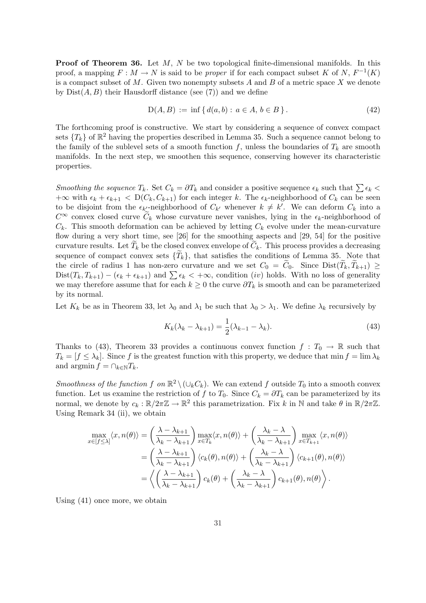**Proof of Theorem 36.** Let  $M$ ,  $N$  be two topological finite-dimensional manifolds. In this proof, a mapping  $F: M \to N$  is said to be *proper* if for each compact subset K of N,  $F^{-1}(K)$ is a compact subset of  $M$ . Given two nonempty subsets  $A$  and  $B$  of a metric space  $X$  we denote by  $Dist(A, B)$  their Hausdorff distance (see (7)) and we define

$$
D(A, B) := \inf \{ d(a, b) : a \in A, b \in B \}.
$$
 (42)

The forthcoming proof is constructive. We start by considering a sequence of convex compact sets  $\{T_k\}$  of  $\mathbb{R}^2$  having the properties described in Lemma 35. Such a sequence cannot belong to the family of the sublevel sets of a smooth function f, unless the boundaries of  $T_k$  are smooth manifolds. In the next step, we smoothen this sequence, conserving however its characteristic properties.

Smoothing the sequence  $T_k$ . Set  $C_k = \partial T_k$  and consider a positive sequence  $\epsilon_k$  such that  $\sum \epsilon_k$  $+\infty$  with  $\epsilon_k + \epsilon_{k+1} < D(C_k, C_{k+1})$  for each integer k. The  $\epsilon_k$ -neighborhood of  $C_k$  can be seen to be disjoint from the  $\epsilon_{k'}$ -neighborhood of  $C_{k'}$  whenever  $k \neq k'$ . We can deform  $C_k$  into a  $C^{\infty}$  convex closed curve  $\widetilde{C}_k$  whose curvature never vanishes, lying in the  $\epsilon_k$ -neighborhood of  $C_k$ . This smooth deformation can be achieved by letting  $C_k$  evolve under the mean-curvature flow during a very short time, see [26] for the smoothing aspects and [29, 54] for the positive curvature results. Let  $T_k$  be the closed convex envelope of  $C_k$ . This process provides a decreasing sequence of compact convex sets  $\{T_k\}$ , that satisfies the conditions of Lemma 35. Note that the circle of radius 1 has non-zero curvature and we set  $C_0 = C_0$ . Since  $Dist(T_k, T_{k+1}) \ge$  $Dist(T_k, T_{k+1}) - (\epsilon_k + \epsilon_{k+1})$  and  $\sum \epsilon_k < +\infty$ , condition (iv) holds. With no loss of generality we may therefore assume that for each  $k \geq 0$  the curve  $\partial T_k$  is smooth and can be parameterized by its normal.

Let  $K_k$  be as in Theorem 33, let  $\lambda_0$  and  $\lambda_1$  be such that  $\lambda_0 > \lambda_1$ . We define  $\lambda_k$  recursively by

$$
K_k(\lambda_k - \lambda_{k+1}) = \frac{1}{2}(\lambda_{k-1} - \lambda_k). \tag{43}
$$

Thanks to (43), Theorem 33 provides a continuous convex function  $f: T_0 \to \mathbb{R}$  such that  $T_k = [f \leq \lambda_k]$ . Since f is the greatest function with this property, we deduce that min  $f = \lim \lambda_k$ and argmin  $f = \bigcap_{k \in \mathbb{N}} T_k$ .

Smoothness of the function f on  $\mathbb{R}^2 \setminus (\cup_k C_k)$ . We can extend f outside  $T_0$  into a smooth convex function. Let us examine the restriction of f to  $T_0$ . Since  $C_k = \partial T_k$  can be parameterized by its normal, we denote by  $c_k : \mathbb{R}/2\pi\mathbb{Z} \to \mathbb{R}^2$  this parametrization. Fix k in N and take  $\theta$  in  $\mathbb{R}/2\pi\mathbb{Z}$ . Using Remark 34 (ii), we obtain

$$
\max_{x \in [f \le \lambda]} \langle x, n(\theta) \rangle = \left( \frac{\lambda - \lambda_{k+1}}{\lambda_k - \lambda_{k+1}} \right) \max_{x \in T_k} \langle x, n(\theta) \rangle + \left( \frac{\lambda_k - \lambda}{\lambda_k - \lambda_{k+1}} \right) \max_{x \in T_{k+1}} \langle x, n(\theta) \rangle \n= \left( \frac{\lambda - \lambda_{k+1}}{\lambda_k - \lambda_{k+1}} \right) \langle c_k(\theta), n(\theta) \rangle + \left( \frac{\lambda_k - \lambda}{\lambda_k - \lambda_{k+1}} \right) \langle c_{k+1}(\theta), n(\theta) \rangle \n= \left( \left( \frac{\lambda - \lambda_{k+1}}{\lambda_k - \lambda_{k+1}} \right) c_k(\theta) + \left( \frac{\lambda_k - \lambda}{\lambda_k - \lambda_{k+1}} \right) c_{k+1}(\theta), n(\theta) \right).
$$

Using (41) once more, we obtain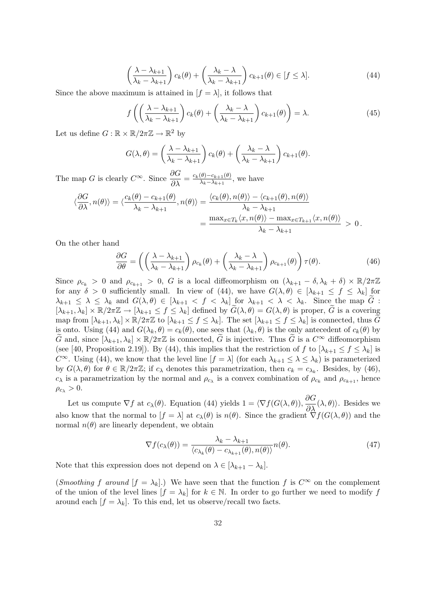$$
\left(\frac{\lambda - \lambda_{k+1}}{\lambda_k - \lambda_{k+1}}\right) c_k(\theta) + \left(\frac{\lambda_k - \lambda}{\lambda_k - \lambda_{k+1}}\right) c_{k+1}(\theta) \in [f \le \lambda].
$$
\n(44)

Since the above maximum is attained in  $[f = \lambda]$ , it follows that

$$
f\left(\left(\frac{\lambda - \lambda_{k+1}}{\lambda_k - \lambda_{k+1}}\right)c_k(\theta) + \left(\frac{\lambda_k - \lambda}{\lambda_k - \lambda_{k+1}}\right)c_{k+1}(\theta)\right) = \lambda.
$$
 (45)

Let us define  $G : \mathbb{R} \times \mathbb{R}/2\pi\mathbb{Z} \to \mathbb{R}^2$  by

$$
G(\lambda, \theta) = \left(\frac{\lambda - \lambda_{k+1}}{\lambda_k - \lambda_{k+1}}\right) c_k(\theta) + \left(\frac{\lambda_k - \lambda}{\lambda_k - \lambda_{k+1}}\right) c_{k+1}(\theta).
$$

The map G is clearly  $C^{\infty}$ . Since  $\frac{\partial G}{\partial \lambda} = \frac{c_k(\theta) - c_{k+1}(\theta)}{\lambda_k - \lambda_{k+1}}$  $\frac{(\theta)-c_{k+1}(\theta)}{\lambda_k-\lambda_{k+1}},$  we have

$$
\langle \frac{\partial G}{\partial \lambda}, n(\theta) \rangle = \langle \frac{c_k(\theta) - c_{k+1}(\theta)}{\lambda_k - \lambda_{k+1}}, n(\theta) \rangle = \frac{\langle c_k(\theta), n(\theta) \rangle - \langle c_{k+1}(\theta), n(\theta) \rangle}{\lambda_k - \lambda_{k+1}} = \frac{\max_{x \in T_k} \langle x, n(\theta) \rangle - \max_{x \in T_{k+1}} \langle x, n(\theta) \rangle}{\lambda_k - \lambda_{k+1}} > 0.
$$

On the other hand

$$
\frac{\partial G}{\partial \theta} = \left( \left( \frac{\lambda - \lambda_{k+1}}{\lambda_k - \lambda_{k+1}} \right) \rho_{c_k}(\theta) + \left( \frac{\lambda_k - \lambda}{\lambda_k - \lambda_{k+1}} \right) \rho_{c_{k+1}}(\theta) \right) \tau(\theta). \tag{46}
$$

Since  $\rho_{c_k} > 0$  and  $\rho_{c_{k+1}} > 0$ , G is a local diffeomorphism on  $(\lambda_{k+1} - \delta, \lambda_k + \delta) \times \mathbb{R}/2\pi\mathbb{Z}$ for any  $\delta > 0$  sufficiently small. In view of (44), we have  $G(\lambda, \theta) \in [\lambda_{k+1} \leq f \leq \lambda_k]$  for  $\lambda_{k+1} \leq \lambda \leq \lambda_k$  and  $G(\lambda, \theta) \in [\lambda_{k+1} < f < \lambda_k]$  for  $\lambda_{k+1} < \lambda < \lambda_k$ . Since the map  $\tilde{G}$ :  $[\lambda_{k+1}, \lambda_k] \times \mathbb{R}/2\pi\mathbb{Z} \to [\lambda_{k+1} \leq f \leq \lambda_k]$  defined by  $\widetilde{G}(\lambda, \theta) = G(\lambda, \theta)$  is proper,  $\widetilde{G}$  is a covering map from  $[\lambda_{k+1}, \lambda_k] \times \mathbb{R}/2\pi\mathbb{Z}$  to  $[\lambda_{k+1} \leq f \leq \lambda_k]$ . The set  $[\lambda_{k+1} \leq f \leq \lambda_k]$  is connected, thus G is onto. Using (44) and  $G(\lambda_k, \theta) = c_k(\theta)$ , one sees that  $(\lambda_k, \theta)$  is the only antecedent of  $c_k(\theta)$  by G and, since  $[\lambda_{k+1}, \lambda_k] \times \mathbb{R}/2\pi\mathbb{Z}$  is connected, G is injective. Thus G is a  $C^{\infty}$  diffeomorphism (see [40, Proposition 2.19]). By (44), this implies that the restriction of f to  $[\lambda_{k+1} \le f \le \lambda_k]$  is  $C^{\infty}$ . Using (44), we know that the level line  $[f = \lambda]$  (for each  $\lambda_{k+1} \leq \lambda \leq \lambda_k$ ) is parameterized by  $G(\lambda, \theta)$  for  $\theta \in \mathbb{R}/2\pi\mathbb{Z}$ ; if  $c_{\lambda}$  denotes this parametrization, then  $c_k = c_{\lambda_k}$ . Besides, by (46),  $c_{\lambda}$  is a parametrization by the normal and  $\rho_{c_{\lambda}}$  is a convex combination of  $\rho_{c_k}$  and  $\rho_{c_{k+1}}$ , hence  $\rho_{c_{\lambda}} > 0.$ 

Let us compute  $\nabla f$  at  $c_{\lambda}(\theta)$ . Equation (44) yields  $1 = \langle \nabla f(G(\lambda, \theta)), \frac{\partial G}{\partial \lambda}(\lambda, \theta) \rangle$ . Besides we also know that the normal to  $[f = \lambda]$  at  $c_{\lambda}(\theta)$  is  $n(\theta)$ . Since the gradient  $\nabla f(G(\lambda, \theta))$  and the normal  $n(\theta)$  are linearly dependent, we obtain

$$
\nabla f(c_{\lambda}(\theta)) = \frac{\lambda_k - \lambda_{k+1}}{\langle c_{\lambda_k}(\theta) - c_{\lambda_{k+1}}(\theta), n(\theta) \rangle} n(\theta).
$$
\n(47)

Note that this expression does not depend on  $\lambda \in [\lambda_{k+1} - \lambda_k]$ .

(Smoothing f around  $[f = \lambda_k]$ .) We have seen that the function f is  $C^{\infty}$  on the complement of the union of the level lines  $[f = \lambda_k]$  for  $k \in \mathbb{N}$ . In order to go further we need to modify f around each  $[f = \lambda_k]$ . To this end, let us observe/recall two facts.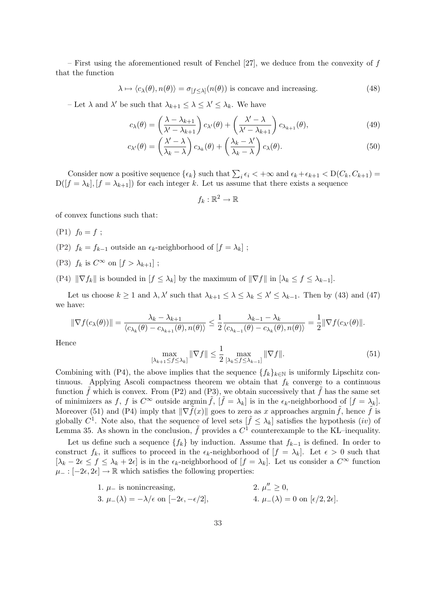– First using the aforementioned result of Fenchel  $[27]$ , we deduce from the convexity of f that the function

$$
\lambda \mapsto \langle c_{\lambda}(\theta), n(\theta) \rangle = \sigma_{[f \le \lambda]}(n(\theta))
$$
 is concave and increasing. (48)

- Let  $\lambda$  and  $\lambda'$  be such that  $\lambda_{k+1} \leq \lambda \leq \lambda' \leq \lambda_k$ . We have

$$
c_{\lambda}(\theta) = \left(\frac{\lambda - \lambda_{k+1}}{\lambda' - \lambda_{k+1}}\right) c_{\lambda'}(\theta) + \left(\frac{\lambda' - \lambda}{\lambda' - \lambda_{k+1}}\right) c_{\lambda_{k+1}}(\theta),\tag{49}
$$

$$
c_{\lambda'}(\theta) = \left(\frac{\lambda' - \lambda}{\lambda_k - \lambda}\right) c_{\lambda_k}(\theta) + \left(\frac{\lambda_k - \lambda'}{\lambda_k - \lambda}\right) c_{\lambda}(\theta).
$$
\n(50)

Consider now a positive sequence  $\{\epsilon_k\}$  such that  $\sum_i \epsilon_i < +\infty$  and  $\epsilon_k + \epsilon_{k+1} < D(C_k, C_{k+1}) =$  $D([f = \lambda_k], [f = \lambda_{k+1}])$  for each integer k. Let us assume that there exists a sequence

$$
f_k:\mathbb{R}^2\to\mathbb{R}
$$

of convex functions such that:

- $(P1) f_0 = f;$
- (P2)  $f_k = f_{k-1}$  outside an  $\epsilon_k$ -neighborhood of  $[f = \lambda_k]$ ;
- (P3)  $f_k$  is  $C^{\infty}$  on  $[f > \lambda_{k+1}]$ ;
- (P4)  $\|\nabla f_k\|$  is bounded in  $[f \leq \lambda_k]$  by the maximum of  $\|\nabla f\|$  in  $[\lambda_k \leq f \leq \lambda_{k-1}].$

Let us choose  $k \ge 1$  and  $\lambda, \lambda'$  such that  $\lambda_{k+1} \le \lambda \le \lambda_k \le \lambda' \le \lambda_{k-1}$ . Then by (43) and (47) we have:

$$
\|\nabla f(c_{\lambda}(\theta))\| = \frac{\lambda_{k} - \lambda_{k+1}}{\langle c_{\lambda_{k}}(\theta) - c_{\lambda_{k+1}}(\theta), n(\theta) \rangle} \leq \frac{1}{2} \frac{\lambda_{k-1} - \lambda_{k}}{\langle c_{\lambda_{k-1}}(\theta) - c_{\lambda_{k}}(\theta), n(\theta) \rangle} = \frac{1}{2} \|\nabla f(c_{\lambda}(\theta))\|.
$$

Hence

$$
\max_{\left[\lambda_{k+1}\leq f\leq\lambda_{k}\right]} \|\nabla f\| \leq \frac{1}{2} \max_{\left[\lambda_{k}\leq f\leq\lambda_{k-1}\right]} \|\nabla f\|.\tag{51}
$$

Combining with (P4), the above implies that the sequence  $\{f_k\}_{k\in\mathbb{N}}$  is uniformly Lipschitz continuous. Applying Ascoli compactness theorem we obtain that  $f_k$  converge to a continuous function  $\tilde{f}$  which is convex. From (P2) and (P3), we obtain successively that  $\tilde{f}$  has the same set of minimizers as f, f is  $C^{\infty}$  outside argmin  $\tilde{f}$ ,  $|\tilde{f} = \lambda_k|$  is in the  $\epsilon_k$ -neighborhood of  $|f = \lambda_k|$ . Moreover (51) and (P4) imply that  $\|\nabla \tilde{f}(x)\|$  goes to zero as x approaches argmin  $\tilde{f}$ , hence  $\tilde{f}$  is globally  $C^1$ . Note also, that the sequence of level sets  $[\tilde{f} \leq \lambda_k]$  satisfies the hypothesis (*iv*) of Lemma 35. As shown in the conclusion,  $\tilde{f}$  provides a  $C^1$  counterexample to the KL-inequality.

Let us define such a sequence  $\{f_k\}$  by induction. Assume that  $f_{k-1}$  is defined. In order to construct  $f_k$ , it suffices to proceed in the  $\epsilon_k$ -neighborhood of  $[f = \lambda_k]$ . Let  $\epsilon > 0$  such that  $[\lambda_k - 2\epsilon \le f \le \lambda_k + 2\epsilon]$  is in the  $\epsilon_k$ -neighborhood of  $[f = \lambda_k]$ . Let us consider a  $C^{\infty}$  function  $\mu_- : [-2\epsilon, 2\epsilon] \to \mathbb{R}$  which satisfies the following properties:

1. 
$$
\mu_{-}
$$
 is nonincreasing,  
\n3.  $\mu_{-}(\lambda) = -\lambda/\epsilon$  on  $[-2\epsilon, -\epsilon/2]$ ,  
\n4.  $\mu_{-}(\lambda) = 0$  on  $[\epsilon/2, 2\epsilon]$ .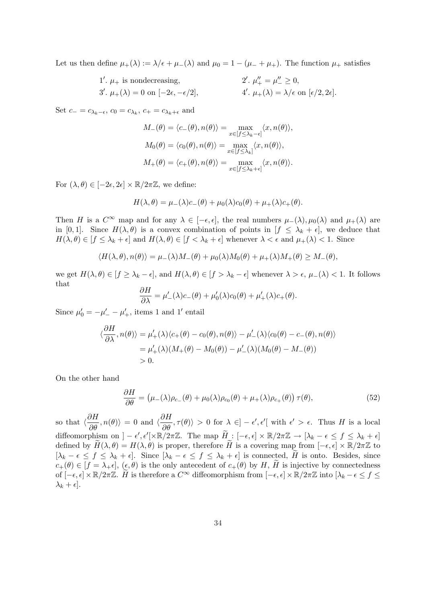Let us then define  $\mu_+(\lambda) := \lambda/\epsilon + \mu_-(\lambda)$  and  $\mu_0 = 1 - (\mu_- + \mu_+)$ . The function  $\mu_+$  satisfies

1'. 
$$
\mu_+
$$
 is nondecreasing,  
\n3'.  $\mu_+(\lambda) = 0$  on  $[-2\epsilon, -\epsilon/2]$ ,  
\n4'.  $\mu_+(\lambda) = \lambda/\epsilon$  on  $[\epsilon/2, 2\epsilon]$ .

Set  $c_{-} = c_{\lambda_k - \epsilon}$ ,  $c_0 = c_{\lambda_k}$ ,  $c_{+} = c_{\lambda_k + \epsilon}$  and

$$
M_{-}(\theta) = \langle c_{-}(\theta), n(\theta) \rangle = \max_{x \in [f \le \lambda_k - \epsilon]} \langle x, n(\theta) \rangle,
$$
  
\n
$$
M_{0}(\theta) = \langle c_{0}(\theta), n(\theta) \rangle = \max_{x \in [f \le \lambda_k]} \langle x, n(\theta) \rangle,
$$
  
\n
$$
M_{+}(\theta) = \langle c_{+}(\theta), n(\theta) \rangle = \max_{x \in [f \le \lambda_k + \epsilon]} \langle x, n(\theta) \rangle.
$$

For  $(\lambda, \theta) \in [-2\epsilon, 2\epsilon] \times \mathbb{R}/2\pi\mathbb{Z}$ , we define:

$$
H(\lambda, \theta) = \mu_{-}(\lambda)c_{-}(\theta) + \mu_{0}(\lambda)c_{0}(\theta) + \mu_{+}(\lambda)c_{+}(\theta).
$$

Then H is a  $C^{\infty}$  map and for any  $\lambda \in [-\epsilon, \epsilon]$ , the real numbers  $\mu_{-}(\lambda), \mu_{0}(\lambda)$  and  $\mu_{+}(\lambda)$  are in [0, 1]. Since  $H(\lambda, \theta)$  is a convex combination of points in  $[f \leq \lambda_k + \epsilon]$ , we deduce that  $H(\lambda, \theta) \in [f \leq \lambda_k + \epsilon]$  and  $H(\lambda, \theta) \in [f \lt \lambda_k + \epsilon]$  whenever  $\lambda \lt \epsilon$  and  $\mu_+(\lambda) \lt 1$ . Since

$$
\langle H(\lambda,\theta),n(\theta)\rangle=\mu_-(\lambda)M_-(\theta)+\mu_0(\lambda)M_0(\theta)+\mu_+(\lambda)M_+(\theta)\geq M_-(\theta),
$$

we get  $H(\lambda, \theta) \in [f \geq \lambda_k - \epsilon]$ , and  $H(\lambda, \theta) \in [f > \lambda_k - \epsilon]$  whenever  $\lambda > \epsilon$ ,  $\mu_-(\lambda) < 1$ . It follows that ∂H

$$
\frac{\partial H}{\partial \lambda} = \mu'_{-}(\lambda)c_{-}(\theta) + \mu'_{0}(\lambda)c_{0}(\theta) + \mu'_{+}(\lambda)c_{+}(\theta).
$$

Since  $\mu'_0 = -\mu'_- - \mu'_+$ , items 1 and 1' entail

$$
\langle \frac{\partial H}{\partial \lambda}, n(\theta) \rangle = \mu'_{+}(\lambda) \langle c_{+}(\theta) - c_{0}(\theta), n(\theta) \rangle - \mu'_{-}(\lambda) \langle c_{0}(\theta) - c_{-}(\theta), n(\theta) \rangle
$$
  
=  $\mu'_{+}(\lambda) (M_{+}(\theta) - M_{0}(\theta)) - \mu'_{-}(\lambda) (M_{0}(\theta) - M_{-}(\theta))$   
> 0.

On the other hand

$$
\frac{\partial H}{\partial \theta} = (\mu_{-}(\lambda)\rho_{c_{-}}(\theta) + \mu_{0}(\lambda)\rho_{c_{0}}(\theta) + \mu_{+}(\lambda)\rho_{c_{+}}(\theta))\,\tau(\theta),\tag{52}
$$

so that  $\langle \frac{\partial H}{\partial \theta}, n(\theta) \rangle = 0$  and  $\langle \frac{\partial H}{\partial \theta}, \tau(\theta) \rangle > 0$  for  $\lambda \in ]-\epsilon', \epsilon'[\text{ with } \epsilon' > \epsilon]$ . Thus H is a local diffeomorphism on  $]-\epsilon', \epsilon'[\times \mathbb{R}/2\pi \mathbb{Z}$ . The map  $\widetilde{H}:[-\epsilon,\epsilon] \times \mathbb{R}/2\pi \mathbb{Z} \to [\lambda_k - \epsilon \leq f \leq \lambda_k + \epsilon]$ defined by  $\widetilde{H}(\lambda, \theta) = H(\lambda, \theta)$  is proper, therefore  $\widetilde{H}$  is a covering map from  $[-\epsilon, \epsilon] \times \mathbb{R}/2\pi\mathbb{Z}$  to  $[\lambda_k - \epsilon \leq f \leq \lambda_k + \epsilon]$ . Since  $[\lambda_k - \epsilon \leq f \leq \lambda_k + \epsilon]$  is connected, H is onto. Besides, since  $c_+(\theta) \in [f = \lambda_+\epsilon], (\epsilon, \theta)$  is the only antecedent of  $c_+(\theta)$  by H, H is injective by connectedness of  $[-\epsilon, \epsilon] \times \mathbb{R}/2\pi\mathbb{Z}$ . H is therefore a  $C^{\infty}$  diffeomorphism from  $[-\epsilon, \epsilon] \times \mathbb{R}/2\pi\mathbb{Z}$  into  $[\lambda_k - \epsilon \leq f \leq \epsilon]$  $\lambda_k + \epsilon$ ].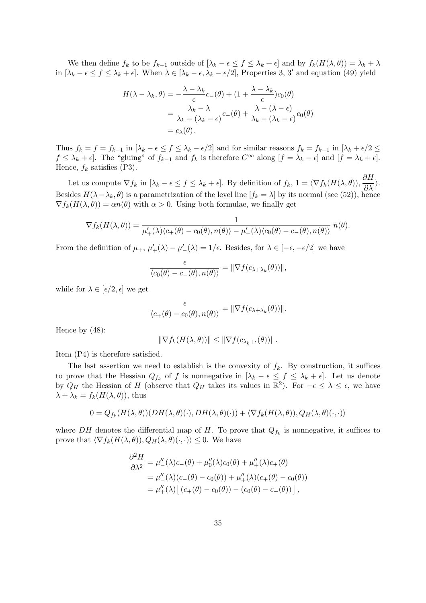We then define  $f_k$  to be  $f_{k-1}$  outside of  $[\lambda_k - \epsilon \le f \le \lambda_k + \epsilon]$  and by  $f_k(H(\lambda, \theta)) = \lambda_k + \lambda$ in  $[\lambda_k - \epsilon \le f \le \lambda_k + \epsilon]$ . When  $\lambda \in [\lambda_k - \epsilon, \lambda_k - \epsilon/2]$ , Properties 3, 3' and equation (49) yield

$$
H(\lambda - \lambda_k, \theta) = -\frac{\lambda - \lambda_k}{\epsilon} c_{-}(\theta) + (1 + \frac{\lambda - \lambda_k}{\epsilon}) c_0(\theta)
$$
  
= 
$$
\frac{\lambda_k - \lambda}{\lambda_k - (\lambda_k - \epsilon)} c_{-}(\theta) + \frac{\lambda - (\lambda - \epsilon)}{\lambda_k - (\lambda_k - \epsilon)} c_0(\theta)
$$
  
= 
$$
c_{\lambda}(\theta).
$$

Thus  $f_k = f = f_{k-1}$  in  $[\lambda_k - \epsilon \le f \le \lambda_k - \epsilon/2]$  and for similar reasons  $f_k = f_{k-1}$  in  $[\lambda_k + \epsilon/2 \le$  $f \leq \lambda_k + \epsilon$ . The "gluing" of  $f_{k-1}$  and  $f_k$  is therefore  $C^{\infty}$  along  $[f = \lambda_k - \epsilon]$  and  $[f = \lambda_k + \epsilon]$ . Hence,  $f_k$  satisfies (P3).

Let us compute  $\nabla f_k$  in  $[\lambda_k - \epsilon \leq f \leq \lambda_k + \epsilon]$ . By definition of  $f_k$ ,  $1 = \langle \nabla f_k(H(\lambda, \theta)), \frac{\partial H}{\partial \lambda} \rangle$ . Besides  $H(\lambda-\lambda_k,\theta)$  is a parametrization of the level line  $[f_k=\lambda]$  by its normal (see (52)), hence  $\nabla f_k(H(\lambda, \theta)) = \alpha n(\theta)$  with  $\alpha > 0$ . Using both formulae, we finally get

$$
\nabla f_k(H(\lambda,\theta)) = \frac{1}{\mu'_+(\lambda)\langle c_+(\theta) - c_0(\theta), n(\theta)\rangle - \mu'_-(\lambda)\langle c_0(\theta) - c_-(\theta), n(\theta)\rangle} n(\theta).
$$

From the definition of  $\mu_+$ ,  $\mu'_+(\lambda) - \mu'_-(\lambda) = 1/\epsilon$ . Besides, for  $\lambda \in [-\epsilon, -\epsilon/2]$  we have

$$
\frac{\epsilon}{\langle c_0(\theta) - c_-(\theta), n(\theta) \rangle} = \|\nabla f(c_{\lambda + \lambda_k}(\theta))\|,
$$

while for  $\lambda \in [\epsilon/2, \epsilon]$  we get

$$
\frac{\epsilon}{\langle c_+(\theta)-c_0(\theta),n(\theta)\rangle}=\|\nabla f(c_{\lambda+\lambda_k}(\theta))\|.
$$

Hence by (48):

$$
\|\nabla f_k(H(\lambda,\theta))\| \le \|\nabla f(c_{\lambda_k+\epsilon}(\theta))\|.
$$

Item (P4) is therefore satisfied.

The last assertion we need to establish is the convexity of  $f_k$ . By construction, it suffices to prove that the Hessian  $Q_{f_k}$  of f is nonnegative in  $[\lambda_k - \epsilon \leq f \leq \lambda_k + \epsilon]$ . Let us denote by  $Q_H$  the Hessian of H (observe that  $Q_H$  takes its values in  $\mathbb{R}^2$ ). For  $-\epsilon \leq \lambda \leq \epsilon$ , we have  $\lambda + \lambda_k = f_k(H(\lambda, \theta))$ , thus

$$
0 = Q_{f_k}(H(\lambda, \theta))(DH(\lambda, \theta)(\cdot), DH(\lambda, \theta)(\cdot)) + \langle \nabla f_k(H(\lambda, \theta)), Q_H(\lambda, \theta)(\cdot, \cdot) \rangle
$$

where DH denotes the differential map of H. To prove that  $Q_{f_k}$  is nonnegative, it suffices to prove that  $\langle \nabla f_k(H(\lambda, \theta)), Q_H(\lambda, \theta)(\cdot, \cdot) \rangle \leq 0$ . We have

$$
\frac{\partial^2 H}{\partial \lambda^2} = \mu''_{-}(\lambda)c_{-}(\theta) + \mu''_{0}(\lambda)c_{0}(\theta) + \mu''_{+}(\lambda)c_{+}(\theta) \n= \mu''_{-}(\lambda)(c_{-}(\theta) - c_{0}(\theta)) + \mu''_{+}(\lambda)(c_{+}(\theta) - c_{0}(\theta)) \n= \mu''_{+}(\lambda) [(c_{+}(\theta) - c_{0}(\theta)) - (c_{0}(\theta) - c_{-}(\theta))] ,
$$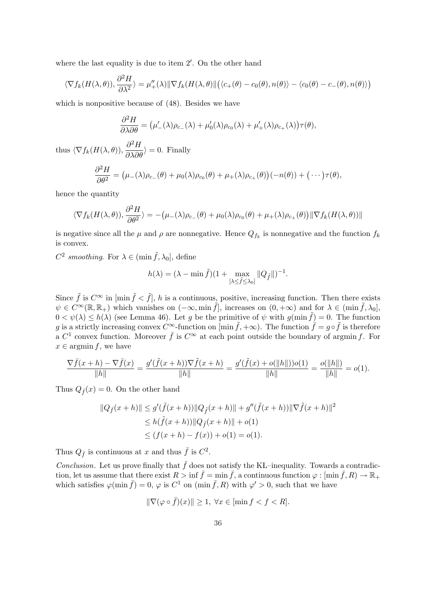where the last equality is due to item  $2'$ . On the other hand

$$
\langle \nabla f_k(H(\lambda,\theta)), \frac{\partial^2 H}{\partial \lambda^2} \rangle = \mu''_+(\lambda) \|\nabla f_k(H(\lambda,\theta)\| \big(\langle c_+(\theta) - c_0(\theta), n(\theta) \rangle - \langle c_0(\theta) - c_-(\theta), n(\theta) \rangle \big)
$$

which is nonpositive because of (48). Besides we have

$$
\frac{\partial^2 H}{\partial \lambda \partial \theta} = (\mu'_{-}(\lambda)\rho_{c_{-}}(\lambda) + \mu'_{0}(\lambda)\rho_{c_{0}}(\lambda) + \mu'_{+}(\lambda)\rho_{c_{+}}(\lambda))\tau(\theta),
$$

thus  $\langle \nabla f_k(H(\lambda, \theta)), \frac{\partial^2 H}{\partial \lambda \partial \theta}$  $\frac{\partial H}{\partial \lambda \partial \theta}$  i = 0. Finally

$$
\frac{\partial^2 H}{\partial \theta^2} = (\mu_-(\lambda)\rho_{c_-}(\theta) + \mu_0(\lambda)\rho_{c_0}(\theta) + \mu_+(\lambda)\rho_{c_+}(\theta))(-n(\theta)) + (\cdots)\tau(\theta),
$$

hence the quantity

$$
\langle \nabla f_k(H(\lambda,\theta)),\frac{\partial^2 H}{\partial \theta^2}\rangle = -(\mu_{-}(\lambda)\rho_{c_{-}}(\theta) + \mu_0(\lambda)\rho_{c_0}(\theta) + \mu_{+}(\lambda)\rho_{c_{+}}(\theta))\|\nabla f_k(H(\lambda,\theta))\|
$$

is negative since all the  $\mu$  and  $\rho$  are nonnegative. Hence  $Q_{f_k}$  is nonnegative and the function  $f_k$ is convex.

 $C^2$  smoothing. For  $\lambda \in (\min \tilde{f}, \lambda_0],$  define

$$
h(\lambda) = (\lambda - \min \tilde{f})(1 + \max_{\substack{[\lambda \leq \tilde{f} \leq \lambda_0]}} \|Q_{\tilde{f}}\|)^{-1}.
$$

Since  $\tilde{f}$  is  $C^{\infty}$  in  $\left[\min \tilde{f} \leq \tilde{f}\right]$ , h is a continuous, positive, increasing function. Then there exists  $\psi \in C^{\infty}(\mathbb{R}, \mathbb{R}_+)$  which vanishes on  $(-\infty, \min \tilde{f}],$  increases on  $(0, +\infty)$  and for  $\lambda \in (\min \tilde{f}, \lambda_0],$  $0 < \psi(\lambda) \le h(\lambda)$  (see Lemma 46). Let g be the primitive of  $\psi$  with  $g(\min \tilde{f}) = 0$ . The function g is a strictly increasing convex  $C^{\infty}$ -function on  $[\min \tilde{f}, +\infty)$ . The function  $\tilde{f} = g \circ \tilde{f}$  is therefore a  $C^1$  convex function. Moreover  $\bar{f}$  is  $C^{\infty}$  at each point outside the boundary of argmin f. For  $x \in \operatorname{argmin} f$ , we have

$$
\frac{\nabla \bar{f}(x+h) - \nabla \bar{f}(x)}{\|h\|} = \frac{g'(\tilde{f}(x+h))\nabla \tilde{f}(x+h)}{\|h\|} = \frac{g'(\tilde{f}(x) + o(\|h\|))o(1)}{\|h\|} = \frac{o(\|h\|)}{\|h\|} = o(1).
$$

Thus  $Q_{\bar{f}}(x) = 0$ . On the other hand

$$
||Q_{\tilde{f}}(x+h)|| \le g'(\tilde{f}(x+h))||Q_{\tilde{f}}(x+h)|| + g''(\tilde{f}(x+h))||\nabla \tilde{f}(x+h)||^2
$$
  
\n
$$
\le h(\tilde{f}(x+h))||Q_{\tilde{f}}(x+h)|| + o(1)
$$
  
\n
$$
\le (f(x+h) - f(x)) + o(1) = o(1).
$$

Thus  $Q_{\bar{f}}$  is continuous at x and thus  $\bar{f}$  is  $C^2$ .

Conclusion. Let us prove finally that  $\bar{f}$  does not satisfy the KL–inequality. Towards a contradiction, let us assume that there exist  $R > \inf \bar{f} = \min \bar{f}$ , a continuous function  $\varphi : [\min \bar{f}, R) \to \mathbb{R}_+$ which satisfies  $\varphi(\min \bar{f}) = 0$ ,  $\varphi$  is  $C^1$  on  $(\min \bar{f}, R)$  with  $\varphi' > 0$ , such that we have

$$
\|\nabla(\varphi\circ\bar{f})(x)\| \ge 1, \,\forall x \in [\min f < f < R].
$$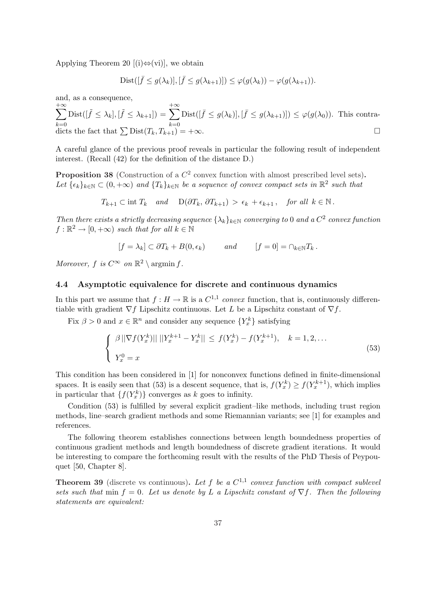Applying Theorem 20 [(i) $\Leftrightarrow$  (vi)], we obtain

$$
Dist([\bar{f} \le g(\lambda_k)], [\bar{f} \le g(\lambda_{k+1})]) \le \varphi(g(\lambda_k)) - \varphi(g(\lambda_{k+1})).
$$

and, as a consequence,

$$
\sum_{k=0}^{+\infty} \text{Dist}([\tilde{f} \le \lambda_k], [\tilde{f} \le \lambda_{k+1}]) = \sum_{k=0}^{+\infty} \text{Dist}([\bar{f} \le g(\lambda_k)], [\bar{f} \le g(\lambda_{k+1})]) \le \varphi(g(\lambda_0)).
$$
 This contradicts the fact that  $\sum \text{Dist}(T_k, T_{k+1}) = +\infty$ .

A careful glance of the previous proof reveals in particular the following result of independent interest. (Recall (42) for the definition of the distance D.)

**Proposition 38** (Construction of a  $C^2$  convex function with almost prescribed level sets). Let  $\{\epsilon_k\}_{k\in\mathbb{N}}\subset(0,+\infty)$  and  $\{T_k\}_{k\in\mathbb{N}}$  be a sequence of convex compact sets in  $\mathbb{R}^2$  such that

$$
T_{k+1} \subset \text{int } T_k
$$
 and  $D(\partial T_k, \partial T_{k+1}) > \epsilon_k + \epsilon_{k+1}$ , for all  $k \in \mathbb{N}$ .

Then there exists a strictly decreasing sequence  $\{\lambda_k\}_{k\in\mathbb{N}}$  converging to 0 and a  $C^2$  convex function  $f: \mathbb{R}^2 \to [0, +\infty)$  such that for all  $k \in \mathbb{N}$ 

$$
[f = \lambda_k] \subset \partial T_k + B(0, \epsilon_k) \quad and \quad [f = 0] = \cap_{k \in \mathbb{N}} T_k.
$$

Moreover, f is  $C^{\infty}$  on  $\mathbb{R}^2 \setminus \operatorname{argmin} f$ .

### 4.4 Asymptotic equivalence for discrete and continuous dynamics

In this part we assume that  $f: H \to \mathbb{R}$  is a  $C^{1,1}$  convex function, that is, continuously differentiable with gradient  $\nabla f$  Lipschitz continuous. Let L be a Lipschitz constant of  $\nabla f$ .

Fix  $\beta > 0$  and  $x \in \mathbb{R}^n$  and consider any sequence  $\{Y_x^k\}$  satisfying

$$
\begin{cases} \beta \|\nabla f(Y_x^k)\| \|Y_x^{k+1} - Y_x^k\| \le f(Y_x^k) - f(Y_x^{k+1}), & k = 1, 2, ...\\ Y_x^0 = x \end{cases}
$$
\n(53)

This condition has been considered in [1] for nonconvex functions defined in finite-dimensional spaces. It is easily seen that (53) is a descent sequence, that is,  $f(Y_x^k) \ge f(Y_x^{k+1})$ , which implies in particular that  $\{f(Y_x^k)\}\)$  converges as k goes to infinity.

Condition (53) is fulfilled by several explicit gradient–like methods, including trust region methods, line–search gradient methods and some Riemannian variants; see [1] for examples and references.

The following theorem establishes connections between length boundedness properties of continuous gradient methods and length boundedness of discrete gradient iterations. It would be interesting to compare the forthcoming result with the results of the PhD Thesis of Peypouquet [50, Chapter 8].

**Theorem 39** (discrete vs continuous). Let f be a  $C^{1,1}$  convex function with compact sublevel sets such that min  $f = 0$ . Let us denote by L a Lipschitz constant of  $\nabla f$ . Then the following statements are equivalent: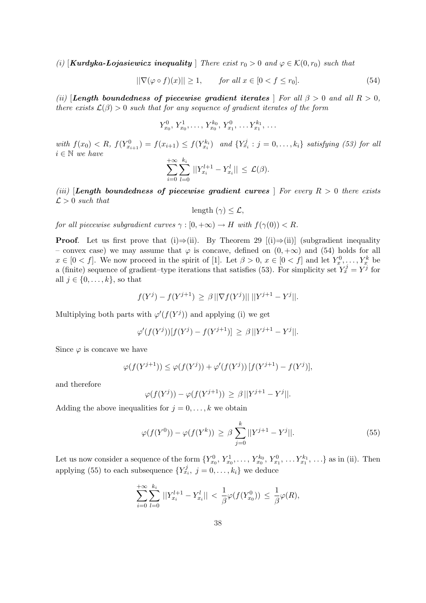(i)  $\text{Kurdyka-Lojasiewicz inequality}$  There exist  $r_0 > 0$  and  $\varphi \in \mathcal{K}(0, r_0)$  such that

$$
\|\nabla(\varphi \circ f)(x)\| \ge 1, \qquad \text{for all } x \in [0 < f \le r_0].\tag{54}
$$

(ii) [Length boundedness of piecewise gradient iterates ] For all  $\beta > 0$  and all  $R > 0$ , there exists  $\mathcal{L}(\beta) > 0$  such that for any sequence of gradient iterates of the form

$$
Y_{x_0}^0, Y_{x_0}^1, \ldots, Y_{x_0}^{k_0}, Y_{x_1}^0, \ldots Y_{x_1}^{k_1}, \ldots
$$

with  $f(x_0) < R$ ,  $f(Y_{x_{i+1}}^0) = f(x_{i+1}) \leq f(Y_{x_i}^{k_i})$  and  $\{Y_{x_i}^j : j = 0, ..., k_i\}$  satisfying (53) for all  $i \in \mathbb{N}$  we have

$$
\sum_{i=0}^{+\infty} \sum_{l=0}^{k_i} ||Y_{x_i}^{l+1} - Y_{x_i}^l|| \leq \mathcal{L}(\beta).
$$

(iii) **Length boundedness of piecewise gradient curves** | For every  $R > 0$  there exists  $\mathcal{L} > 0$  such that

$$
length (\gamma) \leq \mathcal{L},
$$

for all piecewise subgradient curves  $\gamma : [0, +\infty) \to H$  with  $f(\gamma(0)) < R$ .

**Proof.** Let us first prove that (i) $\Rightarrow$ (ii). By Theorem 29 [(i) $\Rightarrow$ (ii)] (subgradient inequality – convex case) we may assume that  $\varphi$  is concave, defined on  $(0, +\infty)$  and (54) holds for all  $x \in [0 \lt f]$ . We now proceed in the spirit of [1]. Let  $\beta > 0$ ,  $x \in [0 \lt f]$  and let  $Y_x^0, \ldots, Y_x^k$  be a (finite) sequence of gradient-type iterations that satisfies (53). For simplicity set  $Y_x^j = Y^j$  for all  $j \in \{0, \ldots, k\}$ , so that

$$
f(Y^{j}) - f(Y^{j+1}) \geq \beta ||\nabla f(Y^{j})|| \, ||Y^{j+1} - Y^{j}||.
$$

Multiplying both parts with  $\varphi'(f(Y^j))$  and applying (i) we get

$$
\varphi'(f(Y^j))[f(Y^j) - f(Y^{j+1})] \ge \beta ||Y^{j+1} - Y^j||.
$$

Since  $\varphi$  is concave we have

$$
\varphi(f(Y^{j+1})) \leq \varphi(f(Y^j)) + \varphi'(f(Y^j)) [f(Y^{j+1}) - f(Y^j)],
$$

and therefore

$$
\varphi(f(Y^j)) - \varphi(f(Y^{j+1})) \ge \beta ||Y^{j+1} - Y^j||.
$$

Adding the above inequalities for  $j = 0, \ldots, k$  we obtain

$$
\varphi(f(Y^0)) - \varphi(f(Y^k)) \ge \beta \sum_{j=0}^k ||Y^{j+1} - Y^j||. \tag{55}
$$

Let us now consider a sequence of the form  $\{Y_{x_0}^0, Y_{x_0}^1, \ldots, Y_{x_0}^{k_0}, Y_{x_1}^0, \ldots, Y_{x_1}^{k_1}, \ldots\}$  as in (ii). Then applying (55) to each subsequence  $\{Y_{x_i}^j, j = 0, \ldots, k_i\}$  we deduce

$$
\sum_{i=0}^{+\infty} \sum_{l=0}^{k_i} ||Y_{x_i}^{l+1} - Y_{x_i}^l|| < \frac{1}{\beta} \varphi(f(Y_{x_0}^0)) \le \frac{1}{\beta} \varphi(R),
$$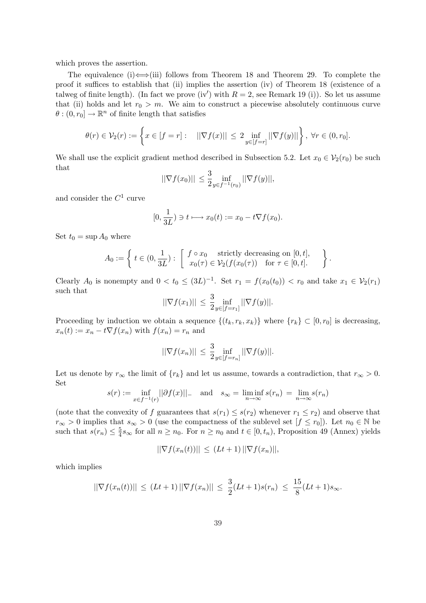which proves the assertion.

The equivalence (i)  $\Longleftrightarrow$  (iii) follows from Theorem 18 and Theorem 29. To complete the proof it suffices to establish that (ii) implies the assertion (iv) of Theorem 18 (existence of a talweg of finite length). (In fact we prove (iv') with  $R = 2$ , see Remark 19 (i)). So let us assume that (ii) holds and let  $r_0 > m$ . We aim to construct a piecewise absolutely continuous curve  $\theta$ :  $(0, r_0] \to \mathbb{R}^n$  of finite length that satisfies

$$
\theta(r) \in \mathcal{V}_2(r) := \left\{ x \in [f = r] : \quad ||\nabla f(x)|| \le 2 \inf_{y \in [f = r]} ||\nabla f(y)|| \right\}, \ \forall r \in (0, r_0].
$$

We shall use the explicit gradient method described in Subsection 5.2. Let  $x_0 \in V_2(r_0)$  be such that

$$
||\nabla f(x_0)|| \le \frac{3}{2} \inf_{y \in f^{-1}(r_0)} ||\nabla f(y)||,
$$

and consider the  $C^1$  curve

$$
[0, \frac{1}{3L}) \ni t \longmapsto x_0(t) := x_0 - t \nabla f(x_0).
$$

Set  $t_0 = \sup A_0$  where

$$
A_0 := \left\{ t \in (0, \frac{1}{3L}) : \begin{bmatrix} f \circ x_0 & \text{strictly decreasing on } [0, t], \\ x_0(\tau) \in \mathcal{V}_2(f(x_0(\tau)) & \text{for } \tau \in [0, t]. \end{bmatrix} \right\}
$$

.

Clearly  $A_0$  is nonempty and  $0 < t_0 \leq (3L)^{-1}$ . Set  $r_1 = f(x_0(t_0)) < r_0$  and take  $x_1 \in V_2(r_1)$ such that

$$
||\nabla f(x_1)|| \le \frac{3}{2} \inf_{y \in [f=r_1]} ||\nabla f(y)||.
$$

Proceeding by induction we obtain a sequence  $\{(t_k, r_k, x_k)\}\$  where  $\{r_k\} \subset [0, r_0]$  is decreasing,  $x_n(t) := x_n - t \nabla f(x_n)$  with  $f(x_n) = r_n$  and

$$
||\nabla f(x_n)|| \leq \frac{3}{2} \inf_{y \in [f=r_n]} ||\nabla f(y)||.
$$

Let us denote by  $r_{\infty}$  the limit of  $\{r_k\}$  and let us assume, towards a contradiction, that  $r_{\infty} > 0$ . Set

$$
s(r) := \inf_{x \in f^{-1}(r)} ||\partial f(x)||_{-} \quad \text{and} \quad s_{\infty} = \liminf_{n \to \infty} s(r_n) = \lim_{n \to \infty} s(r_n)
$$

(note that the convexity of f guarantees that  $s(r_1) \leq s(r_2)$  whenever  $r_1 \leq r_2$ ) and observe that  $r_{\infty} > 0$  implies that  $s_{\infty} > 0$  (use the compactness of the sublevel set  $[f \le r_0]$ ). Let  $n_0 \in \mathbb{N}$  be such that  $s(r_n) \leq \frac{5}{4}$  $\frac{5}{4} s_{\infty}$  for all  $n \geq n_0$ . For  $n \geq n_0$  and  $t \in [0, t_n)$ , Proposition 49 (Annex) yields

$$
||\nabla f(x_n(t))|| \leq (Lt+1) ||\nabla f(x_n)||,
$$

which implies

$$
||\nabla f(x_n(t))|| \le (Lt+1) ||\nabla f(x_n)|| \le \frac{3}{2}(Lt+1)s(r_n) \le \frac{15}{8}(Lt+1)s_{\infty}.
$$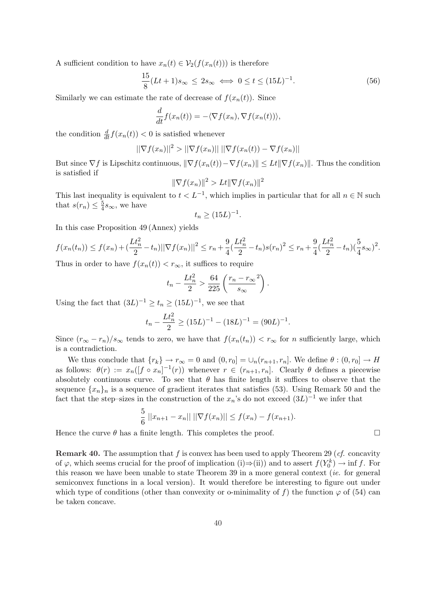A sufficient condition to have  $x_n(t) \in V_2(f(x_n(t)))$  is therefore

$$
\frac{15}{8}(Lt+1)s_{\infty} \le 2s_{\infty} \iff 0 \le t \le (15L)^{-1}.
$$
 (56)

Similarly we can estimate the rate of decrease of  $f(x_n(t))$ . Since

$$
\frac{d}{dt}f(x_n(t)) = -\langle \nabla f(x_n), \nabla f(x_n(t)) \rangle,
$$

the condition  $\frac{d}{dt} f(x_n(t)) < 0$  is satisfied whenever

$$
||\nabla f(x_n)||^2 > ||\nabla f(x_n)|| \, ||\nabla f(x_n(t)) - \nabla f(x_n)||
$$

But since  $\nabla f$  is Lipschitz continuous,  $\|\nabla f(x_n(t)) - \nabla f(x_n)\| \leq Lt \|\nabla f(x_n)\|$ . Thus the condition is satisfied if

$$
\|\nabla f(x_n)\|^2 > Lt \|\nabla f(x_n)\|^2
$$

This last inequality is equivalent to  $t < L^{-1}$ , which implies in particular that for all  $n \in \mathbb{N}$  such that  $s(r_n) \leq \frac{5}{4}$  $\frac{5}{4}$ s<sub>∞</sub>, we have

$$
t_n \ge (15L)^{-1}.
$$

In this case Proposition 49 (Annex) yields

$$
f(x_n(t_n)) \le f(x_n) + \left(\frac{Lt_n^2}{2} - t_n\right) \|\nabla f(x_n)\|^2 \le r_n + \frac{9}{4}\left(\frac{Lt_n^2}{2} - t_n\right)s(r_n)^2 \le r_n + \frac{9}{4}\left(\frac{Lt_n^2}{2} - t_n\right)\left(\frac{5}{4}s_\infty\right)^2.
$$

Thus in order to have  $f(x_n(t)) < r_\infty$ , it suffices to require

$$
t_n - \frac{Lt_n^2}{2} > \frac{64}{225} \left(\frac{r_n - r_\infty}{s_\infty}\right).
$$

Using the fact that  $(3L)^{-1} \ge t_n \ge (15L)^{-1}$ , we see that

$$
t_n - \frac{Lt_n^2}{2} \ge (15L)^{-1} - (18L)^{-1} = (90L)^{-1}.
$$

Since  $(r_{\infty}-r_n)/s_{\infty}$  tends to zero, we have that  $f(x_n(t_n)) < r_{\infty}$  for n sufficiently large, which is a contradiction.

We thus conclude that  ${r_k} \rightarrow r_\infty = 0$  and  $(0, r_0] = \bigcup_n (r_{n+1}, r_n]$ . We define  $\theta : (0, r_0] \rightarrow H$ as follows:  $\theta(r) := x_n([f \circ x_n]^{-1}(r))$  whenever  $r \in (r_{n+1}, r_n]$ . Clearly  $\theta$  defines a piecewise absolutely continuous curve. To see that  $\theta$  has finite length it suffices to observe that the sequence  $\{x_n\}_n$  is a sequence of gradient iterates that satisfies (53). Using Remark 50 and the fact that the step–sizes in the construction of the  $x_n$ 's do not exceed  $(3L)^{-1}$  we infer that

$$
\frac{5}{6} ||x_{n+1} - x_n|| \, ||\nabla f(x_n)|| \le f(x_n) - f(x_{n+1}).
$$

Hence the curve  $\theta$  has a finite length. This completes the proof.  $\Box$ 

**Remark 40.** The assumption that f is convex has been used to apply Theorem 29 (cf. concavity of  $\varphi$ , which seems crucial for the proof of implication (i)⇒(ii)) and to assert  $f(Y_0^k) \to \inf f$ . For this reason we have been unable to state Theorem 39 in a more general context (ie. for general semiconvex functions in a local version). It would therefore be interesting to figure out under which type of conditions (other than convexity or o-minimality of f) the function  $\varphi$  of (54) can be taken concave.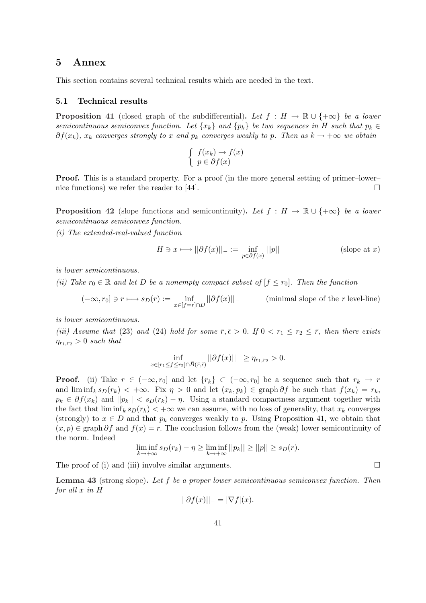### 5 Annex

This section contains several technical results which are needed in the text.

### 5.1 Technical results

**Proposition 41** (closed graph of the subdifferential). Let  $f : H \to \mathbb{R} \cup \{+\infty\}$  be a lower semicontinuous semiconvex function. Let  $\{x_k\}$  and  $\{p_k\}$  be two sequences in H such that  $p_k \in$  $\partial f(x_k)$ ,  $x_k$  converges strongly to x and  $p_k$  converges weakly to p. Then as  $k \to +\infty$  we obtain

$$
\begin{cases} f(x_k) \to f(x) \\ p \in \partial f(x) \end{cases}
$$

Proof. This is a standard property. For a proof (in the more general setting of primer–lower– nice functions) we refer the reader to [44].  $\Box$ 

**Proposition 42** (slope functions and semicontinuity). Let  $f : H \to \mathbb{R} \cup \{+\infty\}$  be a lower semicontinuous semiconvex function.

(i) The extended-real-valued function

$$
H \ni x \longmapsto ||\partial f(x)||_{-} := \inf_{p \in \partial f(x)} ||p|| \qquad \qquad \text{(slope at } x\text{)}
$$

is lower semicontinuous.

(ii) Take  $r_0 \in \mathbb{R}$  and let D be a nonempty compact subset of  $f \leq r_0$ . Then the function

$$
(-\infty, r_0] \ni r \longmapsto s_D(r) := \inf_{x \in [f=r] \cap D} ||\partial f(x)||.
$$
 (minimal slope of the *r* level-line)

is lower semicontinuous.

(iii) Assume that (23) and (24) hold for some  $\bar{r}, \bar{\epsilon} > 0$ . If  $0 < r_1 \leq r_2 \leq \bar{r}$ , then there exists  $\eta_{r_1,r_2} > 0$  such that

$$
\inf_{x \in [r_1 \le f \le r_2] \cap \bar{B}(\bar{r}, \bar{\epsilon})} ||\partial f(x)||_- \ge \eta_{r_1, r_2} > 0.
$$

**Proof.** (ii) Take  $r \in (-\infty, r_0]$  and let  $\{r_k\} \subset (-\infty, r_0]$  be a sequence such that  $r_k \to r$ and  $\liminf_k s_D(r_k) < +\infty$ . Fix  $\eta > 0$  and let  $(x_k, p_k) \in \text{graph }\partial f$  be such that  $f(x_k) = r_k$ ,  $p_k \in \partial f(x_k)$  and  $||p_k|| < s_D(r_k) - \eta$ . Using a standard compactness argument together with the fact that  $\liminf_k s_D(r_k) < +\infty$  we can assume, with no loss of generality, that  $x_k$  converges (strongly) to  $x \in D$  and that  $p_k$  converges weakly to p. Using Proposition 41, we obtain that  $(x, p) \in \text{graph } \partial f$  and  $f(x) = r$ . The conclusion follows from the (weak) lower semicontinuity of the norm. Indeed

$$
\liminf_{k \to +\infty} s_D(r_k) - \eta \ge \liminf_{k \to +\infty} ||p_k|| \ge ||p|| \ge s_D(r).
$$

The proof of (i) and (iii) involve similar arguments.  $\Box$ 

Lemma 43 (strong slope). Let f be a proper lower semicontinuous semiconvex function. Then for all x in H

$$
||\partial f(x)||_{-} = |\nabla f|(x).
$$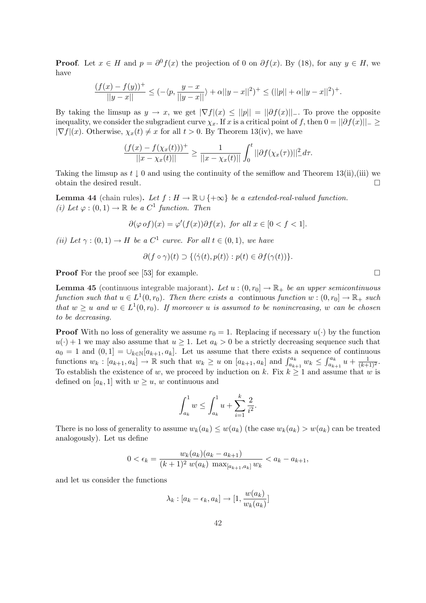**Proof.** Let  $x \in H$  and  $p = \partial^0 f(x)$  the projection of 0 on  $\partial f(x)$ . By (18), for any  $y \in H$ , we have

$$
\frac{(f(x) - f(y))^+}{||y - x||} \leq (-\langle p, \frac{y - x}{||y - x||} \rangle + \alpha ||y - x||^2)^+ \leq (||p|| + \alpha ||y - x||^2)^+.
$$

By taking the limsup as  $y \to x$ , we get  $|\nabla f(x)| \le ||p|| = ||\partial f(x)||$ . To prove the opposite inequality, we consider the subgradient curve  $\chi_x$ . If x is a critical point of f, then  $0 = ||\partial f(x)||_{-} \ge$  $|\nabla f|(x)$ . Otherwise,  $\chi_x(t) \neq x$  for all  $t > 0$ . By Theorem 13(iv), we have

$$
\frac{(f(x) - f(\chi_x(t)))^+}{||x - \chi_x(t)||} \ge \frac{1}{||x - \chi_x(t)||} \int_0^t ||\partial f(\chi_x(\tau))||_ -^2 d\tau.
$$

Taking the limsup as  $t \downarrow 0$  and using the continuity of the semiflow and Theorem 13(ii),(iii) we obtain the desired result.  $\Box$ 

**Lemma 44** (chain rules). Let  $f : H \to \mathbb{R} \cup \{+\infty\}$  be a extended-real-valued function. (i) Let  $\varphi: (0,1) \to \mathbb{R}$  be a  $C^1$  function. Then

$$
\partial(\varphi \,of)(x) = \varphi'(f(x))\partial f(x), \text{ for all } x \in [0 < f < 1].
$$

(ii) Let  $\gamma: (0,1) \to H$  be a  $C^1$  curve. For all  $t \in (0,1)$ , we have

$$
\partial(f \circ \gamma)(t) \supset \{ \langle \dot{\gamma}(t), p(t) \rangle : p(t) \in \partial f(\gamma(t)) \}.
$$

**Proof** For the proof see [53] for example.  $\Box$ 

**Lemma 45** (continuous integrable majorant). Let  $u:(0,r_0] \to \mathbb{R}_+$  be an upper semicontinuous function such that  $u \in L^1(0,r_0)$ . Then there exists a continuous function  $w : (0,r_0] \to \mathbb{R}_+$  such that  $w \geq u$  and  $w \in L^1(0,r_0)$ . If moreover u is assumed to be nonincreasing, w can be chosen to be decreasing.

**Proof** With no loss of generality we assume  $r_0 = 1$ . Replacing if necessary  $u(\cdot)$  by the function  $u(\cdot) + 1$  we may also assume that  $u \geq 1$ . Let  $a_k > 0$  be a strictly decreasing sequence such that  $a_0 = 1$  and  $(0, 1] = \bigcup_{k \in \mathbb{N}} [a_{k+1}, a_k]$ . Let us assume that there exists a sequence of continuous  $w_k : [a_{k+1}, a_k] \to \mathbb{R}$  such that  $w_k \ge u$  on  $[a_{k+1}, a_k]$  and  $\int_{a_{k+1}}^{a_k} w_k \le \int_{a_{k+1}}^{a_k} u + \frac{1}{(k+1)^2}$ .  $a_{k+1}^{a_k} u + \frac{1}{(k+1)^2}.$ To establish the existence of w, we proceed by induction on k. Fix  $k \geq 1$  and assume that w is defined on  $[a_k, 1]$  with  $w \geq u$ , w continuous and

$$
\int_{a_k}^1 w \le \int_{a_k}^1 u + \sum_{i=1}^k \frac{2}{i^2}.
$$

There is no loss of generality to assume  $w_k(a_k) \leq w(a_k)$  (the case  $w_k(a_k) > w(a_k)$  can be treated analogously). Let us define

$$
0 < \epsilon_k = \frac{w_k(a_k)(a_k - a_{k+1})}{(k+1)^2 w(a_k) \max_{[a_{k+1}, a_k]} w_k} < a_k - a_{k+1},
$$

and let us consider the functions

$$
\lambda_k : [a_k - \epsilon_k, a_k] \to [1, \frac{w(a_k)}{w_k(a_k)}]
$$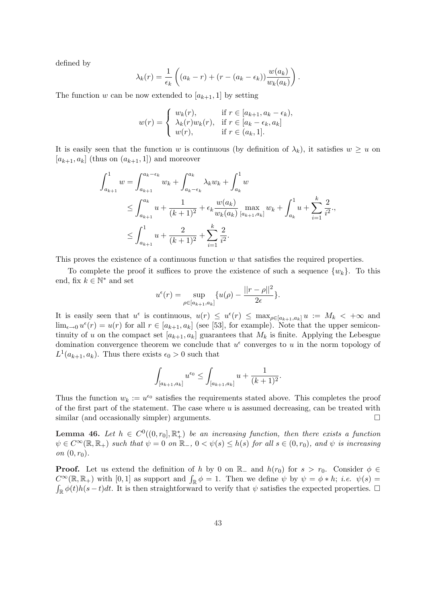defined by

$$
\lambda_k(r) = \frac{1}{\epsilon_k} \left( (a_k - r) + (r - (a_k - \epsilon_k)) \frac{w(a_k)}{w_k(a_k)} \right).
$$

The function w can be now extended to  $[a_{k+1}, 1]$  by setting

$$
w(r) = \begin{cases} w_k(r), & \text{if } r \in [a_{k+1}, a_k - \epsilon_k), \\ \lambda_k(r)w_k(r), & \text{if } r \in [a_k - \epsilon_k, a_k] \\ w(r), & \text{if } r \in (a_k, 1]. \end{cases}
$$

It is easily seen that the function w is continuous (by definition of  $\lambda_k$ ), it satisfies  $w \geq u$  on  $[a_{k+1}, a_k]$  (thus on  $(a_{k+1}, 1]$ ) and moreover

$$
\int_{a_{k+1}}^{1} w = \int_{a_{k+1}}^{a_k - \epsilon_k} w_k + \int_{a_k - \epsilon_k}^{a_k} \lambda_k w_k + \int_{a_k}^{1} w
$$
  
\n
$$
\leq \int_{a_{k+1}}^{a_k} u + \frac{1}{(k+1)^2} + \epsilon_k \frac{w(a_k)}{w_k(a_k)} \max_{[a_{k+1}, a_k]} w_k + \int_{a_k}^{1} u + \sum_{i=1}^{k} \frac{2}{i^2},
$$
  
\n
$$
\leq \int_{a_{k+1}}^{1} u + \frac{2}{(k+1)^2} + \sum_{i=1}^{k} \frac{2}{i^2}.
$$

This proves the existence of a continuous function  $w$  that satisfies the required properties.

To complete the proof it suffices to prove the existence of such a sequence  $\{w_k\}$ . To this end, fix  $k \in \mathbb{N}^*$  and set  $| \cdot |$   $| \cdot |$ 

$$
u^{\epsilon}(r) = \sup_{\rho \in [a_{k+1}, a_k]} \{ u(\rho) - \frac{||r - \rho||^2}{2\epsilon} \}.
$$

It is easily seen that  $u^{\epsilon}$  is continuous,  $u(r) \leq u^{\epsilon}(r) \leq \max_{\rho \in [a_{k+1}, a_k]} u := M_k \lt +\infty$  and  $\lim_{\epsilon \to 0} u^{\epsilon}(r) = u(r)$  for all  $r \in [a_{k+1}, a_k]$  (see [53], for example). Note that the upper semicontinuity of u on the compact set  $[a_{k+1}, a_k]$  guarantees that  $M_k$  is finite. Applying the Lebesgue domination convergence theorem we conclude that  $u^{\epsilon}$  converges to u in the norm topology of  $L^1(a_{k+1}, a_k)$ . Thus there exists  $\epsilon_0 > 0$  such that

$$
\int_{[a_{k+1},a_k]} u^{\epsilon_0} \le \int_{[a_{k+1},a_k]} u + \frac{1}{(k+1)^2}.
$$

Thus the function  $w_k := u^{\epsilon_0}$  satisfies the requirements stated above. This completes the proof of the first part of the statement. The case where  $u$  is assumed decreasing, can be treated with similar (and occasionally simpler) arguments.

**Lemma 46.** Let  $h \in C^0((0,r_0], \mathbb{R}^*_+)$  be an increasing function, then there exists a function  $\psi \in C^{\infty}(\mathbb{R}, \mathbb{R}_+)$  such that  $\psi = 0$  on  $\mathbb{R}_-, 0 < \psi(s) \leq h(s)$  for all  $s \in (0, r_0)$ , and  $\psi$  is increasing on  $(0, r_0)$ .

**Proof.** Let us extend the definition of h by 0 on  $\mathbb{R}_-$  and  $h(r_0)$  for  $s > r_0$ . Consider  $\phi \in$ **Proof.** Let us extend the definition of *n* by 0 on  $\mathbb{R}_-$  and  $n(r_0)$  for  $s > r_0$ . Consider  $\varphi \in C^{\infty}(\mathbb{R}, \mathbb{R}_+)$  with  $[0, 1]$  as support and  $\int_{\mathbb{R}} \phi = 1$ . Then we define  $\psi$  by  $\psi = \phi * h$ ; *i.e.*  $\psi(s) =$  $\int_{\mathbb{R}} \phi(t)h(s-t)dt$ . It is then straightforward to verify that  $\psi$  satisfies the expected properties.  $\Box$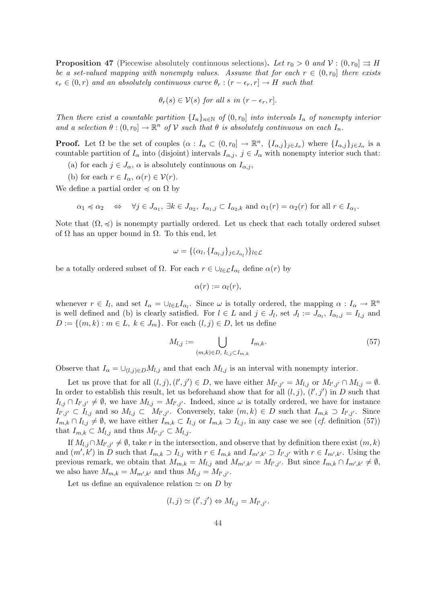**Proposition 47** (Piecewise absolutely continuous selections). Let  $r_0 > 0$  and  $\mathcal{V} : (0, r_0] \Rightarrow H$ be a set-valued mapping with nonempty values. Assume that for each  $r \in (0,r_0]$  there exists  $\epsilon_r \in (0, r)$  and an absolutely continuous curve  $\theta_r : (r - \epsilon_r, r] \to H$  such that

$$
\theta_r(s) \in \mathcal{V}(s) \text{ for all } s \text{ in } (r - \epsilon_r, r].
$$

Then there exist a countable partition  $\{I_n\}_{n\in\mathbb{N}}$  of  $(0, r_0]$  into intervals  $I_n$  of nonempty interior and a selection  $\theta : (0, r_0] \to \mathbb{R}^n$  of V such that  $\theta$  is absolutely continuous on each  $I_n$ .

**Proof.** Let  $\Omega$  be the set of couples  $(\alpha : I_{\alpha} \subset (0, r_0] \to \mathbb{R}^n, \{I_{\alpha,j}\}_{j\in J_{\alpha}})$  where  $\{I_{\alpha,j}\}_{j\in J_{\alpha}}$  is a countable partition of  $I_{\alpha}$  into (disjoint) intervals  $I_{\alpha,i}$ ,  $j \in J_{\alpha}$  with nonempty interior such that:

- (a) for each  $j \in J_\alpha$ ,  $\alpha$  is absolutely continuous on  $I_{\alpha,j}$ ,
- (b) for each  $r \in I_\alpha$ ,  $\alpha(r) \in \mathcal{V}(r)$ .

We define a partial order  $\preccurlyeq$  on  $\Omega$  by

$$
\alpha_1 \preccurlyeq \alpha_2 \quad \Leftrightarrow \quad \forall j \in J_{\alpha_1}, \ \exists k \in J_{\alpha_2}, \ I_{\alpha_1,j} \subset I_{\alpha_2,k} \ \text{and} \ \alpha_1(r) = \alpha_2(r) \ \text{for all} \ r \in I_{\alpha_1}.
$$

Note that  $(\Omega, \preceq)$  is nonempty partially ordered. Let us check that each totally ordered subset of  $\Omega$  has an upper bound in  $\Omega$ . To this end, let

$$
\omega = \{(\alpha_l, \{I_{\alpha_l,j}\}_{j \in J_{\alpha_l}})\}_{l \in \mathcal{L}}
$$

be a totally ordered subset of  $\Omega$ . For each  $r \in \bigcup_{l \in \mathcal{L}} I_{\alpha_l}$  define  $\alpha(r)$  by

$$
\alpha(r):=\alpha_l(r),
$$

whenever  $r \in I_l$ , and set  $I_\alpha = \bigcup_{l \in L} I_{\alpha_l}$ . Since  $\omega$  is totally ordered, the mapping  $\alpha: I_\alpha \to \mathbb{R}^n$ is well defined and (b) is clearly satisfied. For  $l \in L$  and  $j \in J_l$ , set  $J_l := J_{\alpha_l}, I_{\alpha_l,j} = I_{l,j}$  and  $D := \{(m, k) : m \in L, k \in J_m\}$ . For each  $(l, j) \in D$ , let us define

$$
M_{l,j} := \bigcup_{(m,k)\in D, I_{l,j}\subset I_{m,k}} I_{m,k}.
$$
\n(57)

Observe that  $I_{\alpha} = \bigcup_{(l,i)\in D} M_{l,i}$  and that each  $M_{l,i}$  is an interval with nonempty interior.

Let us prove that for all  $(l, j)$ ,  $(l', j') \in D$ , we have either  $M_{l', j'} = M_{l, j}$  or  $M_{l', j'} \cap M_{l, j} = \emptyset$ . In order to establish this result, let us beforehand show that for all  $(l, j)$ ,  $(l', j')$  in D such that  $I_{l,j} \cap I_{l',j'} \neq \emptyset$ , we have  $M_{l,j} = M_{l',j'}$ . Indeed, since  $\omega$  is totally ordered, we have for instance  $I_{l',j'} \subset I_{l,j}$  and so  $M_{l,j} \subset M_{l',j'}$ . Conversely, take  $(m,k) \in D$  such that  $I_{m,k} \supset I_{l',j'}$ . Since  $I_{m,k} \cap I_{l,j} \neq \emptyset$ , we have either  $I_{m,k} \subset I_{l,j}$  or  $I_{m,k} \supset I_{l,j}$ , in any case we see (*cf.* definition (57)) that  $I_{m,k} \subset M_{l,j}$  and thus  $M_{l',j'} \subset M_{l,j}$ .

If  $M_{l,j} \cap M_{l',j'} \neq \emptyset$ , take r in the intersection, and observe that by definition there exist  $(m, k)$ and  $(m', k')$  in D such that  $I_{m,k} \supset I_{l,j}$  with  $r \in I_{m,k}$  and  $I_{m',k'} \supset I_{l',j'}$  with  $r \in I_{m',k'}$ . Using the previous remark, we obtain that  $M_{m,k} = M_{l,j}$  and  $M_{m',k'} = M_{l',j'}$ . But since  $I_{m,k} \cap I_{m',k'} \neq \emptyset$ , we also have  $M_{m,k} = M_{m',k'}$  and thus  $M_{l,j} = M_{l',j'}.$ 

Let us define an equivalence relation  $\simeq$  on D by

$$
(l, j) \simeq (l', j') \Leftrightarrow M_{l,j} = M_{l',j'}.
$$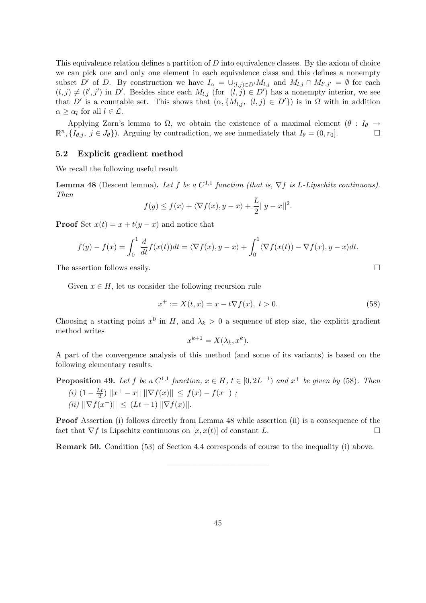This equivalence relation defines a partition of  $D$  into equivalence classes. By the axiom of choice we can pick one and only one element in each equivalence class and this defines a nonempty subset D' of D. By construction we have  $I_{\alpha} = \bigcup_{(l,j)\in D'} M_{l,j}$  and  $M_{l,j} \cap M_{l',j'} = \emptyset$  for each  $(l, j) \neq (l', j')$  in D'. Besides since each  $M_{l,j}$  (for  $(l, j) \in D'$ ) has a nonempty interior, we see that D' is a countable set. This shows that  $(\alpha, \{M_{l,j}, (l,j) \in D'\})$  is in  $\Omega$  with in addition  $\alpha \geq \alpha_l$  for all  $l \in \mathcal{L}$ .

Applying Zorn's lemma to  $\Omega$ , we obtain the existence of a maximal element  $(\theta : I_{\theta} \rightarrow$  $\mathbb{R}^n$ ,  $\{I_{\theta,j}, j \in J_{\theta}\}\)$ . Arguing by contradiction, we see immediately that  $I_{\theta} = (0, r_0]$ .

### 5.2 Explicit gradient method

We recall the following useful result

**Lemma 48** (Descent lemma). Let f be a  $C^{1,1}$  function (that is,  $\nabla f$  is L-Lipschitz continuous). Then

$$
f(y) \le f(x) + \langle \nabla f(x), y - x \rangle + \frac{L}{2} ||y - x||^2.
$$

**Proof** Set  $x(t) = x + t(y - x)$  and notice that

$$
f(y) - f(x) = \int_0^1 \frac{d}{dt} f(x(t)) dt = \langle \nabla f(x), y - x \rangle + \int_0^1 \langle \nabla f(x(t)) - \nabla f(x), y - x \rangle dt.
$$

The assertion follows easily.  $\Box$ 

Given  $x \in H$ , let us consider the following recursion rule

$$
x^{+} := X(t, x) = x - t\nabla f(x), \ t > 0.
$$
\n(58)

Choosing a starting point  $x^0$  in H, and  $\lambda_k > 0$  a sequence of step size, the explicit gradient method writes

$$
x^{k+1} = X(\lambda_k, x^k).
$$

A part of the convergence analysis of this method (and some of its variants) is based on the following elementary results.

**Proposition 49.** Let 
$$
f
$$
 be a  $C^{1,1}$  function,  $x \in H$ ,  $t \in [0, 2L^{-1})$  and  $x^+$  be given by (58). Then\n
$$
(i) \left(1 - \frac{Lt}{2}\right) \left\|x^+ - x\right\| \left\|\nabla f(x)\right\| \le f(x) - f(x^+) \ ;
$$
\n
$$
(ii) \left\|\nabla f(x^+)\right\| \le (Lt + 1) \left\|\nabla f(x)\right\|.
$$

Proof Assertion (i) follows directly from Lemma 48 while assertion (ii) is a consequence of the fact that  $\nabla f$  is Lipschitz continuous on  $[x, x(t)]$  of constant L.  $\Box$ 

Remark 50. Condition (53) of Section 4.4 corresponds of course to the inequality (i) above.

—————————————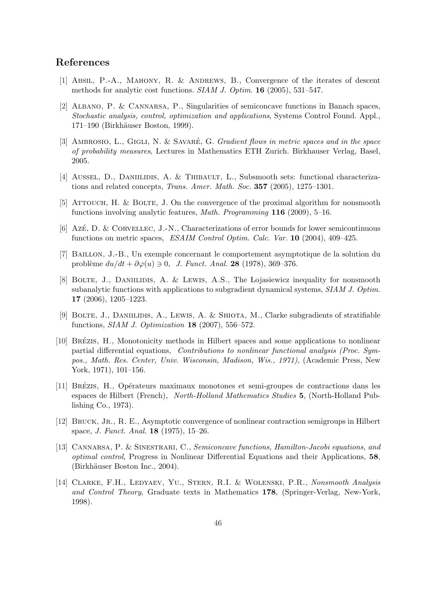## References

- [1] Absil, P.-A., Mahony, R. & Andrews, B., Convergence of the iterates of descent methods for analytic cost functions. SIAM J. Optim. 16 (2005), 531–547.
- [2] Albano, P. & Cannarsa, P., Singularities of semiconcave functions in Banach spaces, Stochastic analysis, control, optimization and applications, Systems Control Found. Appl., 171–190 (Birkhäuser Boston, 1999).
- [3] AMBROSIO, L., GIGLI, N. & SAVARÉ, G. Gradient flows in metric spaces and in the space of probability measures, Lectures in Mathematics ETH Zurich. Birkhauser Verlag, Basel, 2005.
- [4] Aussel, D., Daniilidis, A. & Thibault, L., Subsmooth sets: functional characterizations and related concepts, Trans. Amer. Math. Soc. 357 (2005), 1275–1301.
- [5] Attouch, H. & Bolte, J. On the convergence of the proximal algorithm for nonsmooth functions involving analytic features, Math. Programming 116 (2009), 5–16.
- [6] Azé, D. & CORVELLEC, J.-N., Characterizations of error bounds for lower semicontinuous functions on metric spaces, ESAIM Control Optim. Calc. Var. 10 (2004), 409–425.
- [7] Baillon, J.-B., Un exemple concernant le comportement asymptotique de la solution du problème  $du/dt + \partial \varphi(u) \ni 0$ , J. Funct. Anal. 28 (1978), 369–376.
- [8] BOLTE, J., DANIILIDIS, A. & LEWIS, A.S., The Lojasiewicz inequality for nonsmooth subanalytic functions with applications to subgradient dynamical systems, SIAM J. Optim. 17 (2006), 1205–1223.
- [9] BOLTE, J., DANIILIDIS, A., LEWIS, A. & SHIOTA, M., Clarke subgradients of stratifiable functions, SIAM J. Optimization 18 (2007), 556–572.
- [10] BRÉZIS, H., Monotonicity methods in Hilbert spaces and some applications to nonlinear partial differential equations, Contributions to nonlinear functional analysis (Proc. Sympos., Math. Res. Center, Univ. Wisconsin, Madison, Wis., 1971), (Academic Press, New York, 1971), 101–156.
- [11] BRÉZIS, H., Opérateurs maximaux monotones et semi-groupes de contractions dans les espaces de Hilbert (French), North-Holland Mathematics Studies 5, (North-Holland Publishing Co., 1973).
- [12] Bruck, Jr., R. E., Asymptotic convergence of nonlinear contraction semigroups in Hilbert space, J. Funct. Anal. 18 (1975), 15–26.
- [13] CANNARSA, P. & SINESTRARI, C., Semiconcave functions, Hamilton-Jacobi equations, and optimal control, Progress in Nonlinear Differential Equations and their Applications, 58, (Birkhäuser Boston Inc., 2004).
- [14] Clarke, F.H., Ledyaev, Yu., Stern, R.I. & Wolenski, P.R., Nonsmooth Analysis and Control Theory, Graduate texts in Mathematics 178, (Springer-Verlag, New-York, 1998).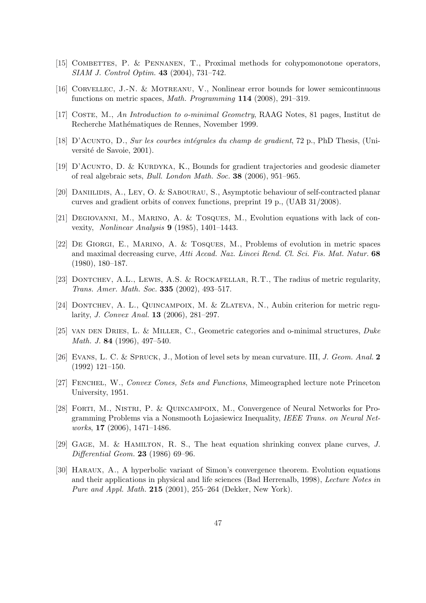- [15] COMBETTES, P. & PENNANEN, T., Proximal methods for cohypomonotone operators, SIAM J. Control Optim. 43 (2004), 731–742.
- [16] Corvellec, J.-N. & Motreanu, V., Nonlinear error bounds for lower semicontinuous functions on metric spaces, Math. Programming 114 (2008), 291–319.
- [17] COSTE, M., An Introduction to o-minimal Geometry, RAAG Notes, 81 pages, Institut de Recherche Mathématiques de Rennes, November 1999.
- [18] D'ACUNTO, D., Sur les courbes intégrales du champ de gradient, 72 p., PhD Thesis, (Université de Savoie, 2001).
- [19] D'ACUNTO, D. & KURDYKA, K., Bounds for gradient trajectories and geodesic diameter of real algebraic sets, Bull. London Math. Soc. 38 (2006), 951–965.
- [20] Daniilidis, A., Ley, O. & Sabourau, S., Asymptotic behaviour of self-contracted planar curves and gradient orbits of convex functions, preprint 19 p., (UAB 31/2008).
- [21] Degiovanni, M., Marino, A. & Tosques, M., Evolution equations with lack of convexity, Nonlinear Analysis 9 (1985), 1401–1443.
- [22] De Giorgi, E., Marino, A. & Tosques, M., Problems of evolution in metric spaces and maximal decreasing curve, Atti Accad. Naz. Lincei Rend. Cl. Sci. Fis. Mat. Natur. 68 (1980), 180–187.
- [23] DONTCHEV, A.L., LEWIS, A.S. & ROCKAFELLAR, R.T., The radius of metric regularity, Trans. Amer. Math. Soc. 335 (2002), 493–517.
- [24] DONTCHEV, A. L., QUINCAMPOIX, M. & ZLATEVA, N., Aubin criterion for metric regularity, J. Convex Anal. 13 (2006), 281–297.
- [25] van den Dries, L. & Miller, C., Geometric categories and o-minimal structures, Duke Math. J. 84 (1996), 497–540.
- [26] Evans, L. C. & Spruck, J., Motion of level sets by mean curvature. III, J. Geom. Anal. 2 (1992) 121–150.
- [27] Fenchel, W., Convex Cones, Sets and Functions, Mimeographed lecture note Princeton University, 1951.
- [28] Forti, M., Nistri, P. & Quincampoix, M., Convergence of Neural Networks for Programming Problems via a Nonsmooth Lojasiewicz Inequality, IEEE Trans. on Neural Networks, 17 (2006), 1471–1486.
- [29] Gage, M. & Hamilton, R. S., The heat equation shrinking convex plane curves, J. Differential Geom. 23 (1986) 69–96.
- [30] Haraux, A., A hyperbolic variant of Simon's convergence theorem. Evolution equations and their applications in physical and life sciences (Bad Herrenalb, 1998), Lecture Notes in Pure and Appl. Math. 215 (2001), 255–264 (Dekker, New York).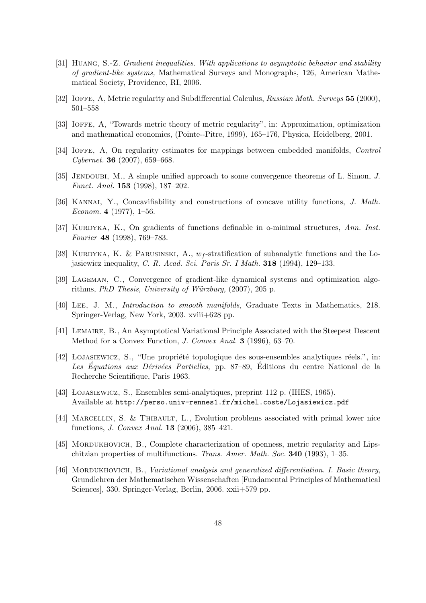- [31] Huang, S.-Z. Gradient inequalities. With applications to asymptotic behavior and stability of gradient-like systems, Mathematical Surveys and Monographs, 126, American Mathematical Society, Providence, RI, 2006.
- [32] IOFFE, A, Metric regularity and Subdifferential Calculus, Russian Math. Surveys 55 (2000), 501–558
- [33] IOFFE, A, "Towards metric theory of metric regularity", in: Approximation, optimization and mathematical economics, (Pointe--Pitre, 1999), 165–176, Physica, Heidelberg, 2001.
- [34] IOFFE, A, On regularity estimates for mappings between embedded manifolds, *Control*  $Cybernet.$  **36** (2007), 659–668.
- [35] JENDOUBI, M., A simple unified approach to some convergence theorems of L. Simon, J. Funct. Anal. 153 (1998), 187–202.
- [36] KANNAI, Y., Concavifiability and constructions of concave utility functions, J. Math. Econom. 4  $(1977)$ , 1–56.
- [37] KURDYKA, K., On gradients of functions definable in o-minimal structures, Ann. Inst. Fourier 48 (1998), 769–783.
- [38] KURDYKA, K. & PARUSINSKI, A.,  $w_f$ -stratification of subanalytic functions and the Lojasiewicz inequality, C. R. Acad. Sci. Paris Sr. I Math. 318 (1994), 129–133.
- [39] Lageman, C., Convergence of gradient-like dynamical systems and optimization algorithms, *PhD Thesis, University of Würzburg*,  $(2007)$ ,  $205$  p.
- [40] Lee, J. M., Introduction to smooth manifolds, Graduate Texts in Mathematics, 218. Springer-Verlag, New York, 2003. xviii+628 pp.
- [41] Lemaire, B., An Asymptotical Variational Principle Associated with the Steepest Descent Method for a Convex Function, J. Convex Anal. 3 (1996), 63–70.
- [42] LOJASIEWICZ, S., "Une propriété topologique des sous-ensembles analytiques réels.", in: Les Équations aux Dérivées Partielles, pp. 87–89, Éditions du centre National de la Recherche Scientifique, Paris 1963.
- [43] ŁOJASIEWICZ, S., Ensembles semi-analytiques, preprint 112 p. (IHES, 1965). Available at http://perso.univ-rennes1.fr/michel.coste/Lojasiewicz.pdf
- [44] Marcellin, S. & Thibault, L., Evolution problems associated with primal lower nice functions, J. Convex Anal. 13 (2006), 385–421.
- [45] MORDUKHOVICH, B., Complete characterization of openness, metric regularity and Lipschitzian properties of multifunctions. Trans. Amer. Math. Soc. 340 (1993), 1–35.
- [46] MORDUKHOVICH, B., *Variational analysis and generalized differentiation. I. Basic theory*, Grundlehren der Mathematischen Wissenschaften [Fundamental Principles of Mathematical Sciences], 330. Springer-Verlag, Berlin, 2006. xxii+579 pp.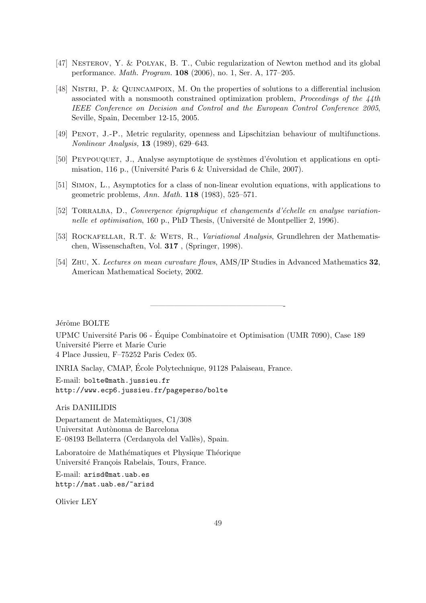- [47] NESTEROV, Y. & POLYAK, B. T., Cubic regularization of Newton method and its global performance. Math. Program. 108 (2006), no. 1, Ser. A, 177–205.
- [48] NISTRI, P. & QUINCAMPOIX, M. On the properties of solutions to a differential inclusion associated with a nonsmooth constrained optimization problem, *Proceedings of the*  $\frac{1}{4}$ *th* IEEE Conference on Decision and Control and the European Control Conference 2005, Seville, Spain, December 12-15, 2005.
- [49] Penot, J.-P., Metric regularity, openness and Lipschitzian behaviour of multifunctions. Nonlinear Analysis, 13 (1989), 629–643.
- [50] PEYPOUQUET, J., Analyse asymptotique de systèmes d'évolution et applications en optimisation, 116 p., (Université Paris 6 & Universidad de Chile, 2007).
- [51] Simon, L., Asymptotics for a class of non-linear evolution equations, with applications to geometric problems, Ann. Math. 118 (1983), 525–571.
- [52] TORRALBA, D., Convergence épigraphique et changements d'échelle en analyse variationnelle et optimisation, 160 p., PhD Thesis, (Université de Montpellier 2, 1996).
- [53] ROCKAFELLAR, R.T. & WETS, R., Variational Analysis, Grundlehren der Mathematischen, Wissenschaften, Vol. 317 , (Springer, 1998).
- [54] Zhu, X. Lectures on mean curvature flows, AMS/IP Studies in Advanced Mathematics 32, American Mathematical Society, 2002.

—————————————————-

Jérôme BOLTE

UPMC Universit´e Paris 06 - Equipe Combinatoire et Optimisation (UMR 7090), Case 189 ´ Universit´e Pierre et Marie Curie 4 Place Jussieu, F–75252 Paris Cedex 05.

INRIA Saclay, CMAP, Ecole Polytechnique, 91128 Palaiseau, France. ´

E-mail: bolte@math.jussieu.fr http://www.ecp6.jussieu.fr/pageperso/bolte

Aris DANIILIDIS

Departament de Matem`atiques, C1/308 Universitat Autònoma de Barcelona E–08193 Bellaterra (Cerdanyola del Vallès), Spain.

Laboratoire de Mathématiques et Physique Théorique Université François Rabelais, Tours, France.

E-mail: arisd@mat.uab.es http://mat.uab.es/~arisd

Olivier LEY